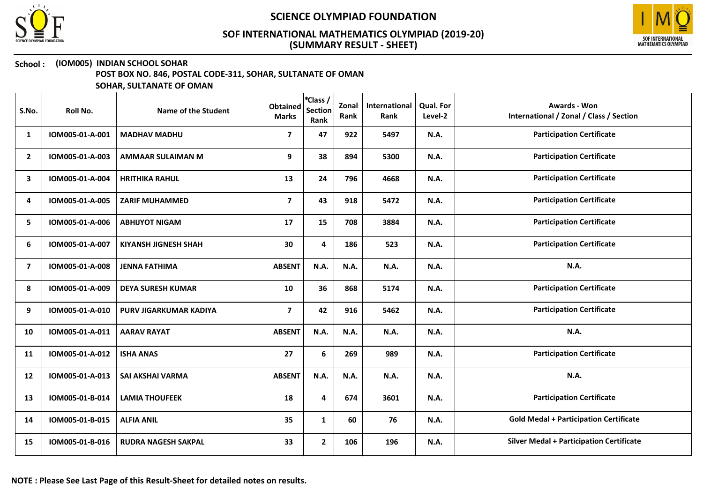



### School : (IOM005) INDIAN SCHOOL SOHAR

POST BOX NO. 846, POSTAL CODE-311, SOHAR, SULTANATE OF OMAN

| S.No.          | Roll No.        | Name of the Student         | <b>Obtained</b><br><b>Marks</b> | *Class /<br><b>Section</b><br>Rank | Zonal<br>Rank | International<br>Rank | Qual. For<br>Level-2 | <b>Awards - Won</b><br>International / Zonal / Class / Section |
|----------------|-----------------|-----------------------------|---------------------------------|------------------------------------|---------------|-----------------------|----------------------|----------------------------------------------------------------|
| 1              | IOM005-01-A-001 | <b>MADHAV MADHU</b>         | $\overline{\phantom{a}}$        | 47                                 | 922           | 5497                  | <b>N.A.</b>          | <b>Participation Certificate</b>                               |
| $\overline{2}$ | IOM005-01-A-003 | <b>AMMAAR SULAIMAN M</b>    | 9                               | 38                                 | 894           | 5300                  | N.A.                 | <b>Participation Certificate</b>                               |
| 3              | IOM005-01-A-004 | <b>HRITHIKA RAHUL</b>       | 13                              | 24                                 | 796           | 4668                  | N.A.                 | <b>Participation Certificate</b>                               |
| 4              | IOM005-01-A-005 | <b>ZARIF MUHAMMED</b>       | $\overline{7}$                  | 43                                 | 918           | 5472                  | N.A.                 | <b>Participation Certificate</b>                               |
| 5              | IOM005-01-A-006 | <b>ABHIJYOT NIGAM</b>       | 17                              | 15                                 | 708           | 3884                  | N.A.                 | <b>Participation Certificate</b>                               |
| 6              | IOM005-01-A-007 | <b>KIYANSH JIGNESH SHAH</b> | 30                              | 4                                  | 186           | 523                   | N.A.                 | <b>Participation Certificate</b>                               |
| $\overline{ }$ | IOM005-01-A-008 | <b>JENNA FATHIMA</b>        | <b>ABSENT</b>                   | N.A.                               | N.A.          | N.A.                  | N.A.                 | N.A.                                                           |
| 8              | IOM005-01-A-009 | <b>DEYA SURESH KUMAR</b>    | 10                              | 36                                 | 868           | 5174                  | N.A.                 | <b>Participation Certificate</b>                               |
| 9              | IOM005-01-A-010 | PURV JIGARKUMAR KADIYA      | $\overline{7}$                  | 42                                 | 916           | 5462                  | <b>N.A.</b>          | <b>Participation Certificate</b>                               |
| 10             | IOM005-01-A-011 | <b>AARAV RAYAT</b>          | <b>ABSENT</b>                   | <b>N.A.</b>                        | N.A.          | N.A.                  | <b>N.A.</b>          | <b>N.A.</b>                                                    |
| 11             | IOM005-01-A-012 | <b>ISHA ANAS</b>            | 27                              | 6                                  | 269           | 989                   | N.A.                 | <b>Participation Certificate</b>                               |
| 12             | IOM005-01-A-013 | SAI AKSHAI VARMA            | <b>ABSENT</b>                   | N.A.                               | N.A.          | N.A.                  | N.A.                 | N.A.                                                           |
| 13             | IOM005-01-B-014 | <b>LAMIA THOUFEEK</b>       | 18                              | $\overline{\mathbf{4}}$            | 674           | 3601                  | <b>N.A.</b>          | <b>Participation Certificate</b>                               |
| 14             | IOM005-01-B-015 | <b>ALFIA ANIL</b>           | 35                              | $\mathbf{1}$                       | 60            | 76                    | N.A.                 | <b>Gold Medal + Participation Certificate</b>                  |
| 15             | IOM005-01-B-016 | <b>RUDRA NAGESH SAKPAL</b>  | 33                              | $\mathbf{2}$                       | 106           | 196                   | N.A.                 | <b>Silver Medal + Participation Certificate</b>                |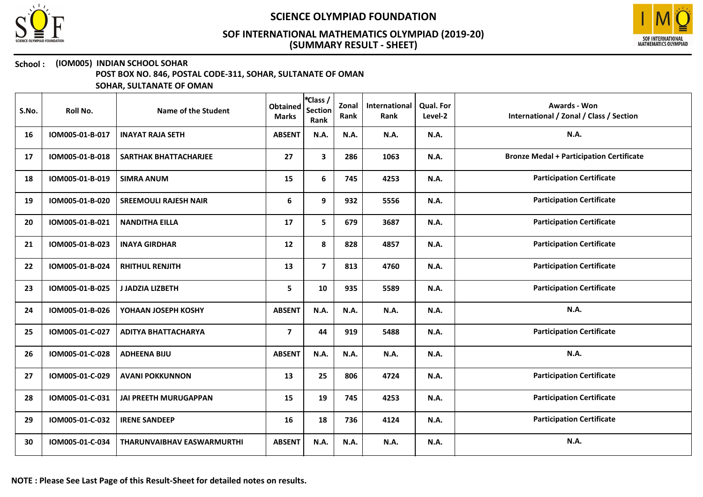



## School : (IOM005) INDIAN SCHOOL SOHAR

POST BOX NO. 846, POSTAL CODE-311, SOHAR, SULTANATE OF OMAN

| S.No. | Roll No.        | Name of the Student               | <b>Obtained</b><br><b>Marks</b> | *Class /<br><b>Section</b><br>Rank | Zonal<br>Rank | International<br>Rank | Qual. For<br>Level-2 | <b>Awards - Won</b><br>International / Zonal / Class / Section |
|-------|-----------------|-----------------------------------|---------------------------------|------------------------------------|---------------|-----------------------|----------------------|----------------------------------------------------------------|
| 16    | IOM005-01-B-017 | <b>INAYAT RAJA SETH</b>           | <b>ABSENT</b>                   | N.A.                               | N.A.          | N.A.                  | N.A.                 | N.A.                                                           |
| 17    | IOM005-01-B-018 | SARTHAK BHATTACHARJEE             | 27                              | $\mathbf{3}$                       | 286           | 1063                  | N.A.                 | <b>Bronze Medal + Participation Certificate</b>                |
| 18    | IOM005-01-B-019 | <b>SIMRA ANUM</b>                 | 15                              | 6                                  | 745           | 4253                  | N.A.                 | <b>Participation Certificate</b>                               |
| 19    | IOM005-01-B-020 | <b>SREEMOULI RAJESH NAIR</b>      | 6                               | 9                                  | 932           | 5556                  | N.A.                 | <b>Participation Certificate</b>                               |
| 20    | IOM005-01-B-021 | <b>NANDITHA EILLA</b>             | 17                              | 5                                  | 679           | 3687                  | N.A.                 | <b>Participation Certificate</b>                               |
| 21    | IOM005-01-B-023 | <b>INAYA GIRDHAR</b>              | 12                              | 8                                  | 828           | 4857                  | N.A.                 | <b>Participation Certificate</b>                               |
| 22    | IOM005-01-B-024 | <b>RHITHUL RENJITH</b>            | 13                              | $\overline{7}$                     | 813           | 4760                  | N.A.                 | <b>Participation Certificate</b>                               |
| 23    | IOM005-01-B-025 | J JADZIA LIZBETH                  | 5                               | 10                                 | 935           | 5589                  | N.A.                 | <b>Participation Certificate</b>                               |
| 24    | IOM005-01-B-026 | YOHAAN JOSEPH KOSHY               | <b>ABSENT</b>                   | N.A.                               | N.A.          | N.A.                  | N.A.                 | <b>N.A.</b>                                                    |
| 25    | IOM005-01-C-027 | <b>ADITYA BHATTACHARYA</b>        | $\overline{\phantom{a}}$        | 44                                 | 919           | 5488                  | <b>N.A.</b>          | <b>Participation Certificate</b>                               |
| 26    | IOM005-01-C-028 | <b>ADHEENA BIJU</b>               | <b>ABSENT</b>                   | N.A.                               | N.A.          | <b>N.A.</b>           | N.A.                 | N.A.                                                           |
| 27    | IOM005-01-C-029 | <b>AVANI POKKUNNON</b>            | 13                              | 25                                 | 806           | 4724                  | <b>N.A.</b>          | <b>Participation Certificate</b>                               |
| 28    | IOM005-01-C-031 | <b>JAI PREETH MURUGAPPAN</b>      | 15                              | 19                                 | 745           | 4253                  | N.A.                 | <b>Participation Certificate</b>                               |
| 29    | IOM005-01-C-032 | <b>IRENE SANDEEP</b>              | 16                              | 18                                 | 736           | 4124                  | N.A.                 | <b>Participation Certificate</b>                               |
| 30    | IOM005-01-C-034 | <b>THARUNVAIBHAV EASWARMURTHI</b> | <b>ABSENT</b>                   | N.A.                               | N.A.          | N.A.                  | N.A.                 | N.A.                                                           |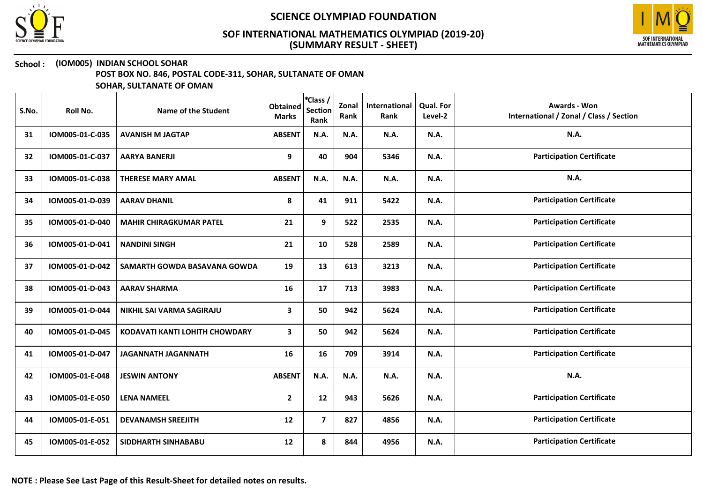



## School : (IOM005) INDIAN SCHOOL SOHAR

POST BOX NO. 846, POSTAL CODE-311, SOHAR, SULTANATE OF OMAN

| S.No. | Roll No.        | Name of the Student            | <b>Obtained</b><br><b>Marks</b> | *Class /<br><b>Section</b><br>Rank | Zonal<br>Rank | International<br>Rank | <b>Qual. For</b><br>Level-2 | <b>Awards - Won</b><br>International / Zonal / Class / Section |
|-------|-----------------|--------------------------------|---------------------------------|------------------------------------|---------------|-----------------------|-----------------------------|----------------------------------------------------------------|
| 31    | IOM005-01-C-035 | <b>AVANISH M JAGTAP</b>        | <b>ABSENT</b>                   | N.A.                               | N.A.          | N.A.                  | N.A.                        | N.A.                                                           |
| 32    | IOM005-01-C-037 | <b>AARYA BANERJI</b>           | 9                               | 40                                 | 904           | 5346                  | <b>N.A.</b>                 | <b>Participation Certificate</b>                               |
| 33    | IOM005-01-C-038 | <b>THERESE MARY AMAL</b>       | <b>ABSENT</b>                   | N.A.                               | N.A.          | N.A.                  | N.A.                        | N.A.                                                           |
| 34    | IOM005-01-D-039 | <b>AARAV DHANIL</b>            | 8                               | 41                                 | 911           | 5422                  | N.A.                        | <b>Participation Certificate</b>                               |
| 35    | IOM005-01-D-040 | <b>MAHIR CHIRAGKUMAR PATEL</b> | 21                              | 9                                  | 522           | 2535                  | N.A.                        | <b>Participation Certificate</b>                               |
| 36    | IOM005-01-D-041 | <b>NANDINI SINGH</b>           | 21                              | 10                                 | 528           | 2589                  | N.A.                        | <b>Participation Certificate</b>                               |
| 37    | IOM005-01-D-042 | SAMARTH GOWDA BASAVANA GOWDA   | 19                              | 13                                 | 613           | 3213                  | N.A.                        | <b>Participation Certificate</b>                               |
| 38    | IOM005-01-D-043 | <b>AARAV SHARMA</b>            | 16                              | 17                                 | 713           | 3983                  | N.A.                        | <b>Participation Certificate</b>                               |
| 39    | IOM005-01-D-044 | NIKHIL SAI VARMA SAGIRAJU      | 3                               | 50                                 | 942           | 5624                  | N.A.                        | <b>Participation Certificate</b>                               |
| 40    | IOM005-01-D-045 | KODAVATI KANTI LOHITH CHOWDARY | 3                               | 50                                 | 942           | 5624                  | N.A.                        | <b>Participation Certificate</b>                               |
| 41    | IOM005-01-D-047 | <b>JAGANNATH JAGANNATH</b>     | 16                              | 16                                 | 709           | 3914                  | N.A.                        | <b>Participation Certificate</b>                               |
| 42    | IOM005-01-E-048 | <b>JESWIN ANTONY</b>           | <b>ABSENT</b>                   | N.A.                               | N.A.          | N.A.                  | N.A.                        | N.A.                                                           |
| 43    | IOM005-01-E-050 | <b>LENA NAMEEL</b>             | $\mathbf{2}$                    | 12                                 | 943           | 5626                  | N.A.                        | <b>Participation Certificate</b>                               |
| 44    | IOM005-01-E-051 | <b>DEVANAMSH SREEJITH</b>      | 12                              | $\overline{\mathbf{z}}$            | 827           | 4856                  | N.A.                        | <b>Participation Certificate</b>                               |
| 45    | IOM005-01-E-052 | SIDDHARTH SINHABABU            | 12                              | 8                                  | 844           | 4956                  | N.A.                        | <b>Participation Certificate</b>                               |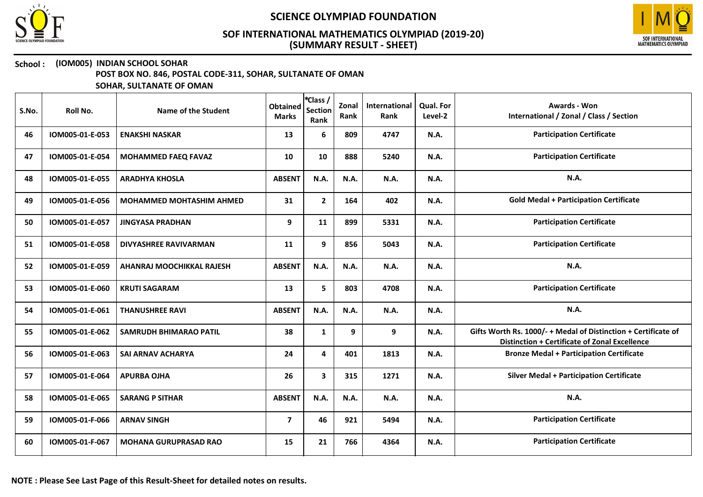



## School : (IOM005) INDIAN SCHOOL SOHAR

POST BOX NO. 846, POSTAL CODE-311, SOHAR, SULTANATE OF OMAN

| S.No. | Roll No.        | Name of the Student             | <b>Obtained</b><br><b>Marks</b> | <i><b>*Class /</b></i><br><b>Section</b><br>Rank | Zonal<br>Rank | International<br>Rank | Qual. For<br>Level-2 | <b>Awards - Won</b><br>International / Zonal / Class / Section                                                  |
|-------|-----------------|---------------------------------|---------------------------------|--------------------------------------------------|---------------|-----------------------|----------------------|-----------------------------------------------------------------------------------------------------------------|
| 46    | IOM005-01-E-053 | <b>ENAKSHI NASKAR</b>           | 13                              | 6                                                | 809           | 4747                  | <b>N.A.</b>          | <b>Participation Certificate</b>                                                                                |
| 47    | IOM005-01-E-054 | <b>MOHAMMED FAEQ FAVAZ</b>      | 10                              | 10                                               | 888           | 5240                  | <b>N.A.</b>          | <b>Participation Certificate</b>                                                                                |
| 48    | IOM005-01-E-055 | <b>ARADHYA KHOSLA</b>           | <b>ABSENT</b>                   | N.A.                                             | N.A.          | <b>N.A.</b>           | <b>N.A.</b>          | N.A.                                                                                                            |
| 49    | IOM005-01-E-056 | <b>MOHAMMED MOHTASHIM AHMED</b> | 31                              | $\mathbf{2}$                                     | 164           | 402                   | N.A.                 | <b>Gold Medal + Participation Certificate</b>                                                                   |
| 50    | IOM005-01-E-057 | <b>JINGYASA PRADHAN</b>         | 9                               | 11                                               | 899           | 5331                  | N.A.                 | <b>Participation Certificate</b>                                                                                |
| 51    | IOM005-01-E-058 | <b>DIVYASHREE RAVIVARMAN</b>    | 11                              | 9                                                | 856           | 5043                  | N.A.                 | <b>Participation Certificate</b>                                                                                |
| 52    | IOM005-01-E-059 | AHANRAJ MOOCHIKKAL RAJESH       | <b>ABSENT</b>                   | N.A.                                             | N.A.          | N.A.                  | N.A.                 | N.A.                                                                                                            |
| 53    | IOM005-01-E-060 | <b>KRUTI SAGARAM</b>            | 13                              | 5                                                | 803           | 4708                  | <b>N.A.</b>          | <b>Participation Certificate</b>                                                                                |
| 54    | IOM005-01-E-061 | <b>THANUSHREE RAVI</b>          | <b>ABSENT</b>                   | N.A.                                             | N.A.          | N.A.                  | <b>N.A.</b>          | N.A.                                                                                                            |
| 55    | IOM005-01-E-062 | <b>SAMRUDH BHIMARAO PATIL</b>   | 38                              | $\mathbf{1}$                                     | 9             | 9                     | N.A.                 | Gifts Worth Rs. 1000/- + Medal of Distinction + Certificate of<br>Distinction + Certificate of Zonal Excellence |
| 56    | IOM005-01-E-063 | <b>SAI ARNAV ACHARYA</b>        | 24                              | 4                                                | 401           | 1813                  | <b>N.A.</b>          | <b>Bronze Medal + Participation Certificate</b>                                                                 |
| 57    | IOM005-01-E-064 | <b>APURBA OJHA</b>              | 26                              | $\mathbf{3}$                                     | 315           | 1271                  | <b>N.A.</b>          | <b>Silver Medal + Participation Certificate</b>                                                                 |
| 58    | IOM005-01-E-065 | <b>SARANG P SITHAR</b>          | <b>ABSENT</b>                   | N.A.                                             | N.A.          | N.A.                  | <b>N.A.</b>          | N.A.                                                                                                            |
| 59    | IOM005-01-F-066 | <b>ARNAV SINGH</b>              | $\overline{\mathbf{z}}$         | 46                                               | 921           | 5494                  | <b>N.A.</b>          | <b>Participation Certificate</b>                                                                                |
| 60    | IOM005-01-F-067 | <b>MOHANA GURUPRASAD RAO</b>    | 15                              | 21                                               | 766           | 4364                  | N.A.                 | <b>Participation Certificate</b>                                                                                |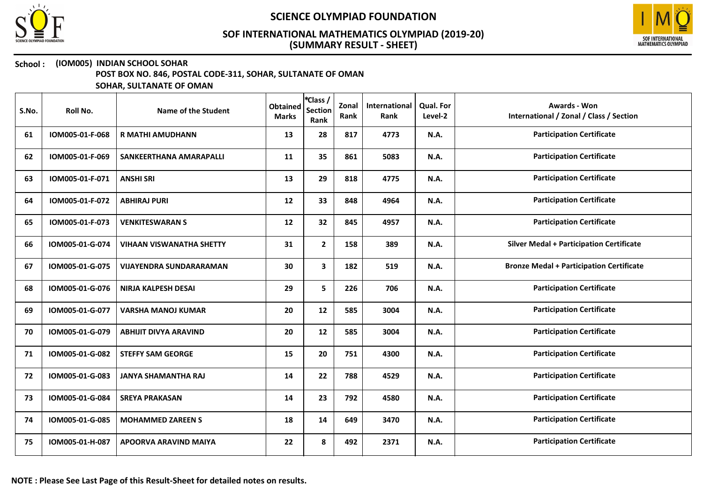



### School : (IOM005) INDIAN SCHOOL SOHAR

POST BOX NO. 846, POSTAL CODE-311, SOHAR, SULTANATE OF OMAN

| S.No. | Roll No.        | Name of the Student             | <b>Obtained</b><br><b>Marks</b> | *Class /<br><b>Section</b><br>Rank | Zonal<br>Rank | International<br>Rank | <b>Qual. For</b><br>Level-2 | <b>Awards - Won</b><br>International / Zonal / Class / Section |
|-------|-----------------|---------------------------------|---------------------------------|------------------------------------|---------------|-----------------------|-----------------------------|----------------------------------------------------------------|
| 61    | IOM005-01-F-068 | <b>R MATHI AMUDHANN</b>         | 13                              | 28                                 | 817           | 4773                  | <b>N.A.</b>                 | <b>Participation Certificate</b>                               |
| 62    | IOM005-01-F-069 | SANKEERTHANA AMARAPALLI         | 11                              | 35                                 | 861           | 5083                  | N.A.                        | <b>Participation Certificate</b>                               |
| 63    | IOM005-01-F-071 | <b>ANSHI SRI</b>                | 13                              | 29                                 | 818           | 4775                  | <b>N.A.</b>                 | <b>Participation Certificate</b>                               |
| 64    | IOM005-01-F-072 | <b>ABHIRAJ PURI</b>             | 12                              | 33                                 | 848           | 4964                  | N.A.                        | <b>Participation Certificate</b>                               |
| 65    | IOM005-01-F-073 | <b>VENKITESWARAN S</b>          | 12                              | 32                                 | 845           | 4957                  | <b>N.A.</b>                 | <b>Participation Certificate</b>                               |
| 66    | IOM005-01-G-074 | <b>VIHAAN VISWANATHA SHETTY</b> | 31                              | $\mathbf{2}$                       | 158           | 389                   | <b>N.A.</b>                 | <b>Silver Medal + Participation Certificate</b>                |
| 67    | IOM005-01-G-075 | VIJAYENDRA SUNDARARAMAN         | 30                              | $\mathbf{3}$                       | 182           | 519                   | <b>N.A.</b>                 | <b>Bronze Medal + Participation Certificate</b>                |
| 68    | IOM005-01-G-076 | <b>NIRJA KALPESH DESAI</b>      | 29                              | 5                                  | 226           | 706                   | <b>N.A.</b>                 | <b>Participation Certificate</b>                               |
| 69    | IOM005-01-G-077 | <b>VARSHA MANOJ KUMAR</b>       | 20                              | 12                                 | 585           | 3004                  | <b>N.A.</b>                 | <b>Participation Certificate</b>                               |
| 70    | IOM005-01-G-079 | <b>ABHIJIT DIVYA ARAVIND</b>    | 20                              | 12                                 | 585           | 3004                  | <b>N.A.</b>                 | <b>Participation Certificate</b>                               |
| 71    | IOM005-01-G-082 | <b>STEFFY SAM GEORGE</b>        | 15                              | 20                                 | 751           | 4300                  | <b>N.A.</b>                 | <b>Participation Certificate</b>                               |
| 72    | IOM005-01-G-083 | <b>JANYA SHAMANTHA RAJ</b>      | 14                              | 22                                 | 788           | 4529                  | <b>N.A.</b>                 | <b>Participation Certificate</b>                               |
| 73    | IOM005-01-G-084 | <b>SREYA PRAKASAN</b>           | 14                              | 23                                 | 792           | 4580                  | <b>N.A.</b>                 | <b>Participation Certificate</b>                               |
| 74    | IOM005-01-G-085 | <b>MOHAMMED ZAREEN S</b>        | 18                              | 14                                 | 649           | 3470                  | <b>N.A.</b>                 | <b>Participation Certificate</b>                               |
| 75    | IOM005-01-H-087 | APOORVA ARAVIND MAIYA           | 22                              | 8                                  | 492           | 2371                  | <b>N.A.</b>                 | <b>Participation Certificate</b>                               |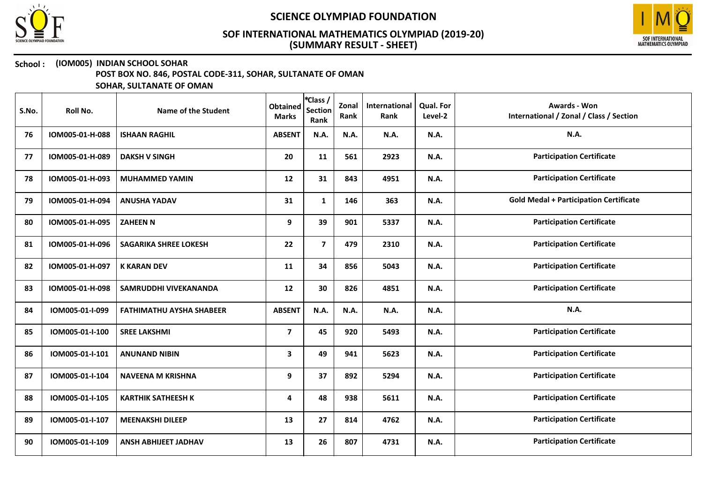



### School : (IOM005) INDIAN SCHOOL SOHAR

POST BOX NO. 846, POSTAL CODE-311, SOHAR, SULTANATE OF OMAN

| S.No. | Roll No.        | Name of the Student             | <b>Obtained</b><br><b>Marks</b> | *Class /<br><b>Section</b><br>Rank | Zonal<br>Rank | <b>International</b><br>Rank | Qual. For<br>Level-2 | <b>Awards - Won</b><br>International / Zonal / Class / Section |
|-------|-----------------|---------------------------------|---------------------------------|------------------------------------|---------------|------------------------------|----------------------|----------------------------------------------------------------|
| 76    | IOM005-01-H-088 | <b>ISHAAN RAGHIL</b>            | <b>ABSENT</b>                   | N.A.                               | N.A.          | N.A.                         | N.A.                 | <b>N.A.</b>                                                    |
| 77    | IOM005-01-H-089 | <b>DAKSH V SINGH</b>            | 20                              | 11                                 | 561           | 2923                         | N.A.                 | <b>Participation Certificate</b>                               |
| 78    | IOM005-01-H-093 | <b>MUHAMMED YAMIN</b>           | 12                              | 31                                 | 843           | 4951                         | N.A.                 | <b>Participation Certificate</b>                               |
| 79    | IOM005-01-H-094 | <b>ANUSHA YADAV</b>             | 31                              | $\mathbf{1}$                       | 146           | 363                          | N.A.                 | <b>Gold Medal + Participation Certificate</b>                  |
| 80    | IOM005-01-H-095 | <b>ZAHEEN N</b>                 | 9                               | 39                                 | 901           | 5337                         | N.A.                 | <b>Participation Certificate</b>                               |
| 81    | IOM005-01-H-096 | <b>SAGARIKA SHREE LOKESH</b>    | 22                              | $\overline{7}$                     | 479           | 2310                         | N.A.                 | <b>Participation Certificate</b>                               |
| 82    | IOM005-01-H-097 | <b>K KARAN DEV</b>              | 11                              | 34                                 | 856           | 5043                         | N.A.                 | <b>Participation Certificate</b>                               |
| 83    | IOM005-01-H-098 | SAMRUDDHI VIVEKANANDA           | 12                              | 30                                 | 826           | 4851                         | N.A.                 | <b>Participation Certificate</b>                               |
| 84    | IOM005-01-I-099 | <b>FATHIMATHU AYSHA SHABEER</b> | <b>ABSENT</b>                   | N.A.                               | <b>N.A.</b>   | N.A.                         | N.A.                 | <b>N.A.</b>                                                    |
| 85    | IOM005-01-I-100 | <b>SREE LAKSHMI</b>             | $\overline{\mathbf{z}}$         | 45                                 | 920           | 5493                         | <b>N.A.</b>          | <b>Participation Certificate</b>                               |
| 86    | IOM005-01-I-101 | <b>ANUNAND NIBIN</b>            | 3                               | 49                                 | 941           | 5623                         | <b>N.A.</b>          | <b>Participation Certificate</b>                               |
| 87    | IOM005-01-I-104 | <b>NAVEENA M KRISHNA</b>        | 9                               | 37                                 | 892           | 5294                         | N.A.                 | <b>Participation Certificate</b>                               |
| 88    | IOM005-01-I-105 | <b>KARTHIK SATHEESH K</b>       | 4                               | 48                                 | 938           | 5611                         | N.A.                 | <b>Participation Certificate</b>                               |
| 89    | IOM005-01-I-107 | <b>MEENAKSHI DILEEP</b>         | 13                              | 27                                 | 814           | 4762                         | N.A.                 | <b>Participation Certificate</b>                               |
| 90    | IOM005-01-I-109 | <b>ANSH ABHIJEET JADHAV</b>     | 13                              | 26                                 | 807           | 4731                         | N.A.                 | <b>Participation Certificate</b>                               |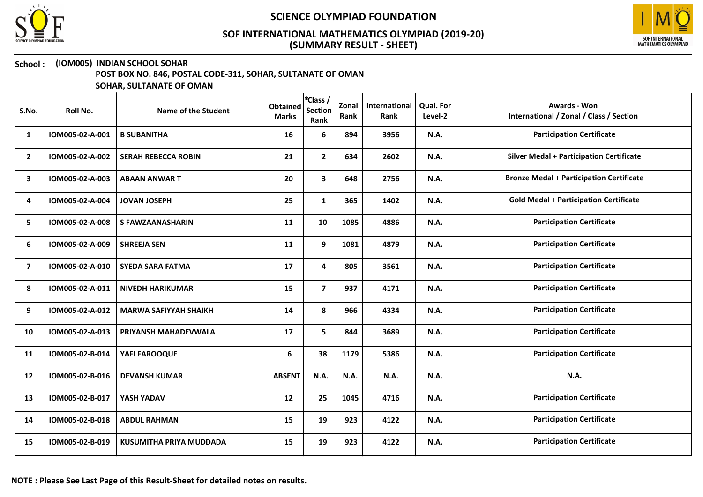



### School : (IOM005) INDIAN SCHOOL SOHAR

POST BOX NO. 846, POSTAL CODE-311, SOHAR, SULTANATE OF OMAN

| S.No.          | Roll No.        | Name of the Student          | <b>Obtained</b><br><b>Marks</b> | <i><b>*Class /</b></i><br><b>Section</b><br>Rank | Zonal<br>Rank | International<br>Rank | Qual. For<br>Level-2 | Awards - Won<br>International / Zonal / Class / Section |
|----------------|-----------------|------------------------------|---------------------------------|--------------------------------------------------|---------------|-----------------------|----------------------|---------------------------------------------------------|
| 1              | IOM005-02-A-001 | <b>B SUBANITHA</b>           | 16                              | 6                                                | 894           | 3956                  | N.A.                 | <b>Participation Certificate</b>                        |
| $\overline{2}$ | IOM005-02-A-002 | <b>SERAH REBECCA ROBIN</b>   | 21                              | $\mathbf{2}$                                     | 634           | 2602                  | N.A.                 | <b>Silver Medal + Participation Certificate</b>         |
| 3              | IOM005-02-A-003 | <b>ABAAN ANWART</b>          | 20                              | $\mathbf{3}$                                     | 648           | 2756                  | <b>N.A.</b>          | <b>Bronze Medal + Participation Certificate</b>         |
| 4              | IOM005-02-A-004 | <b>JOVAN JOSEPH</b>          | 25                              | $\mathbf{1}$                                     | 365           | 1402                  | <b>N.A.</b>          | <b>Gold Medal + Participation Certificate</b>           |
| 5              | IOM005-02-A-008 | <b>S FAWZAANASHARIN</b>      | 11                              | 10                                               | 1085          | 4886                  | <b>N.A.</b>          | <b>Participation Certificate</b>                        |
| 6              | IOM005-02-A-009 | <b>SHREEJA SEN</b>           | 11                              | 9                                                | 1081          | 4879                  | <b>N.A.</b>          | <b>Participation Certificate</b>                        |
| $\overline{7}$ | IOM005-02-A-010 | <b>SYEDA SARA FATMA</b>      | 17                              | 4                                                | 805           | 3561                  | N.A.                 | <b>Participation Certificate</b>                        |
| 8              | IOM005-02-A-011 | <b>NIVEDH HARIKUMAR</b>      | 15                              | $\overline{7}$                                   | 937           | 4171                  | <b>N.A.</b>          | <b>Participation Certificate</b>                        |
| 9              | IOM005-02-A-012 | <b>MARWA SAFIYYAH SHAIKH</b> | 14                              | 8                                                | 966           | 4334                  | <b>N.A.</b>          | <b>Participation Certificate</b>                        |
| 10             | IOM005-02-A-013 | PRIYANSH MAHADEVWALA         | 17                              | 5                                                | 844           | 3689                  | N.A.                 | <b>Participation Certificate</b>                        |
| 11             | IOM005-02-B-014 | YAFI FAROOQUE                | 6                               | 38                                               | 1179          | 5386                  | N.A.                 | <b>Participation Certificate</b>                        |
| 12             | IOM005-02-B-016 | <b>DEVANSH KUMAR</b>         | <b>ABSENT</b>                   | N.A.                                             | N.A.          | N.A.                  | N.A.                 | N.A.                                                    |
| 13             | IOM005-02-B-017 | YASH YADAV                   | 12                              | 25                                               | 1045          | 4716                  | N.A.                 | <b>Participation Certificate</b>                        |
| 14             | IOM005-02-B-018 | <b>ABDUL RAHMAN</b>          | 15                              | 19                                               | 923           | 4122                  | N.A.                 | <b>Participation Certificate</b>                        |
| 15             | IOM005-02-B-019 | KUSUMITHA PRIYA MUDDADA      | 15                              | 19                                               | 923           | 4122                  | N.A.                 | <b>Participation Certificate</b>                        |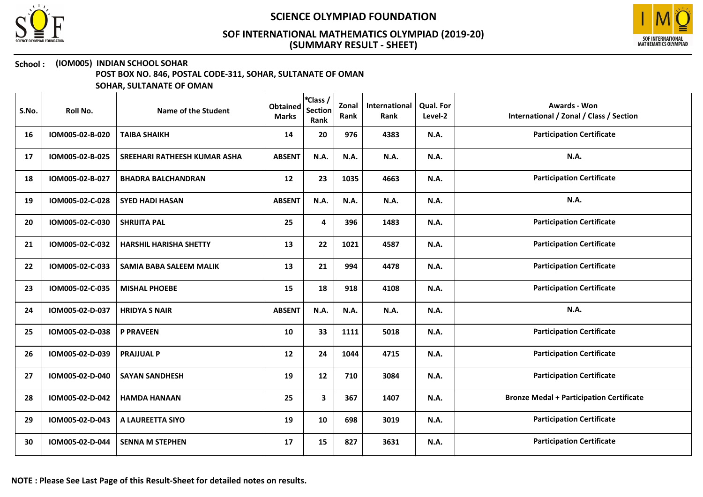



### School : (IOM005) INDIAN SCHOOL SOHAR

POST BOX NO. 846, POSTAL CODE-311, SOHAR, SULTANATE OF OMAN

| S.No. | Roll No.        | Name of the Student            | <b>Obtained</b><br><b>Marks</b> | *Class /<br><b>Section</b><br>Rank | Zonal<br>Rank | International<br>Rank | <b>Qual. For</b><br>Level-2 | <b>Awards - Won</b><br>International / Zonal / Class / Section |
|-------|-----------------|--------------------------------|---------------------------------|------------------------------------|---------------|-----------------------|-----------------------------|----------------------------------------------------------------|
| 16    | IOM005-02-B-020 | <b>TAIBA SHAIKH</b>            | 14                              | 20                                 | 976           | 4383                  | <b>N.A.</b>                 | <b>Participation Certificate</b>                               |
| 17    | IOM005-02-B-025 | SREEHARI RATHEESH KUMAR ASHA   | <b>ABSENT</b>                   | N.A.                               | N.A.          | N.A.                  | <b>N.A.</b>                 | <b>N.A.</b>                                                    |
| 18    | IOM005-02-B-027 | <b>BHADRA BALCHANDRAN</b>      | 12                              | 23                                 | 1035          | 4663                  | <b>N.A.</b>                 | <b>Participation Certificate</b>                               |
| 19    | IOM005-02-C-028 | <b>SYED HADI HASAN</b>         | <b>ABSENT</b>                   | N.A.                               | N.A.          | N.A.                  | <b>N.A.</b>                 | N.A.                                                           |
| 20    | IOM005-02-C-030 | <b>SHRIJITA PAL</b>            | 25                              | 4                                  | 396           | 1483                  | <b>N.A.</b>                 | <b>Participation Certificate</b>                               |
| 21    | IOM005-02-C-032 | <b>HARSHIL HARISHA SHETTY</b>  | 13                              | 22                                 | 1021          | 4587                  | <b>N.A.</b>                 | <b>Participation Certificate</b>                               |
| 22    | IOM005-02-C-033 | <b>SAMIA BABA SALEEM MALIK</b> | 13                              | 21                                 | 994           | 4478                  | <b>N.A.</b>                 | <b>Participation Certificate</b>                               |
| 23    | IOM005-02-C-035 | <b>MISHAL PHOEBE</b>           | 15                              | 18                                 | 918           | 4108                  | <b>N.A.</b>                 | <b>Participation Certificate</b>                               |
| 24    | IOM005-02-D-037 | <b>HRIDYA S NAIR</b>           | <b>ABSENT</b>                   | N.A.                               | N.A.          | N.A.                  | <b>N.A.</b>                 | N.A.                                                           |
| 25    | IOM005-02-D-038 | <b>P PRAVEEN</b>               | 10                              | 33                                 | 1111          | 5018                  | <b>N.A.</b>                 | <b>Participation Certificate</b>                               |
| 26    | IOM005-02-D-039 | <b>PRAJJUAL P</b>              | 12                              | 24                                 | 1044          | 4715                  | <b>N.A.</b>                 | <b>Participation Certificate</b>                               |
| 27    | IOM005-02-D-040 | <b>SAYAN SANDHESH</b>          | 19                              | ${\bf 12}$                         | 710           | 3084                  | N.A.                        | <b>Participation Certificate</b>                               |
| 28    | IOM005-02-D-042 | <b>HAMDA HANAAN</b>            | 25                              | 3                                  | 367           | 1407                  | <b>N.A.</b>                 | <b>Bronze Medal + Participation Certificate</b>                |
| 29    | IOM005-02-D-043 | A LAUREETTA SIYO               | 19                              | 10                                 | 698           | 3019                  | <b>N.A.</b>                 | <b>Participation Certificate</b>                               |
| 30    | IOM005-02-D-044 | <b>SENNA M STEPHEN</b>         | 17                              | 15                                 | 827           | 3631                  | <b>N.A.</b>                 | <b>Participation Certificate</b>                               |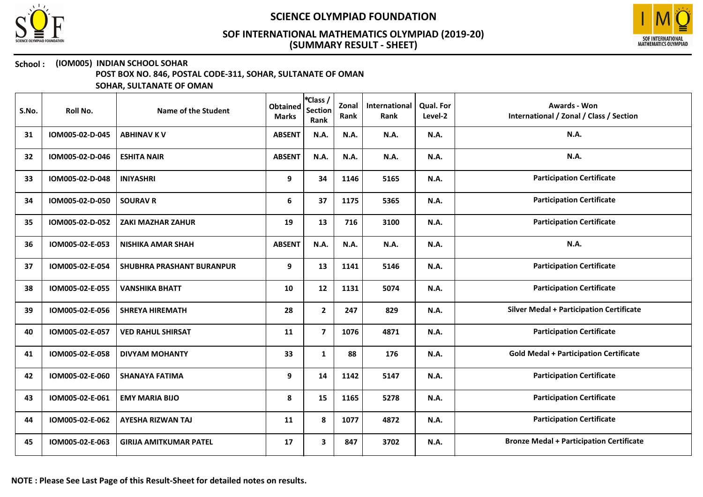



### School : (IOM005) INDIAN SCHOOL SOHAR

POST BOX NO. 846, POSTAL CODE-311, SOHAR, SULTANATE OF OMAN

| S.No. | Roll No.        | Name of the Student           | <b>Obtained</b><br><b>Marks</b> | *Class /<br><b>Section</b><br>Rank | Zonal<br>Rank | International<br>Rank | Qual. For<br>Level-2 | <b>Awards - Won</b><br>International / Zonal / Class / Section |
|-------|-----------------|-------------------------------|---------------------------------|------------------------------------|---------------|-----------------------|----------------------|----------------------------------------------------------------|
| 31    | IOM005-02-D-045 | <b>ABHINAV K V</b>            | <b>ABSENT</b>                   | N.A.                               | N.A.          | N.A.                  | N.A.                 | <b>N.A.</b>                                                    |
| 32    | IOM005-02-D-046 | <b>ESHITA NAIR</b>            | <b>ABSENT</b>                   | N.A.                               | N.A.          | N.A.                  | N.A.                 | <b>N.A.</b>                                                    |
| 33    | IOM005-02-D-048 | <b>INIYASHRI</b>              | 9                               | 34                                 | 1146          | 5165                  | N.A.                 | <b>Participation Certificate</b>                               |
| 34    | IOM005-02-D-050 | <b>SOURAV R</b>               | 6                               | 37                                 | 1175          | 5365                  | <b>N.A.</b>          | <b>Participation Certificate</b>                               |
| 35    | IOM005-02-D-052 | <b>ZAKI MAZHAR ZAHUR</b>      | 19                              | 13                                 | 716           | 3100                  | N.A.                 | <b>Participation Certificate</b>                               |
| 36    | IOM005-02-E-053 | <b>NISHIKA AMAR SHAH</b>      | <b>ABSENT</b>                   | N.A.                               | N.A.          | N.A.                  | N.A.                 | N.A.                                                           |
| 37    | IOM005-02-E-054 | SHUBHRA PRASHANT BURANPUR     | 9                               | 13                                 | 1141          | 5146                  | N.A.                 | <b>Participation Certificate</b>                               |
| 38    | IOM005-02-E-055 | <b>VANSHIKA BHATT</b>         | 10                              | 12                                 | 1131          | 5074                  | N.A.                 | <b>Participation Certificate</b>                               |
| 39    | IOM005-02-E-056 | <b>SHREYA HIREMATH</b>        | 28                              | $\mathbf{2}$                       | 247           | 829                   | N.A.                 | <b>Silver Medal + Participation Certificate</b>                |
| 40    | IOM005-02-E-057 | <b>VED RAHUL SHIRSAT</b>      | 11                              | $\overline{\mathbf{z}}$            | 1076          | 4871                  | N.A.                 | <b>Participation Certificate</b>                               |
| 41    | IOM005-02-E-058 | <b>DIVYAM MOHANTY</b>         | 33                              | $\mathbf{1}$                       | 88            | 176                   | <b>N.A.</b>          | <b>Gold Medal + Participation Certificate</b>                  |
| 42    | IOM005-02-E-060 | <b>SHANAYA FATIMA</b>         | 9                               | 14                                 | 1142          | 5147                  | <b>N.A.</b>          | <b>Participation Certificate</b>                               |
| 43    | IOM005-02-E-061 | <b>EMY MARIA BIJO</b>         | 8                               | 15                                 | 1165          | 5278                  | N.A.                 | <b>Participation Certificate</b>                               |
| 44    | IOM005-02-E-062 | <b>AYESHA RIZWAN TAJ</b>      | 11                              | 8                                  | 1077          | 4872                  | N.A.                 | <b>Participation Certificate</b>                               |
| 45    | IOM005-02-E-063 | <b>GIRIJA AMITKUMAR PATEL</b> | 17                              | 3                                  | 847           | 3702                  | N.A.                 | <b>Bronze Medal + Participation Certificate</b>                |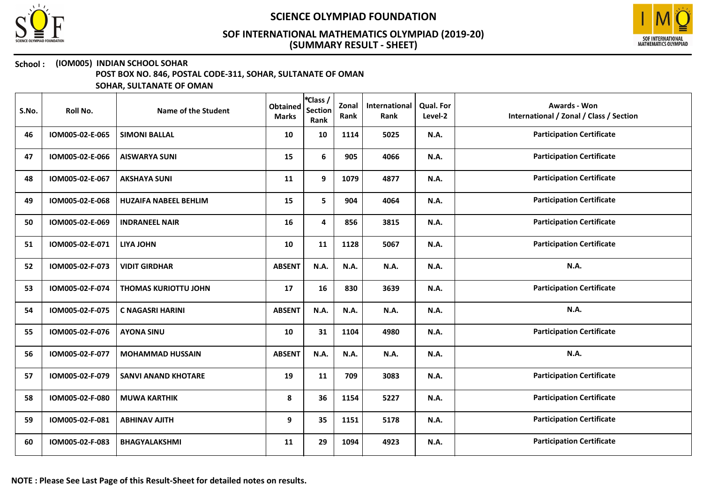



# School : (IOM005) INDIAN SCHOOL SOHAR

POST BOX NO. 846, POSTAL CODE-311, SOHAR, SULTANATE OF OMAN

| S.No. | Roll No.        | Name of the Student          | <b>Obtained</b><br><b>Marks</b> | *Class /<br><b>Section</b><br>Rank | Zonal<br>Rank | International<br>Rank | Qual. For<br>Level-2 | <b>Awards - Won</b><br>International / Zonal / Class / Section |
|-------|-----------------|------------------------------|---------------------------------|------------------------------------|---------------|-----------------------|----------------------|----------------------------------------------------------------|
| 46    | IOM005-02-E-065 | <b>SIMONI BALLAL</b>         | 10                              | 10                                 | 1114          | 5025                  | <b>N.A.</b>          | <b>Participation Certificate</b>                               |
| 47    | IOM005-02-E-066 | <b>AISWARYA SUNI</b>         | 15                              | 6                                  | 905           | 4066                  | <b>N.A.</b>          | <b>Participation Certificate</b>                               |
| 48    | IOM005-02-E-067 | <b>AKSHAYA SUNI</b>          | 11                              | 9                                  | 1079          | 4877                  | <b>N.A.</b>          | <b>Participation Certificate</b>                               |
| 49    | IOM005-02-E-068 | <b>HUZAIFA NABEEL BEHLIM</b> | 15                              | 5                                  | 904           | 4064                  | <b>N.A.</b>          | <b>Participation Certificate</b>                               |
| 50    | IOM005-02-E-069 | <b>INDRANEEL NAIR</b>        | 16                              | 4                                  | 856           | 3815                  | <b>N.A.</b>          | <b>Participation Certificate</b>                               |
| 51    | IOM005-02-E-071 | <b>LIYA JOHN</b>             | 10                              | 11                                 | 1128          | 5067                  | <b>N.A.</b>          | <b>Participation Certificate</b>                               |
| 52    | IOM005-02-F-073 | <b>VIDIT GIRDHAR</b>         | <b>ABSENT</b>                   | N.A.                               | N.A.          | <b>N.A.</b>           | <b>N.A.</b>          | N.A.                                                           |
| 53    | IOM005-02-F-074 | <b>THOMAS KURIOTTU JOHN</b>  | 17                              | 16                                 | 830           | 3639                  | N.A.                 | <b>Participation Certificate</b>                               |
| 54    | IOM005-02-F-075 | <b>C NAGASRI HARINI</b>      | <b>ABSENT</b>                   | N.A.                               | N.A.          | N.A.                  | N.A.                 | N.A.                                                           |
| 55    | IOM005-02-F-076 | <b>AYONA SINU</b>            | 10                              | 31                                 | 1104          | 4980                  | <b>N.A.</b>          | <b>Participation Certificate</b>                               |
| 56    | IOM005-02-F-077 | <b>MOHAMMAD HUSSAIN</b>      | <b>ABSENT</b>                   | N.A.                               | N.A.          | N.A.                  | <b>N.A.</b>          | <b>N.A.</b>                                                    |
| 57    | IOM005-02-F-079 | <b>SANVI ANAND KHOTARE</b>   | 19                              | 11                                 | 709           | 3083                  | <b>N.A.</b>          | <b>Participation Certificate</b>                               |
| 58    | IOM005-02-F-080 | <b>MUWA KARTHIK</b>          | 8                               | 36                                 | 1154          | 5227                  | <b>N.A.</b>          | <b>Participation Certificate</b>                               |
| 59    | IOM005-02-F-081 | <b>ABHINAV AJITH</b>         | 9                               | 35                                 | 1151          | 5178                  | <b>N.A.</b>          | <b>Participation Certificate</b>                               |
| 60    | IOM005-02-F-083 | <b>BHAGYALAKSHMI</b>         | 11                              | 29                                 | 1094          | 4923                  | <b>N.A.</b>          | <b>Participation Certificate</b>                               |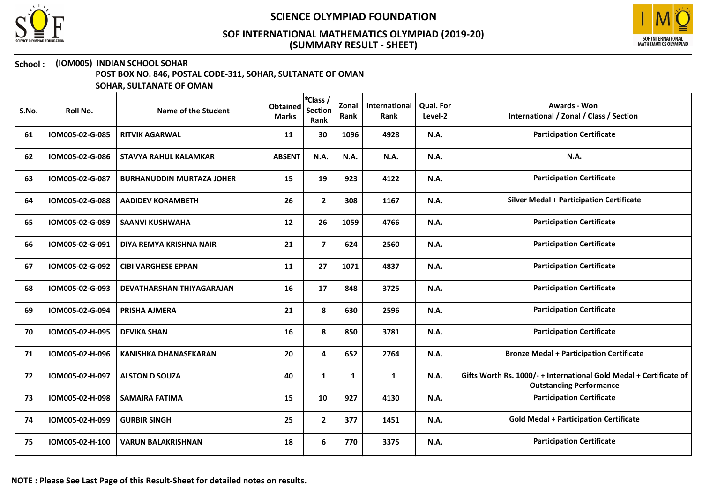



## School : (IOM005) INDIAN SCHOOL SOHAR

POST BOX NO. 846, POSTAL CODE-311, SOHAR, SULTANATE OF OMAN

| S.No. | <b>Roll No.</b> | <b>Name of the Student</b>       | <b>Obtained</b><br><b>Marks</b> | *Class /<br><b>Section</b><br>Rank | Zonal<br>Rank | International<br>Rank | Qual. For<br>Level-2 | <b>Awards - Won</b><br>International / Zonal / Class / Section                                       |
|-------|-----------------|----------------------------------|---------------------------------|------------------------------------|---------------|-----------------------|----------------------|------------------------------------------------------------------------------------------------------|
| 61    | IOM005-02-G-085 | <b>RITVIK AGARWAL</b>            | 11                              | 30                                 | 1096          | 4928                  | N.A.                 | <b>Participation Certificate</b>                                                                     |
| 62    | IOM005-02-G-086 | <b>STAVYA RAHUL KALAMKAR</b>     | <b>ABSENT</b>                   | N.A.                               | N.A.          | N.A.                  | <b>N.A.</b>          | N.A.                                                                                                 |
| 63    | IOM005-02-G-087 | <b>BURHANUDDIN MURTAZA JOHER</b> | 15                              | 19                                 | 923           | 4122                  | N.A.                 | <b>Participation Certificate</b>                                                                     |
| 64    | IOM005-02-G-088 | <b>AADIDEV KORAMBETH</b>         | 26                              | $\mathbf{2}$                       | 308           | 1167                  | N.A.                 | <b>Silver Medal + Participation Certificate</b>                                                      |
| 65    | IOM005-02-G-089 | <b>SAANVI KUSHWAHA</b>           | $12 \overline{ }$               | 26                                 | 1059          | 4766                  | N.A.                 | <b>Participation Certificate</b>                                                                     |
| 66    | IOM005-02-G-091 | DIYA REMYA KRISHNA NAIR          | 21                              | $\overline{7}$                     | 624           | 2560                  | N.A.                 | <b>Participation Certificate</b>                                                                     |
| 67    | IOM005-02-G-092 | <b>CIBI VARGHESE EPPAN</b>       | 11                              | 27                                 | 1071          | 4837                  | N.A.                 | <b>Participation Certificate</b>                                                                     |
| 68    | IOM005-02-G-093 | <b>DEVATHARSHAN THIYAGARAJAN</b> | 16                              | 17                                 | 848           | 3725                  | N.A.                 | <b>Participation Certificate</b>                                                                     |
| 69    | IOM005-02-G-094 | PRISHA AJMERA                    | 21                              | 8                                  | 630           | 2596                  | N.A.                 | <b>Participation Certificate</b>                                                                     |
| 70    | IOM005-02-H-095 | <b>DEVIKA SHAN</b>               | 16                              | 8                                  | 850           | 3781                  | N.A.                 | <b>Participation Certificate</b>                                                                     |
| 71    | IOM005-02-H-096 | <b>KANISHKA DHANASEKARAN</b>     | 20                              | 4                                  | 652           | 2764                  | N.A.                 | <b>Bronze Medal + Participation Certificate</b>                                                      |
| 72    | IOM005-02-H-097 | <b>ALSTON D SOUZA</b>            | 40                              | $\mathbf{1}$                       | $\mathbf{1}$  | $\mathbf{1}$          | N.A.                 | Gifts Worth Rs. 1000/- + International Gold Medal + Certificate of<br><b>Outstanding Performance</b> |
| 73    | IOM005-02-H-098 | <b>SAMAIRA FATIMA</b>            | 15                              | 10                                 | 927           | 4130                  | N.A.                 | <b>Participation Certificate</b>                                                                     |
| 74    | IOM005-02-H-099 | <b>GURBIR SINGH</b>              | 25                              | $\mathbf{2}$                       | 377           | 1451                  | N.A.                 | <b>Gold Medal + Participation Certificate</b>                                                        |
| 75    | IOM005-02-H-100 | <b>VARUN BALAKRISHNAN</b>        | 18                              | 6                                  | 770           | 3375                  | N.A.                 | <b>Participation Certificate</b>                                                                     |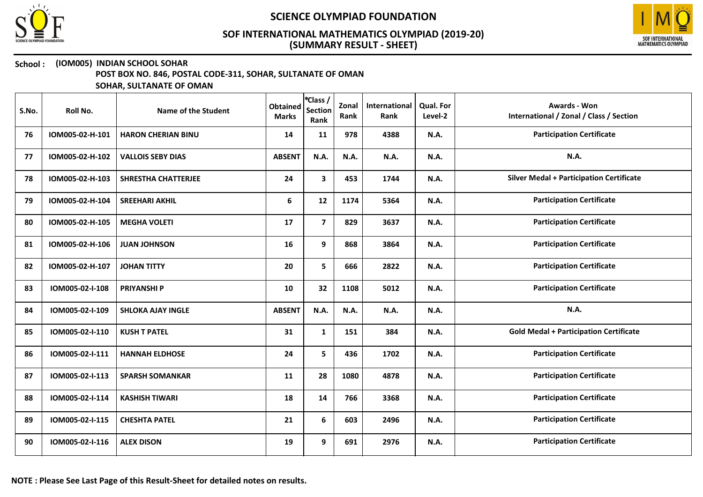



## School : (IOM005) INDIAN SCHOOL SOHAR

POST BOX NO. 846, POSTAL CODE-311, SOHAR, SULTANATE OF OMAN

| S.No. | Roll No.        | Name of the Student        | <b>Obtained</b><br><b>Marks</b> | *Class /<br><b>Section</b><br>Rank | Zonal<br>Rank | International<br>Rank | <b>Qual. For</b><br>Level-2 | <b>Awards - Won</b><br>International / Zonal / Class / Section |
|-------|-----------------|----------------------------|---------------------------------|------------------------------------|---------------|-----------------------|-----------------------------|----------------------------------------------------------------|
| 76    | IOM005-02-H-101 | <b>HARON CHERIAN BINU</b>  | 14                              | 11                                 | 978           | 4388                  | <b>N.A.</b>                 | <b>Participation Certificate</b>                               |
| 77    | IOM005-02-H-102 | <b>VALLOIS SEBY DIAS</b>   | <b>ABSENT</b>                   | N.A.                               | N.A.          | N.A.                  | <b>N.A.</b>                 | N.A.                                                           |
| 78    | IOM005-02-H-103 | <b>SHRESTHA CHATTERJEE</b> | 24                              | 3                                  | 453           | 1744                  | <b>N.A.</b>                 | <b>Silver Medal + Participation Certificate</b>                |
| 79    | IOM005-02-H-104 | <b>SREEHARI AKHIL</b>      | 6                               | 12                                 | 1174          | 5364                  | <b>N.A.</b>                 | <b>Participation Certificate</b>                               |
| 80    | IOM005-02-H-105 | <b>MEGHA VOLETI</b>        | 17                              | $\overline{7}$                     | 829           | 3637                  | <b>N.A.</b>                 | <b>Participation Certificate</b>                               |
| 81    | IOM005-02-H-106 | <b>JUAN JOHNSON</b>        | 16                              | 9                                  | 868           | 3864                  | N.A.                        | <b>Participation Certificate</b>                               |
| 82    | IOM005-02-H-107 | <b>JOHAN TITTY</b>         | 20                              | 5                                  | 666           | 2822                  | <b>N.A.</b>                 | <b>Participation Certificate</b>                               |
| 83    | IOM005-02-I-108 | <b>PRIYANSHI P</b>         | 10                              | 32                                 | 1108          | 5012                  | N.A.                        | <b>Participation Certificate</b>                               |
| 84    | IOM005-02-I-109 | <b>SHLOKA AJAY INGLE</b>   | <b>ABSENT</b>                   | N.A.                               | N.A.          | N.A.                  | <b>N.A.</b>                 | N.A.                                                           |
| 85    | IOM005-02-I-110 | <b>KUSH T PATEL</b>        | 31                              | $\mathbf{1}$                       | 151           | 384                   | <b>N.A.</b>                 | <b>Gold Medal + Participation Certificate</b>                  |
| 86    | IOM005-02-I-111 | <b>HANNAH ELDHOSE</b>      | 24                              | 5                                  | 436           | 1702                  | <b>N.A.</b>                 | <b>Participation Certificate</b>                               |
| 87    | IOM005-02-I-113 | <b>SPARSH SOMANKAR</b>     | 11                              | 28                                 | 1080          | 4878                  | <b>N.A.</b>                 | <b>Participation Certificate</b>                               |
| 88    | IOM005-02-I-114 | <b>KASHISH TIWARI</b>      | 18                              | 14                                 | 766           | 3368                  | <b>N.A.</b>                 | <b>Participation Certificate</b>                               |
| 89    | IOM005-02-I-115 | <b>CHESHTA PATEL</b>       | 21                              | 6                                  | 603           | 2496                  | <b>N.A.</b>                 | <b>Participation Certificate</b>                               |
| 90    | IOM005-02-I-116 | <b>ALEX DISON</b>          | 19                              | 9                                  | 691           | 2976                  | <b>N.A.</b>                 | <b>Participation Certificate</b>                               |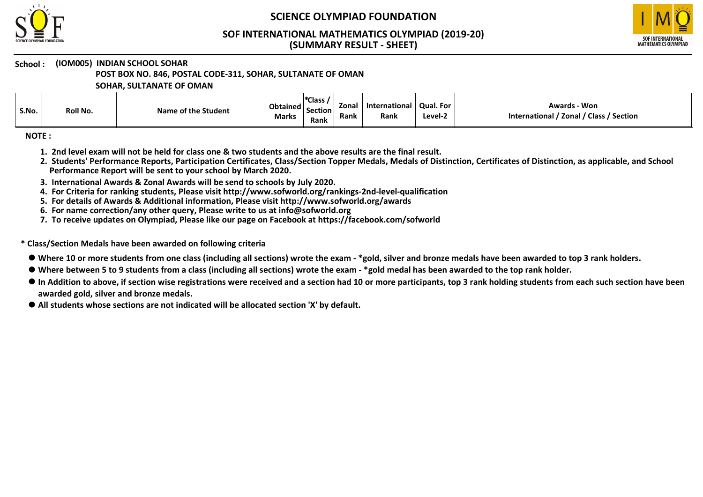

# SCIENCE OLYMPIAD FOUNDATION

#### (SUMMARY RESULT - SHEET) SOF INTERNATIONAL MATHEMATICS OLYMPIAD (2019-20)



#### School : (IOM005) INDIAN SCHOOL SOHAR

POST BOX NO. 846, POSTAL CODE-311, SOHAR, SULTANATE OF OMAN

SOHAR, SULTANATE OF OMAN

| S.No. | Roll No. | Name of the Student | Obtained   c<br><b>Marks</b> | <sup>*</sup> Class,<br><b>Section</b><br>Rank | Zonal<br>Rank | lnternational<br>Rank | <b>Qual. For</b><br>Level-2 | <b>Awards - Won</b><br>' / Class / Section<br>International / Zonal |
|-------|----------|---------------------|------------------------------|-----------------------------------------------|---------------|-----------------------|-----------------------------|---------------------------------------------------------------------|
|-------|----------|---------------------|------------------------------|-----------------------------------------------|---------------|-----------------------|-----------------------------|---------------------------------------------------------------------|

NOTE :

- 1. 2nd level exam will not be held for class one & two students and the above results are the final result.
- 2. Students' Performance Reports, Participation Certificates, Class/Section Topper Medals, Medals of Distinction, Certificates of Distinction, as applicable, and School Performance Report will be sent to your school by March 2020.
- 3. International Awards & Zonal Awards will be send to schools by July 2020.
- 4. For Criteria for ranking students, Please visit http://www.sofworld.org/rankings-2nd-level-qualification
- 5. For details of Awards & Additional information, Please visit http://www.sofworld.org/awards
- 6. For name correction/any other query, Please write to us at info@sofworld.org
- 7. To receive updates on Olympiad, Please like our page on Facebook at https://facebook.com/sofworld

#### \* Class/Section Medals have been awarded on following criteria

- Where 10 or more students from one class (including all sections) wrote the exam \*gold, silver and bronze medals have been awarded to top 3 rank holders.
- Where between 5 to 9 students from a class (including all sections) wrote the exam \*gold medal has been awarded to the top rank holder.
- $\bullet$  In Addition to above, if section wise registrations were received and a section had 10 or more participants, top 3 rank holding students from each such section have been awarded gold, silver and bronze medals.
- All students whose sections are not indicated will be allocated section 'X' by default.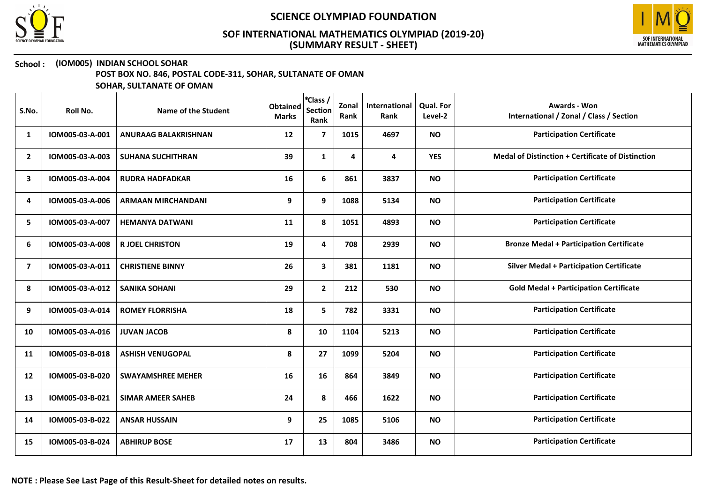



## School : (IOM005) INDIAN SCHOOL SOHAR

POST BOX NO. 846, POSTAL CODE-311, SOHAR, SULTANATE OF OMAN

| S.No.          | Roll No.        | Name of the Student         | <b>Obtained</b><br><b>Marks</b> | <sup>*</sup> Class /<br><b>Section</b><br>Rank | Zonal<br>Rank | International<br>Rank | <b>Qual. For</b><br>Level-2 | <b>Awards - Won</b><br>International / Zonal / Class / Section |
|----------------|-----------------|-----------------------------|---------------------------------|------------------------------------------------|---------------|-----------------------|-----------------------------|----------------------------------------------------------------|
| 1              | IOM005-03-A-001 | <b>ANURAAG BALAKRISHNAN</b> | 12                              | $\overline{7}$                                 | 1015          | 4697                  | <b>NO</b>                   | <b>Participation Certificate</b>                               |
| $\mathbf{2}$   | IOM005-03-A-003 | <b>SUHANA SUCHITHRAN</b>    | 39                              | $\mathbf{1}$                                   | 4             | 4                     | <b>YES</b>                  | <b>Medal of Distinction + Certificate of Distinction</b>       |
| 3              | IOM005-03-A-004 | <b>RUDRA HADFADKAR</b>      | 16                              | 6                                              | 861           | 3837                  | <b>NO</b>                   | <b>Participation Certificate</b>                               |
| 4              | IOM005-03-A-006 | <b>ARMAAN MIRCHANDANI</b>   | 9                               | 9                                              | 1088          | 5134                  | <b>NO</b>                   | <b>Participation Certificate</b>                               |
| 5              | IOM005-03-A-007 | <b>HEMANYA DATWANI</b>      | 11                              | 8                                              | 1051          | 4893                  | <b>NO</b>                   | <b>Participation Certificate</b>                               |
| 6              | IOM005-03-A-008 | <b>R JOEL CHRISTON</b>      | 19                              | 4                                              | 708           | 2939                  | <b>NO</b>                   | <b>Bronze Medal + Participation Certificate</b>                |
| $\overline{ }$ | IOM005-03-A-011 | <b>CHRISTIENE BINNY</b>     | 26                              | 3                                              | 381           | 1181                  | <b>NO</b>                   | <b>Silver Medal + Participation Certificate</b>                |
| 8              | IOM005-03-A-012 | <b>SANIKA SOHANI</b>        | 29                              | $\mathbf{2}$                                   | 212           | 530                   | <b>NO</b>                   | <b>Gold Medal + Participation Certificate</b>                  |
| 9              | IOM005-03-A-014 | <b>ROMEY FLORRISHA</b>      | 18                              | 5                                              | 782           | 3331                  | <b>NO</b>                   | <b>Participation Certificate</b>                               |
| 10             | IOM005-03-A-016 | <b>JUVAN JACOB</b>          | 8                               | 10                                             | 1104          | 5213                  | <b>NO</b>                   | <b>Participation Certificate</b>                               |
| 11             | IOM005-03-B-018 | <b>ASHISH VENUGOPAL</b>     | 8                               | 27                                             | 1099          | 5204                  | <b>NO</b>                   | <b>Participation Certificate</b>                               |
| 12             | IOM005-03-B-020 | <b>SWAYAMSHREE MEHER</b>    | 16                              | 16                                             | 864           | 3849                  | <b>NO</b>                   | <b>Participation Certificate</b>                               |
| 13             | IOM005-03-B-021 | <b>SIMAR AMEER SAHEB</b>    | 24                              | 8                                              | 466           | 1622                  | <b>NO</b>                   | <b>Participation Certificate</b>                               |
| 14             | IOM005-03-B-022 | <b>ANSAR HUSSAIN</b>        | 9                               | 25                                             | 1085          | 5106                  | <b>NO</b>                   | <b>Participation Certificate</b>                               |
| 15             | IOM005-03-B-024 | <b>ABHIRUP BOSE</b>         | 17                              | 13                                             | 804           | 3486                  | <b>NO</b>                   | <b>Participation Certificate</b>                               |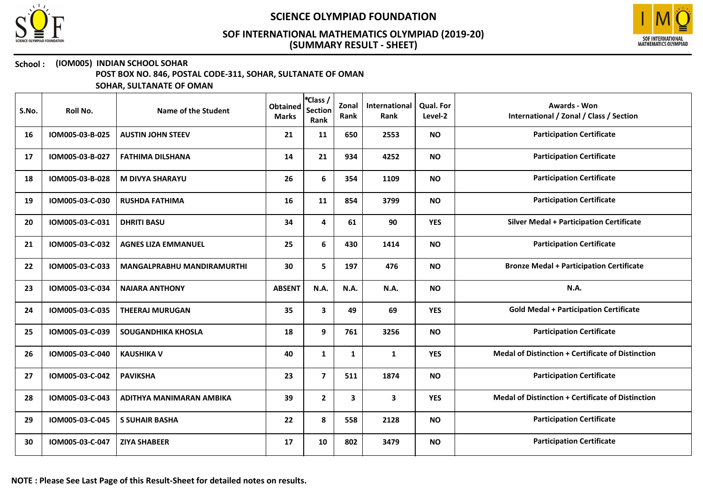



## School : (IOM005) INDIAN SCHOOL SOHAR

POST BOX NO. 846, POSTAL CODE-311, SOHAR, SULTANATE OF OMAN

| S.No. | Roll No.        | Name of the Student        | <b>Obtained</b><br><b>Marks</b> | *Class /<br><b>Section</b><br>Rank | Zonal<br>Rank | International<br>Rank | Qual. For<br>Level-2 | Awards - Won<br>International / Zonal / Class / Section  |
|-------|-----------------|----------------------------|---------------------------------|------------------------------------|---------------|-----------------------|----------------------|----------------------------------------------------------|
| 16    | IOM005-03-B-025 | <b>AUSTIN JOHN STEEV</b>   | 21                              | 11                                 | 650           | 2553                  | <b>NO</b>            | <b>Participation Certificate</b>                         |
| 17    | IOM005-03-B-027 | <b>FATHIMA DILSHANA</b>    | 14                              | 21                                 | 934           | 4252                  | <b>NO</b>            | <b>Participation Certificate</b>                         |
| 18    | IOM005-03-B-028 | <b>M DIVYA SHARAYU</b>     | 26                              | 6                                  | 354           | 1109                  | <b>NO</b>            | <b>Participation Certificate</b>                         |
| 19    | IOM005-03-C-030 | <b>RUSHDA FATHIMA</b>      | 16                              | 11                                 | 854           | 3799                  | <b>NO</b>            | <b>Participation Certificate</b>                         |
| 20    | IOM005-03-C-031 | <b>DHRITI BASU</b>         | 34                              | 4                                  | 61            | 90                    | <b>YES</b>           | <b>Silver Medal + Participation Certificate</b>          |
| 21    | IOM005-03-C-032 | <b>AGNES LIZA EMMANUEL</b> | 25                              | 6                                  | 430           | 1414                  | <b>NO</b>            | <b>Participation Certificate</b>                         |
| 22    | IOM005-03-C-033 | MANGALPRABHU MANDIRAMURTHI | 30                              | 5                                  | 197           | 476                   | <b>NO</b>            | <b>Bronze Medal + Participation Certificate</b>          |
| 23    | IOM005-03-C-034 | <b>NAIARA ANTHONY</b>      | <b>ABSENT</b>                   | N.A.                               | <b>N.A.</b>   | N.A.                  | <b>NO</b>            | N.A.                                                     |
| 24    | IOM005-03-C-035 | <b>THEERAJ MURUGAN</b>     | 35                              | $\mathbf{3}$                       | 49            | 69                    | <b>YES</b>           | <b>Gold Medal + Participation Certificate</b>            |
| 25    | IOM005-03-C-039 | <b>SOUGANDHIKA KHOSLA</b>  | 18                              | 9                                  | 761           | 3256                  | <b>NO</b>            | <b>Participation Certificate</b>                         |
| 26    | IOM005-03-C-040 | <b>KAUSHIKA V</b>          | 40                              | $\mathbf{1}$                       | $\mathbf{1}$  | $\mathbf{1}$          | <b>YES</b>           | <b>Medal of Distinction + Certificate of Distinction</b> |
| 27    | IOM005-03-C-042 | <b>PAVIKSHA</b>            | 23                              | $\overline{\mathbf{z}}$            | 511           | 1874                  | <b>NO</b>            | <b>Participation Certificate</b>                         |
| 28    | IOM005-03-C-043 | ADITHYA MANIMARAN AMBIKA   | 39                              | $\mathbf{2}$                       | 3             | $\mathbf{3}$          | <b>YES</b>           | <b>Medal of Distinction + Certificate of Distinction</b> |
| 29    | IOM005-03-C-045 | <b>S SUHAIR BASHA</b>      | 22                              | 8                                  | 558           | 2128                  | <b>NO</b>            | <b>Participation Certificate</b>                         |
| 30    | IOM005-03-C-047 | <b>ZIYA SHABEER</b>        | 17                              | 10                                 | 802           | 3479                  | <b>NO</b>            | <b>Participation Certificate</b>                         |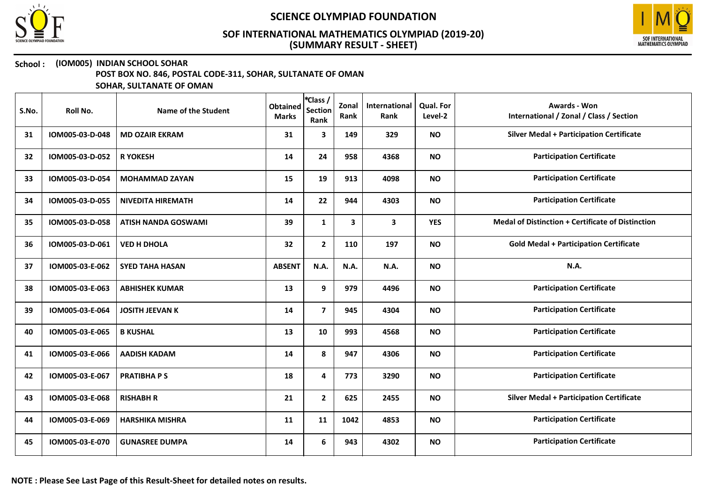



### School : (IOM005) INDIAN SCHOOL SOHAR

POST BOX NO. 846, POSTAL CODE-311, SOHAR, SULTANATE OF OMAN

| S.No. | <b>Roll No.</b> | <b>Name of the Student</b> | <b>Obtained</b><br><b>Marks</b> | *Class /<br><b>Section</b><br>Rank | Zonal<br>Rank | International<br>Rank | Qual. For<br>Level-2 | Awards - Won<br>International / Zonal / Class / Section |
|-------|-----------------|----------------------------|---------------------------------|------------------------------------|---------------|-----------------------|----------------------|---------------------------------------------------------|
| 31    | IOM005-03-D-048 | <b>MD OZAIR EKRAM</b>      | 31                              | $\mathbf{3}$                       | 149           | 329                   | <b>NO</b>            | <b>Silver Medal + Participation Certificate</b>         |
| 32    | IOM005-03-D-052 | <b>R YOKESH</b>            | 14                              | 24                                 | 958           | 4368                  | <b>NO</b>            | <b>Participation Certificate</b>                        |
| 33    | IOM005-03-D-054 | <b>MOHAMMAD ZAYAN</b>      | 15                              | 19                                 | 913           | 4098                  | <b>NO</b>            | <b>Participation Certificate</b>                        |
| 34    | IOM005-03-D-055 | <b>NIVEDITA HIREMATH</b>   | 14                              | 22                                 | 944           | 4303                  | <b>NO</b>            | <b>Participation Certificate</b>                        |
| 35    | IOM005-03-D-058 | <b>ATISH NANDA GOSWAMI</b> | 39                              | 1                                  | 3             | 3                     | <b>YES</b>           | Medal of Distinction + Certificate of Distinction       |
| 36    | IOM005-03-D-061 | <b>VED H DHOLA</b>         | 32                              | $\mathbf{2}$                       | 110           | 197                   | <b>NO</b>            | <b>Gold Medal + Participation Certificate</b>           |
| 37    | IOM005-03-E-062 | <b>SYED TAHA HASAN</b>     | <b>ABSENT</b>                   | N.A.                               | N.A.          | N.A.                  | <b>NO</b>            | <b>N.A.</b>                                             |
| 38    | IOM005-03-E-063 | <b>ABHISHEK KUMAR</b>      | 13                              | 9                                  | 979           | 4496                  | <b>NO</b>            | <b>Participation Certificate</b>                        |
| 39    | IOM005-03-E-064 | <b>JOSITH JEEVAN K</b>     | 14                              | $\overline{7}$                     | 945           | 4304                  | <b>NO</b>            | <b>Participation Certificate</b>                        |
| 40    | IOM005-03-E-065 | <b>B KUSHAL</b>            | 13                              | 10                                 | 993           | 4568                  | <b>NO</b>            | <b>Participation Certificate</b>                        |
| 41    | IOM005-03-E-066 | <b>AADISH KADAM</b>        | 14                              | 8                                  | 947           | 4306                  | <b>NO</b>            | <b>Participation Certificate</b>                        |
| 42    | IOM005-03-E-067 | <b>PRATIBHAPS</b>          | 18                              | 4                                  | 773           | 3290                  | <b>NO</b>            | <b>Participation Certificate</b>                        |
| 43    | IOM005-03-E-068 | <b>RISHABH R</b>           | 21                              | $\mathbf{2}$                       | 625           | 2455                  | <b>NO</b>            | <b>Silver Medal + Participation Certificate</b>         |
| 44    | IOM005-03-E-069 | <b>HARSHIKA MISHRA</b>     | 11                              | 11                                 | 1042          | 4853                  | <b>NO</b>            | <b>Participation Certificate</b>                        |
| 45    | IOM005-03-E-070 | <b>GUNASREE DUMPA</b>      | 14                              | 6                                  | 943           | 4302                  | <b>NO</b>            | <b>Participation Certificate</b>                        |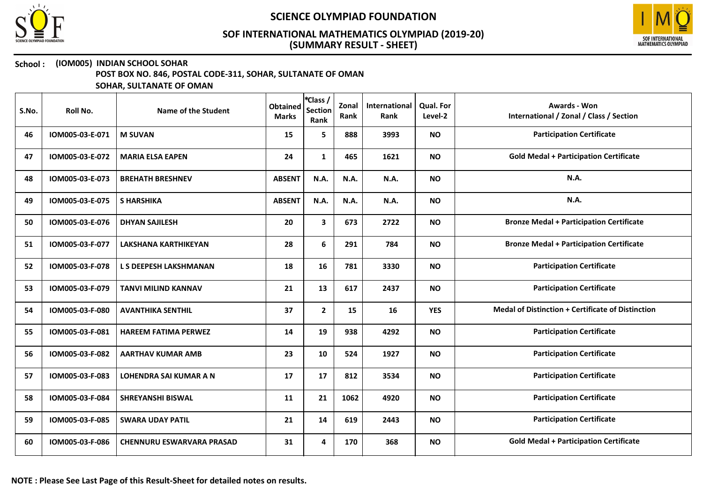



### School : (IOM005) INDIAN SCHOOL SOHAR

POST BOX NO. 846, POSTAL CODE-311, SOHAR, SULTANATE OF OMAN

| S.No. | Roll No.        | Name of the Student              | <b>Obtained</b><br><b>Marks</b> | *Class /<br><b>Section</b><br>Rank | Zonal<br>Rank | International<br>Rank | Qual. For<br>Level-2 | <b>Awards - Won</b><br>International / Zonal / Class / Section |
|-------|-----------------|----------------------------------|---------------------------------|------------------------------------|---------------|-----------------------|----------------------|----------------------------------------------------------------|
| 46    | IOM005-03-E-071 | <b>M SUVAN</b>                   | 15                              | 5                                  | 888           | 3993                  | <b>NO</b>            | <b>Participation Certificate</b>                               |
| 47    | IOM005-03-E-072 | <b>MARIA ELSA EAPEN</b>          | 24                              | $\mathbf{1}$                       | 465           | 1621                  | <b>NO</b>            | <b>Gold Medal + Participation Certificate</b>                  |
| 48    | IOM005-03-E-073 | <b>BREHATH BRESHNEV</b>          | <b>ABSENT</b>                   | N.A.                               | N.A.          | N.A.                  | <b>NO</b>            | N.A.                                                           |
| 49    | IOM005-03-E-075 | <b>S HARSHIKA</b>                | <b>ABSENT</b>                   | N.A.                               | <b>N.A.</b>   | <b>N.A.</b>           | <b>NO</b>            | N.A.                                                           |
| 50    | IOM005-03-E-076 | <b>DHYAN SAJILESH</b>            | 20                              | 3                                  | 673           | 2722                  | <b>NO</b>            | <b>Bronze Medal + Participation Certificate</b>                |
| 51    | IOM005-03-F-077 | <b>LAKSHANA KARTHIKEYAN</b>      | 28                              | 6                                  | 291           | 784                   | <b>NO</b>            | <b>Bronze Medal + Participation Certificate</b>                |
| 52    | IOM005-03-F-078 | L S DEEPESH LAKSHMANAN           | 18                              | 16                                 | 781           | 3330                  | <b>NO</b>            | <b>Participation Certificate</b>                               |
| 53    | IOM005-03-F-079 | <b>TANVI MILIND KANNAV</b>       | 21                              | 13                                 | 617           | 2437                  | <b>NO</b>            | <b>Participation Certificate</b>                               |
| 54    | IOM005-03-F-080 | <b>AVANTHIKA SENTHIL</b>         | 37                              | $\mathbf{2}$                       | 15            | 16                    | <b>YES</b>           | <b>Medal of Distinction + Certificate of Distinction</b>       |
| 55    | IOM005-03-F-081 | <b>HAREEM FATIMA PERWEZ</b>      | 14                              | 19                                 | 938           | 4292                  | <b>NO</b>            | <b>Participation Certificate</b>                               |
| 56    | IOM005-03-F-082 | <b>AARTHAV KUMAR AMB</b>         | 23                              | 10                                 | 524           | 1927                  | <b>NO</b>            | <b>Participation Certificate</b>                               |
| 57    | IOM005-03-F-083 | <b>LOHENDRA SAI KUMAR A N</b>    | 17                              | 17                                 | 812           | 3534                  | <b>NO</b>            | <b>Participation Certificate</b>                               |
| 58    | IOM005-03-F-084 | <b>SHREYANSHI BISWAL</b>         | 11                              | 21                                 | 1062          | 4920                  | <b>NO</b>            | <b>Participation Certificate</b>                               |
| 59    | IOM005-03-F-085 | <b>SWARA UDAY PATIL</b>          | 21                              | 14                                 | 619           | 2443                  | <b>NO</b>            | <b>Participation Certificate</b>                               |
| 60    | IOM005-03-F-086 | <b>CHENNURU ESWARVARA PRASAD</b> | 31                              | 4                                  | 170           | 368                   | <b>NO</b>            | <b>Gold Medal + Participation Certificate</b>                  |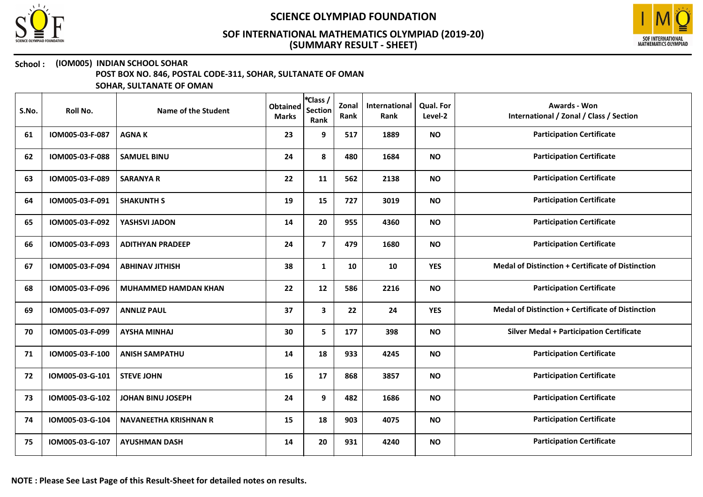



### School : (IOM005) INDIAN SCHOOL SOHAR

POST BOX NO. 846, POSTAL CODE-311, SOHAR, SULTANATE OF OMAN

| S.No. | Roll No.        | Name of the Student          | <b>Obtained</b><br><b>Marks</b> | *Class /<br><b>Section</b><br>Rank | Zonal<br>Rank | International<br>Rank | <b>Qual. For</b><br>Level-2 | <b>Awards - Won</b><br>International / Zonal / Class / Section |
|-------|-----------------|------------------------------|---------------------------------|------------------------------------|---------------|-----------------------|-----------------------------|----------------------------------------------------------------|
| 61    | IOM005-03-F-087 | <b>AGNAK</b>                 | 23                              | 9                                  | 517           | 1889                  | <b>NO</b>                   | <b>Participation Certificate</b>                               |
| 62    | IOM005-03-F-088 | <b>SAMUEL BINU</b>           | 24                              | 8                                  | 480           | 1684                  | <b>NO</b>                   | <b>Participation Certificate</b>                               |
| 63    | IOM005-03-F-089 | <b>SARANYA R</b>             | 22                              | 11                                 | 562           | 2138                  | <b>NO</b>                   | <b>Participation Certificate</b>                               |
| 64    | IOM005-03-F-091 | <b>SHAKUNTH S</b>            | 19                              | 15                                 | 727           | 3019                  | <b>NO</b>                   | <b>Participation Certificate</b>                               |
| 65    | IOM005-03-F-092 | YASHSVI JADON                | 14                              | 20                                 | 955           | 4360                  | <b>NO</b>                   | <b>Participation Certificate</b>                               |
| 66    | IOM005-03-F-093 | <b>ADITHYAN PRADEEP</b>      | 24                              | $\overline{7}$                     | 479           | 1680                  | <b>NO</b>                   | <b>Participation Certificate</b>                               |
| 67    | IOM005-03-F-094 | <b>ABHINAV JITHISH</b>       | 38                              | $\mathbf{1}$                       | 10            | 10                    | <b>YES</b>                  | <b>Medal of Distinction + Certificate of Distinction</b>       |
| 68    | IOM005-03-F-096 | <b>MUHAMMED HAMDAN KHAN</b>  | 22                              | 12                                 | 586           | 2216                  | <b>NO</b>                   | <b>Participation Certificate</b>                               |
| 69    | IOM005-03-F-097 | <b>ANNLIZ PAUL</b>           | 37                              | $\mathbf{3}$                       | 22            | 24                    | <b>YES</b>                  | <b>Medal of Distinction + Certificate of Distinction</b>       |
| 70    | IOM005-03-F-099 | <b>AYSHA MINHAJ</b>          | 30                              | 5                                  | 177           | 398                   | <b>NO</b>                   | <b>Silver Medal + Participation Certificate</b>                |
| 71    | IOM005-03-F-100 | <b>ANISH SAMPATHU</b>        | 14                              | 18                                 | 933           | 4245                  | <b>NO</b>                   | <b>Participation Certificate</b>                               |
| 72    | IOM005-03-G-101 | <b>STEVE JOHN</b>            | 16                              | 17                                 | 868           | 3857                  | <b>NO</b>                   | <b>Participation Certificate</b>                               |
| 73    | IOM005-03-G-102 | <b>JOHAN BINU JOSEPH</b>     | 24                              | 9                                  | 482           | 1686                  | <b>NO</b>                   | <b>Participation Certificate</b>                               |
| 74    | IOM005-03-G-104 | <b>NAVANEETHA KRISHNAN R</b> | 15                              | 18                                 | 903           | 4075                  | <b>NO</b>                   | <b>Participation Certificate</b>                               |
| 75    | IOM005-03-G-107 | <b>AYUSHMAN DASH</b>         | 14                              | 20                                 | 931           | 4240                  | <b>NO</b>                   | <b>Participation Certificate</b>                               |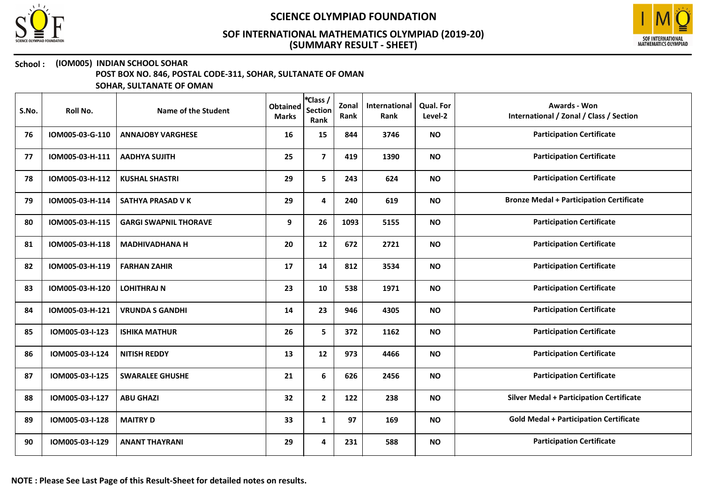



### School : (IOM005) INDIAN SCHOOL SOHAR

POST BOX NO. 846, POSTAL CODE-311, SOHAR, SULTANATE OF OMAN

| S.No. | Roll No.        | Name of the Student          | <b>Obtained</b><br><b>Marks</b> | *Class /<br><b>Section</b><br>Rank | Zonal<br>Rank | International<br>Rank | Qual. For<br>Level-2 | <b>Awards - Won</b><br>International / Zonal / Class / Section |
|-------|-----------------|------------------------------|---------------------------------|------------------------------------|---------------|-----------------------|----------------------|----------------------------------------------------------------|
| 76    | IOM005-03-G-110 | <b>ANNAJOBY VARGHESE</b>     | 16                              | 15                                 | 844           | 3746                  | <b>NO</b>            | <b>Participation Certificate</b>                               |
| 77    | IOM005-03-H-111 | <b>AADHYA SUJITH</b>         | 25                              | $\overline{7}$                     | 419           | 1390                  | <b>NO</b>            | <b>Participation Certificate</b>                               |
| 78    | IOM005-03-H-112 | <b>KUSHAL SHASTRI</b>        | 29                              | 5                                  | 243           | 624                   | <b>NO</b>            | <b>Participation Certificate</b>                               |
| 79    | IOM005-03-H-114 | SATHYA PRASAD V K            | 29                              | 4                                  | 240           | 619                   | <b>NO</b>            | <b>Bronze Medal + Participation Certificate</b>                |
| 80    | IOM005-03-H-115 | <b>GARGI SWAPNIL THORAVE</b> | 9                               | 26                                 | 1093          | 5155                  | <b>NO</b>            | <b>Participation Certificate</b>                               |
| 81    | IOM005-03-H-118 | <b>MADHIVADHANA H</b>        | 20                              | 12                                 | 672           | 2721                  | <b>NO</b>            | <b>Participation Certificate</b>                               |
| 82    | IOM005-03-H-119 | <b>FARHAN ZAHIR</b>          | 17                              | 14                                 | 812           | 3534                  | <b>NO</b>            | <b>Participation Certificate</b>                               |
| 83    | IOM005-03-H-120 | <b>LOHITHRAJ N</b>           | 23                              | 10                                 | 538           | 1971                  | <b>NO</b>            | <b>Participation Certificate</b>                               |
| 84    | IOM005-03-H-121 | <b>VRUNDA S GANDHI</b>       | 14                              | 23                                 | 946           | 4305                  | <b>NO</b>            | <b>Participation Certificate</b>                               |
| 85    | IOM005-03-I-123 | <b>ISHIKA MATHUR</b>         | 26                              | 5                                  | 372           | 1162                  | <b>NO</b>            | <b>Participation Certificate</b>                               |
| 86    | IOM005-03-I-124 | <b>NITISH REDDY</b>          | 13                              | 12                                 | 973           | 4466                  | <b>NO</b>            | <b>Participation Certificate</b>                               |
| 87    | IOM005-03-I-125 | <b>SWARALEE GHUSHE</b>       | 21                              | 6                                  | 626           | 2456                  | <b>NO</b>            | <b>Participation Certificate</b>                               |
| 88    | IOM005-03-I-127 | <b>ABU GHAZI</b>             | 32                              | $\mathbf{2}$                       | 122           | 238                   | <b>NO</b>            | <b>Silver Medal + Participation Certificate</b>                |
| 89    | IOM005-03-I-128 | <b>MAITRY D</b>              | 33                              | $\mathbf{1}$                       | 97            | 169                   | <b>NO</b>            | <b>Gold Medal + Participation Certificate</b>                  |
| 90    | IOM005-03-I-129 | <b>ANANT THAYRANI</b>        | 29                              | 4                                  | 231           | 588                   | <b>NO</b>            | <b>Participation Certificate</b>                               |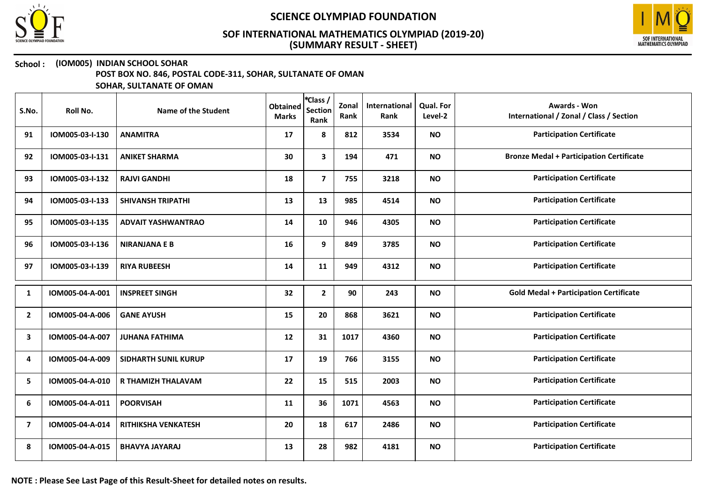



### School : (IOM005) INDIAN SCHOOL SOHAR

POST BOX NO. 846, POSTAL CODE-311, SOHAR, SULTANATE OF OMAN

| S.No.          | Roll No.        | Name of the Student         | <b>Obtained</b><br><b>Marks</b> | *Class /<br><b>Section</b><br>Rank | Zonal<br>Rank | International<br>Rank | <b>Qual. For</b><br>Level-2 | <b>Awards - Won</b><br>International / Zonal / Class / Section |
|----------------|-----------------|-----------------------------|---------------------------------|------------------------------------|---------------|-----------------------|-----------------------------|----------------------------------------------------------------|
| 91             | IOM005-03-I-130 | <b>ANAMITRA</b>             | 17                              | 8                                  | 812           | 3534                  | <b>NO</b>                   | <b>Participation Certificate</b>                               |
| 92             | IOM005-03-I-131 | <b>ANIKET SHARMA</b>        | 30                              | 3                                  | 194           | 471                   | <b>NO</b>                   | <b>Bronze Medal + Participation Certificate</b>                |
| 93             | IOM005-03-I-132 | <b>RAJVI GANDHI</b>         | 18                              | $\overline{7}$                     | 755           | 3218                  | <b>NO</b>                   | <b>Participation Certificate</b>                               |
| 94             | IOM005-03-I-133 | <b>SHIVANSH TRIPATHI</b>    | 13                              | 13                                 | 985           | 4514                  | <b>NO</b>                   | <b>Participation Certificate</b>                               |
| 95             | IOM005-03-I-135 | <b>ADVAIT YASHWANTRAO</b>   | 14                              | 10                                 | 946           | 4305                  | <b>NO</b>                   | <b>Participation Certificate</b>                               |
| 96             | IOM005-03-I-136 | <b>NIRANJANA E B</b>        | 16                              | 9                                  | 849           | 3785                  | <b>NO</b>                   | <b>Participation Certificate</b>                               |
| 97             | IOM005-03-I-139 | <b>RIYA RUBEESH</b>         | 14                              | 11                                 | 949           | 4312                  | <b>NO</b>                   | <b>Participation Certificate</b>                               |
| 1              | IOM005-04-A-001 | <b>INSPREET SINGH</b>       | 32                              | $\mathbf{2}$                       | 90            | 243                   | <b>NO</b>                   | <b>Gold Medal + Participation Certificate</b>                  |
| $\overline{2}$ | IOM005-04-A-006 | <b>GANE AYUSH</b>           | 15                              | 20                                 | 868           | 3621                  | <b>NO</b>                   | <b>Participation Certificate</b>                               |
| 3              | IOM005-04-A-007 | <b>JUHANA FATHIMA</b>       | 12                              | 31                                 | 1017          | 4360                  | <b>NO</b>                   | <b>Participation Certificate</b>                               |
| 4              | IOM005-04-A-009 | <b>SIDHARTH SUNIL KURUP</b> | 17                              | 19                                 | 766           | 3155                  | <b>NO</b>                   | <b>Participation Certificate</b>                               |
| 5              | IOM005-04-A-010 | R THAMIZH THALAVAM          | 22                              | 15                                 | 515           | 2003                  | <b>NO</b>                   | <b>Participation Certificate</b>                               |
| 6              | IOM005-04-A-011 | <b>POORVISAH</b>            | 11                              | 36                                 | 1071          | 4563                  | <b>NO</b>                   | <b>Participation Certificate</b>                               |
| $\overline{7}$ | IOM005-04-A-014 | RITHIKSHA VENKATESH         | 20                              | 18                                 | 617           | 2486                  | <b>NO</b>                   | <b>Participation Certificate</b>                               |
| 8              | IOM005-04-A-015 | <b>BHAVYA JAYARAJ</b>       | 13                              | 28                                 | 982           | 4181                  | <b>NO</b>                   | <b>Participation Certificate</b>                               |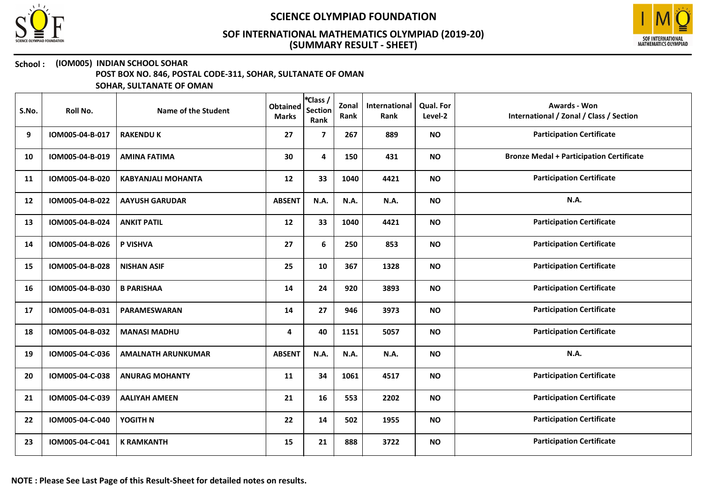



### School : (IOM005) INDIAN SCHOOL SOHAR

POST BOX NO. 846, POSTAL CODE-311, SOHAR, SULTANATE OF OMAN

| S.No. | Roll No.        | Name of the Student       | <b>Obtained</b><br><b>Marks</b> | *Class /<br><b>Section</b><br>Rank | Zonal<br>Rank | International<br>Rank | <b>Qual. For</b><br>Level-2 | <b>Awards - Won</b><br>International / Zonal / Class / Section |
|-------|-----------------|---------------------------|---------------------------------|------------------------------------|---------------|-----------------------|-----------------------------|----------------------------------------------------------------|
| 9     | IOM005-04-B-017 | <b>RAKENDU K</b>          | 27                              | $\overline{\mathbf{z}}$            | 267           | 889                   | <b>NO</b>                   | <b>Participation Certificate</b>                               |
| 10    | IOM005-04-B-019 | <b>AMINA FATIMA</b>       | 30                              | $\overline{\mathbf{4}}$            | 150           | 431                   | <b>NO</b>                   | <b>Bronze Medal + Participation Certificate</b>                |
| 11    | IOM005-04-B-020 | <b>KABYANJALI MOHANTA</b> | 12                              | 33                                 | 1040          | 4421                  | <b>NO</b>                   | <b>Participation Certificate</b>                               |
| 12    | IOM005-04-B-022 | <b>AAYUSH GARUDAR</b>     | <b>ABSENT</b>                   | N.A.                               | N.A.          | N.A.                  | <b>NO</b>                   | N.A.                                                           |
| 13    | IOM005-04-B-024 | <b>ANKIT PATIL</b>        | 12                              | 33                                 | 1040          | 4421                  | <b>NO</b>                   | <b>Participation Certificate</b>                               |
| 14    | IOM005-04-B-026 | P VISHVA                  | 27                              | 6                                  | 250           | 853                   | <b>NO</b>                   | <b>Participation Certificate</b>                               |
| 15    | IOM005-04-B-028 | <b>NISHAN ASIF</b>        | 25                              | 10                                 | 367           | 1328                  | <b>NO</b>                   | <b>Participation Certificate</b>                               |
| 16    | IOM005-04-B-030 | <b>B PARISHAA</b>         | 14                              | 24                                 | 920           | 3893                  | <b>NO</b>                   | <b>Participation Certificate</b>                               |
| 17    | IOM005-04-B-031 | <b>PARAMESWARAN</b>       | 14                              | 27                                 | 946           | 3973                  | <b>NO</b>                   | <b>Participation Certificate</b>                               |
| 18    | IOM005-04-B-032 | <b>MANASI MADHU</b>       | 4                               | 40                                 | 1151          | 5057                  | <b>NO</b>                   | <b>Participation Certificate</b>                               |
| 19    | IOM005-04-C-036 | <b>AMALNATH ARUNKUMAR</b> | <b>ABSENT</b>                   | <b>N.A.</b>                        | <b>N.A.</b>   | N.A.                  | <b>NO</b>                   | N.A.                                                           |
| 20    | IOM005-04-C-038 | <b>ANURAG MOHANTY</b>     | 11                              | 34                                 | 1061          | 4517                  | <b>NO</b>                   | <b>Participation Certificate</b>                               |
| 21    | IOM005-04-C-039 | <b>AALIYAH AMEEN</b>      | 21                              | 16                                 | 553           | 2202                  | <b>NO</b>                   | <b>Participation Certificate</b>                               |
| 22    | IOM005-04-C-040 | YOGITH N                  | 22                              | 14                                 | 502           | 1955                  | <b>NO</b>                   | <b>Participation Certificate</b>                               |
| 23    | IOM005-04-C-041 | <b>K RAMKANTH</b>         | 15                              | 21                                 | 888           | 3722                  | <b>NO</b>                   | <b>Participation Certificate</b>                               |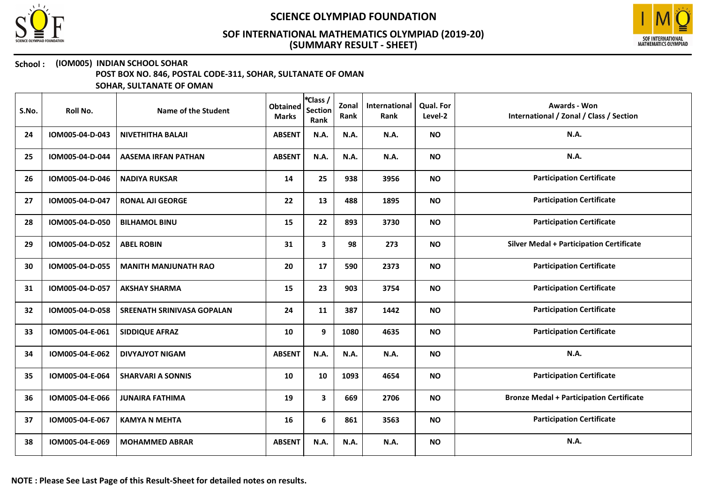



## School : (IOM005) INDIAN SCHOOL SOHAR

POST BOX NO. 846, POSTAL CODE-311, SOHAR, SULTANATE OF OMAN

| S.No. | Roll No.        | Name of the Student         | <b>Obtained</b><br><b>Marks</b> | *Class /<br><b>Section</b><br>Rank | Zonal<br>Rank | International<br>Rank | <b>Qual. For</b><br>Level-2 | <b>Awards - Won</b><br>International / Zonal / Class / Section |
|-------|-----------------|-----------------------------|---------------------------------|------------------------------------|---------------|-----------------------|-----------------------------|----------------------------------------------------------------|
| 24    | IOM005-04-D-043 | <b>NIVETHITHA BALAJI</b>    | <b>ABSENT</b>                   | N.A.                               | N.A.          | N.A.                  | <b>NO</b>                   | <b>N.A.</b>                                                    |
| 25    | IOM005-04-D-044 | <b>AASEMA IRFAN PATHAN</b>  | <b>ABSENT</b>                   | N.A.                               | N.A.          | N.A.                  | <b>NO</b>                   | N.A.                                                           |
| 26    | IOM005-04-D-046 | <b>NADIYA RUKSAR</b>        | 14                              | 25                                 | 938           | 3956                  | <b>NO</b>                   | <b>Participation Certificate</b>                               |
| 27    | IOM005-04-D-047 | <b>RONAL AJI GEORGE</b>     | 22                              | 13                                 | 488           | 1895                  | <b>NO</b>                   | <b>Participation Certificate</b>                               |
| 28    | IOM005-04-D-050 | <b>BILHAMOL BINU</b>        | 15                              | 22                                 | 893           | 3730                  | <b>NO</b>                   | <b>Participation Certificate</b>                               |
| 29    | IOM005-04-D-052 | <b>ABEL ROBIN</b>           | 31                              | $\mathbf{3}$                       | 98            | 273                   | <b>NO</b>                   | <b>Silver Medal + Participation Certificate</b>                |
| 30    | IOM005-04-D-055 | <b>MANITH MANJUNATH RAO</b> | 20                              | 17                                 | 590           | 2373                  | <b>NO</b>                   | <b>Participation Certificate</b>                               |
| 31    | IOM005-04-D-057 | <b>AKSHAY SHARMA</b>        | 15                              | 23                                 | 903           | 3754                  | <b>NO</b>                   | <b>Participation Certificate</b>                               |
| 32    | IOM005-04-D-058 | SREENATH SRINIVASA GOPALAN  | 24                              | 11                                 | 387           | 1442                  | <b>NO</b>                   | <b>Participation Certificate</b>                               |
| 33    | IOM005-04-E-061 | <b>SIDDIQUE AFRAZ</b>       | 10                              | 9                                  | 1080          | 4635                  | <b>NO</b>                   | <b>Participation Certificate</b>                               |
| 34    | IOM005-04-E-062 | <b>DIVYAJYOT NIGAM</b>      | <b>ABSENT</b>                   | N.A.                               | N.A.          | N.A.                  | <b>NO</b>                   | N.A.                                                           |
| 35    | IOM005-04-E-064 | <b>SHARVARI A SONNIS</b>    | 10                              | 10                                 | 1093          | 4654                  | <b>NO</b>                   | <b>Participation Certificate</b>                               |
| 36    | IOM005-04-E-066 | <b>JUNAIRA FATHIMA</b>      | 19                              | 3                                  | 669           | 2706                  | <b>NO</b>                   | <b>Bronze Medal + Participation Certificate</b>                |
| 37    | IOM005-04-E-067 | <b>KAMYA N MEHTA</b>        | 16                              | 6                                  | 861           | 3563                  | <b>NO</b>                   | <b>Participation Certificate</b>                               |
| 38    | IOM005-04-E-069 | <b>MOHAMMED ABRAR</b>       | <b>ABSENT</b>                   | N.A.                               | N.A.          | N.A.                  | <b>NO</b>                   | N.A.                                                           |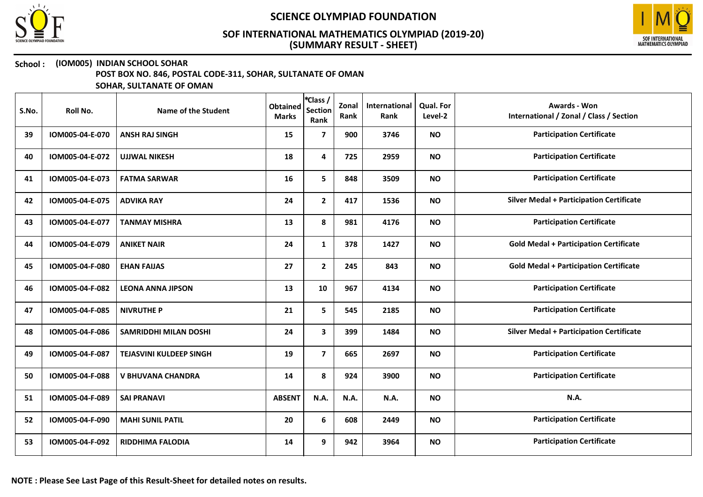



### School : (IOM005) INDIAN SCHOOL SOHAR

POST BOX NO. 846, POSTAL CODE-311, SOHAR, SULTANATE OF OMAN

| S.No. | Roll No.        | Name of the Student            | <b>Obtained</b><br><b>Marks</b> | *Class /<br><b>Section</b><br>Rank | Zonal<br>Rank | International<br>Rank | <b>Qual. For</b><br>Level-2 | <b>Awards - Won</b><br>International / Zonal / Class / Section |
|-------|-----------------|--------------------------------|---------------------------------|------------------------------------|---------------|-----------------------|-----------------------------|----------------------------------------------------------------|
| 39    | IOM005-04-E-070 | <b>ANSH RAJ SINGH</b>          | 15                              | $\overline{7}$                     | 900           | 3746                  | <b>NO</b>                   | <b>Participation Certificate</b>                               |
| 40    | IOM005-04-E-072 | <b>UJJWAL NIKESH</b>           | 18                              | 4                                  | 725           | 2959                  | <b>NO</b>                   | <b>Participation Certificate</b>                               |
| 41    | IOM005-04-E-073 | <b>FATMA SARWAR</b>            | 16                              | 5                                  | 848           | 3509                  | <b>NO</b>                   | <b>Participation Certificate</b>                               |
| 42    | IOM005-04-E-075 | <b>ADVIKA RAY</b>              | 24                              | $\mathbf{2}$                       | 417           | 1536                  | <b>NO</b>                   | <b>Silver Medal + Participation Certificate</b>                |
| 43    | IOM005-04-E-077 | <b>TANMAY MISHRA</b>           | 13                              | 8                                  | 981           | 4176                  | <b>NO</b>                   | <b>Participation Certificate</b>                               |
| 44    | IOM005-04-E-079 | <b>ANIKET NAIR</b>             | 24                              | $\mathbf{1}$                       | 378           | 1427                  | <b>NO</b>                   | <b>Gold Medal + Participation Certificate</b>                  |
| 45    | IOM005-04-F-080 | <b>EHAN FAIJAS</b>             | 27                              | $\mathbf{2}$                       | 245           | 843                   | <b>NO</b>                   | <b>Gold Medal + Participation Certificate</b>                  |
| 46    | IOM005-04-F-082 | <b>LEONA ANNA JIPSON</b>       | 13                              | 10                                 | 967           | 4134                  | <b>NO</b>                   | <b>Participation Certificate</b>                               |
| 47    | IOM005-04-F-085 | <b>NIVRUTHE P</b>              | 21                              | 5                                  | 545           | 2185                  | <b>NO</b>                   | <b>Participation Certificate</b>                               |
| 48    | IOM005-04-F-086 | <b>SAMRIDDHI MILAN DOSHI</b>   | 24                              | 3                                  | 399           | 1484                  | <b>NO</b>                   | <b>Silver Medal + Participation Certificate</b>                |
| 49    | IOM005-04-F-087 | <b>TEJASVINI KULDEEP SINGH</b> | 19                              | $\overline{7}$                     | 665           | 2697                  | <b>NO</b>                   | <b>Participation Certificate</b>                               |
| 50    | IOM005-04-F-088 | V BHUVANA CHANDRA              | 14                              | 8                                  | 924           | 3900                  | <b>NO</b>                   | <b>Participation Certificate</b>                               |
| 51    | IOM005-04-F-089 | <b>SAI PRANAVI</b>             | <b>ABSENT</b>                   | N.A.                               | N.A.          | N.A.                  | <b>NO</b>                   | N.A.                                                           |
| 52    | IOM005-04-F-090 | <b>MAHI SUNIL PATIL</b>        | 20                              | 6                                  | 608           | 2449                  | <b>NO</b>                   | <b>Participation Certificate</b>                               |
| 53    | IOM005-04-F-092 | <b>RIDDHIMA FALODIA</b>        | 14                              | 9                                  | 942           | 3964                  | <b>NO</b>                   | <b>Participation Certificate</b>                               |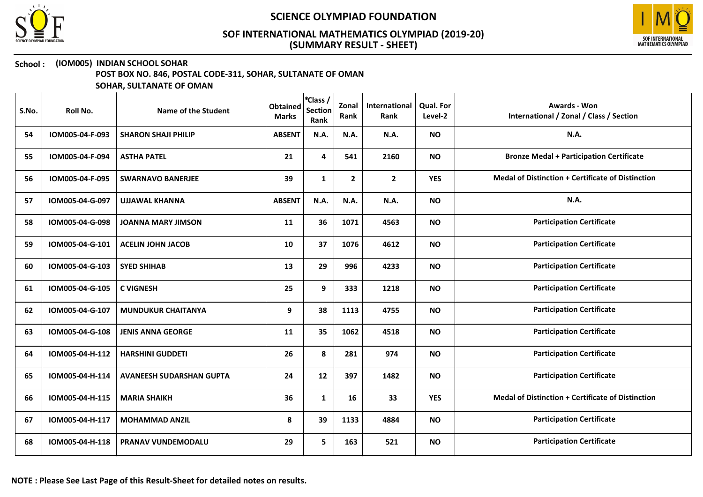



## School : (IOM005) INDIAN SCHOOL SOHAR

POST BOX NO. 846, POSTAL CODE-311, SOHAR, SULTANATE OF OMAN

| S.No. | Roll No.        | Name of the Student             | <b>Obtained</b><br><b>Marks</b> | *Class /<br><b>Section</b><br>Rank | Zonal<br>Rank | International<br>Rank | Qual. For<br>Level-2 | <b>Awards - Won</b><br>International / Zonal / Class / Section |
|-------|-----------------|---------------------------------|---------------------------------|------------------------------------|---------------|-----------------------|----------------------|----------------------------------------------------------------|
| 54    | IOM005-04-F-093 | <b>SHARON SHAJI PHILIP</b>      | <b>ABSENT</b>                   | N.A.                               | <b>N.A.</b>   | N.A.                  | <b>NO</b>            | N.A.                                                           |
| 55    | IOM005-04-F-094 | <b>ASTHA PATEL</b>              | 21                              | 4                                  | 541           | 2160                  | <b>NO</b>            | <b>Bronze Medal + Participation Certificate</b>                |
| 56    | IOM005-04-F-095 | <b>SWARNAVO BANERJEE</b>        | 39                              | $\mathbf{1}$                       | $\mathbf{2}$  | $\overline{2}$        | <b>YES</b>           | <b>Medal of Distinction + Certificate of Distinction</b>       |
| 57    | IOM005-04-G-097 | <b>UJJAWAL KHANNA</b>           | <b>ABSENT</b>                   | N.A.                               | N.A.          | N.A.                  | <b>NO</b>            | N.A.                                                           |
| 58    | IOM005-04-G-098 | <b>JOANNA MARY JIMSON</b>       | 11                              | 36                                 | 1071          | 4563                  | <b>NO</b>            | <b>Participation Certificate</b>                               |
| 59    | IOM005-04-G-101 | <b>ACELIN JOHN JACOB</b>        | 10                              | 37                                 | 1076          | 4612                  | <b>NO</b>            | <b>Participation Certificate</b>                               |
| 60    | IOM005-04-G-103 | <b>SYED SHIHAB</b>              | 13                              | 29                                 | 996           | 4233                  | <b>NO</b>            | <b>Participation Certificate</b>                               |
| 61    | IOM005-04-G-105 | <b>C VIGNESH</b>                | 25                              | 9                                  | 333           | 1218                  | <b>NO</b>            | <b>Participation Certificate</b>                               |
| 62    | IOM005-04-G-107 | <b>MUNDUKUR CHAITANYA</b>       | 9                               | 38                                 | 1113          | 4755                  | <b>NO</b>            | <b>Participation Certificate</b>                               |
| 63    | IOM005-04-G-108 | <b>JENIS ANNA GEORGE</b>        | 11                              | 35                                 | 1062          | 4518                  | <b>NO</b>            | <b>Participation Certificate</b>                               |
| 64    | IOM005-04-H-112 | <b>HARSHINI GUDDETI</b>         | 26                              | 8                                  | 281           | 974                   | <b>NO</b>            | <b>Participation Certificate</b>                               |
| 65    | IOM005-04-H-114 | <b>AVANEESH SUDARSHAN GUPTA</b> | 24                              | 12                                 | 397           | 1482                  | <b>NO</b>            | <b>Participation Certificate</b>                               |
| 66    | IOM005-04-H-115 | <b>MARIA SHAIKH</b>             | 36                              | $\mathbf{1}$                       | 16            | 33                    | <b>YES</b>           | Medal of Distinction + Certificate of Distinction              |
| 67    | IOM005-04-H-117 | <b>MOHAMMAD ANZIL</b>           | 8                               | 39                                 | 1133          | 4884                  | <b>NO</b>            | <b>Participation Certificate</b>                               |
| 68    | IOM005-04-H-118 | PRANAV VUNDEMODALU              | 29                              | 5                                  | 163           | 521                   | <b>NO</b>            | <b>Participation Certificate</b>                               |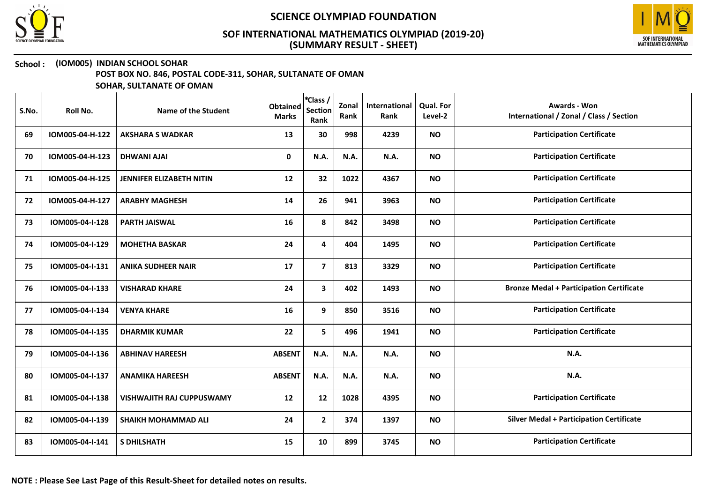



# School : (IOM005) INDIAN SCHOOL SOHAR

POST BOX NO. 846, POSTAL CODE-311, SOHAR, SULTANATE OF OMAN

| S.No. | Roll No.        | Name of the Student              | <b>Obtained</b><br><b>Marks</b> | *Class /<br><b>Section</b><br>Rank | Zonal<br>Rank | International<br>Rank | Qual. For<br>Level-2 | <b>Awards - Won</b><br>International / Zonal / Class / Section |
|-------|-----------------|----------------------------------|---------------------------------|------------------------------------|---------------|-----------------------|----------------------|----------------------------------------------------------------|
| 69    | IOM005-04-H-122 | <b>AKSHARA S WADKAR</b>          | 13                              | 30                                 | 998           | 4239                  | <b>NO</b>            | <b>Participation Certificate</b>                               |
| 70    | IOM005-04-H-123 | <b>DHWANI AJAI</b>               | 0                               | N.A.                               | N.A.          | N.A.                  | <b>NO</b>            | <b>Participation Certificate</b>                               |
| 71    | IOM005-04-H-125 | <b>JENNIFER ELIZABETH NITIN</b>  | 12                              | 32                                 | 1022          | 4367                  | <b>NO</b>            | <b>Participation Certificate</b>                               |
| 72    | IOM005-04-H-127 | <b>ARABHY MAGHESH</b>            | 14                              | 26                                 | 941           | 3963                  | <b>NO</b>            | <b>Participation Certificate</b>                               |
| 73    | IOM005-04-I-128 | <b>PARTH JAISWAL</b>             | 16                              | 8                                  | 842           | 3498                  | <b>NO</b>            | <b>Participation Certificate</b>                               |
| 74    | IOM005-04-I-129 | <b>MOHETHA BASKAR</b>            | 24                              | 4                                  | 404           | 1495                  | <b>NO</b>            | <b>Participation Certificate</b>                               |
| 75    | IOM005-04-I-131 | <b>ANIKA SUDHEER NAIR</b>        | 17                              | $\overline{7}$                     | 813           | 3329                  | <b>NO</b>            | <b>Participation Certificate</b>                               |
| 76    | IOM005-04-I-133 | <b>VISHARAD KHARE</b>            | 24                              | 3                                  | 402           | 1493                  | <b>NO</b>            | <b>Bronze Medal + Participation Certificate</b>                |
| 77    | IOM005-04-I-134 | <b>VENYA KHARE</b>               | 16                              | 9                                  | 850           | 3516                  | <b>NO</b>            | <b>Participation Certificate</b>                               |
| 78    | IOM005-04-I-135 | <b>DHARMIK KUMAR</b>             | 22                              | 5                                  | 496           | 1941                  | <b>NO</b>            | <b>Participation Certificate</b>                               |
| 79    | IOM005-04-I-136 | <b>ABHINAV HAREESH</b>           | <b>ABSENT</b>                   | N.A.                               | <b>N.A.</b>   | N.A.                  | <b>NO</b>            | <b>N.A.</b>                                                    |
| 80    | IOM005-04-I-137 | <b>ANAMIKA HAREESH</b>           | <b>ABSENT</b>                   | <b>N.A.</b>                        | N.A.          | N.A.                  | <b>NO</b>            | <b>N.A.</b>                                                    |
| 81    | IOM005-04-I-138 | <b>VISHWAJITH RAJ CUPPUSWAMY</b> | 12                              | 12                                 | 1028          | 4395                  | <b>NO</b>            | <b>Participation Certificate</b>                               |
| 82    | IOM005-04-I-139 | <b>SHAIKH MOHAMMAD ALI</b>       | 24                              | $\overline{2}$                     | 374           | 1397                  | <b>NO</b>            | <b>Silver Medal + Participation Certificate</b>                |
| 83    | IOM005-04-I-141 | <b>S DHILSHATH</b>               | 15                              | 10                                 | 899           | 3745                  | <b>NO</b>            | <b>Participation Certificate</b>                               |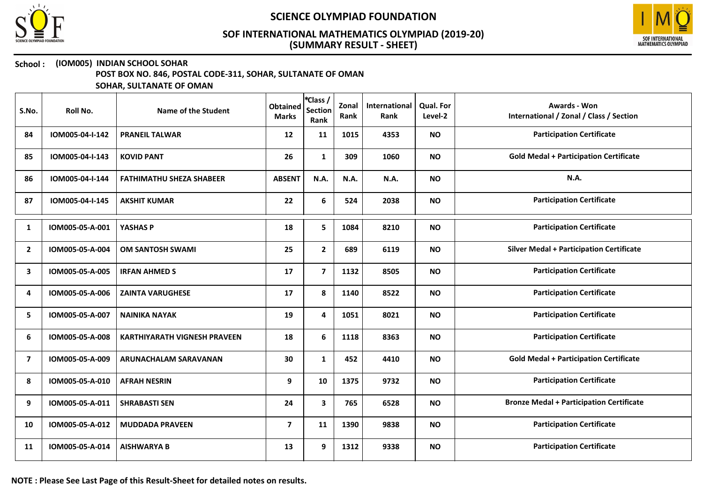



### School : (IOM005) INDIAN SCHOOL SOHAR

POST BOX NO. 846, POSTAL CODE-311, SOHAR, SULTANATE OF OMAN

| S.No.          | Roll No.        | Name of the Student                 | <b>Obtained</b><br><b>Marks</b> | *Class /<br><b>Section</b><br>Rank | Zonal<br>Rank | International<br>Rank | <b>Qual. For</b><br>Level-2 | Awards - Won<br>International / Zonal / Class / Section |
|----------------|-----------------|-------------------------------------|---------------------------------|------------------------------------|---------------|-----------------------|-----------------------------|---------------------------------------------------------|
| 84             | IOM005-04-I-142 | <b>PRANEIL TALWAR</b>               | 12                              | 11                                 | 1015          | 4353                  | <b>NO</b>                   | <b>Participation Certificate</b>                        |
| 85             | IOM005-04-I-143 | <b>KOVID PANT</b>                   | 26                              | $\mathbf{1}$                       | 309           | 1060                  | <b>NO</b>                   | <b>Gold Medal + Participation Certificate</b>           |
| 86             | IOM005-04-I-144 | <b>FATHIMATHU SHEZA SHABEER</b>     | <b>ABSENT</b>                   | N.A.                               | N.A.          | <b>N.A.</b>           | <b>NO</b>                   | <b>N.A.</b>                                             |
| 87             | IOM005-04-I-145 | <b>AKSHIT KUMAR</b>                 | 22                              | 6                                  | 524           | 2038                  | <b>NO</b>                   | <b>Participation Certificate</b>                        |
| 1              | IOM005-05-A-001 | YASHAS P                            | 18                              | 5                                  | 1084          | 8210                  | <b>NO</b>                   | <b>Participation Certificate</b>                        |
| $\overline{2}$ | IOM005-05-A-004 | <b>OM SANTOSH SWAMI</b>             | 25                              | $\mathbf{2}$                       | 689           | 6119                  | <b>NO</b>                   | <b>Silver Medal + Participation Certificate</b>         |
| 3              | IOM005-05-A-005 | <b>IRFAN AHMED S</b>                | 17                              | $\overline{\mathbf{z}}$            | 1132          | 8505                  | <b>NO</b>                   | <b>Participation Certificate</b>                        |
| 4              | IOM005-05-A-006 | <b>ZAINTA VARUGHESE</b>             | 17                              | 8                                  | 1140          | 8522                  | <b>NO</b>                   | <b>Participation Certificate</b>                        |
| 5              | IOM005-05-A-007 | <b>NAINIKA NAYAK</b>                | 19                              | 4                                  | 1051          | 8021                  | <b>NO</b>                   | <b>Participation Certificate</b>                        |
| 6              | IOM005-05-A-008 | <b>KARTHIYARATH VIGNESH PRAVEEN</b> | 18                              | 6                                  | 1118          | 8363                  | <b>NO</b>                   | <b>Participation Certificate</b>                        |
| $\overline{7}$ | IOM005-05-A-009 | <b>ARUNACHALAM SARAVANAN</b>        | 30                              | $\mathbf{1}$                       | 452           | 4410                  | <b>NO</b>                   | <b>Gold Medal + Participation Certificate</b>           |
| 8              | IOM005-05-A-010 | <b>AFRAH NESRIN</b>                 | 9                               | 10                                 | 1375          | 9732                  | <b>NO</b>                   | <b>Participation Certificate</b>                        |
| 9              | IOM005-05-A-011 | <b>SHRABASTI SEN</b>                | 24                              | 3                                  | 765           | 6528                  | <b>NO</b>                   | <b>Bronze Medal + Participation Certificate</b>         |
| 10             | IOM005-05-A-012 | <b>MUDDADA PRAVEEN</b>              | 7                               | 11                                 | 1390          | 9838                  | <b>NO</b>                   | <b>Participation Certificate</b>                        |
| 11             | IOM005-05-A-014 | <b>AISHWARYA B</b>                  | 13                              | 9                                  | 1312          | 9338                  | <b>NO</b>                   | <b>Participation Certificate</b>                        |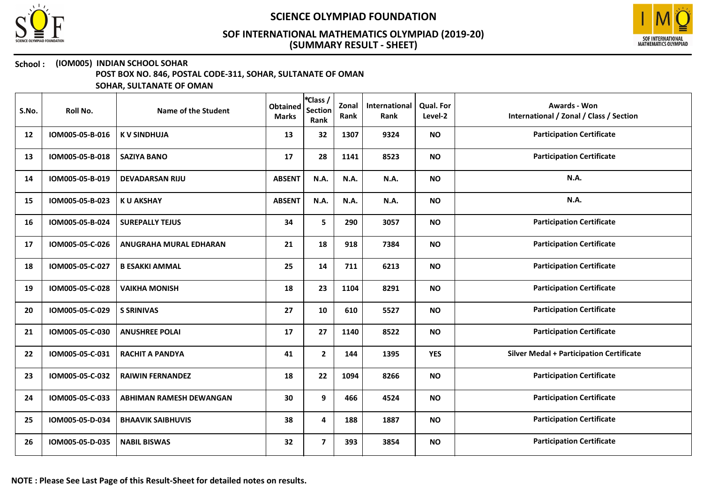



### School : (IOM005) INDIAN SCHOOL SOHAR

POST BOX NO. 846, POSTAL CODE-311, SOHAR, SULTANATE OF OMAN

| S.No. | Roll No.        | Name of the Student            | <b>Obtained</b><br><b>Marks</b> | *Class /<br><b>Section</b><br>Rank | Zonal<br>Rank | International<br>Rank | Qual. For<br>Level-2 | <b>Awards - Won</b><br>International / Zonal / Class / Section |
|-------|-----------------|--------------------------------|---------------------------------|------------------------------------|---------------|-----------------------|----------------------|----------------------------------------------------------------|
| 12    | IOM005-05-B-016 | <b>KV SINDHUJA</b>             | 13                              | 32                                 | 1307          | 9324                  | <b>NO</b>            | <b>Participation Certificate</b>                               |
| 13    | IOM005-05-B-018 | <b>SAZIYA BANO</b>             | 17                              | 28                                 | 1141          | 8523                  | <b>NO</b>            | <b>Participation Certificate</b>                               |
| 14    | IOM005-05-B-019 | <b>DEVADARSAN RIJU</b>         | <b>ABSENT</b>                   | N.A.                               | <b>N.A.</b>   | N.A.                  | <b>NO</b>            | N.A.                                                           |
| 15    | IOM005-05-B-023 | <b>KU AKSHAY</b>               | <b>ABSENT</b>                   | N.A.                               | N.A.          | N.A.                  | <b>NO</b>            | N.A.                                                           |
| 16    | IOM005-05-B-024 | <b>SUREPALLY TEJUS</b>         | 34                              | 5                                  | 290           | 3057                  | <b>NO</b>            | <b>Participation Certificate</b>                               |
| 17    | IOM005-05-C-026 | ANUGRAHA MURAL EDHARAN         | 21                              | 18                                 | 918           | 7384                  | <b>NO</b>            | <b>Participation Certificate</b>                               |
| 18    | IOM005-05-C-027 | <b>B ESAKKI AMMAL</b>          | 25                              | 14                                 | 711           | 6213                  | <b>NO</b>            | <b>Participation Certificate</b>                               |
| 19    | IOM005-05-C-028 | <b>VAIKHA MONISH</b>           | 18                              | 23                                 | 1104          | 8291                  | <b>NO</b>            | <b>Participation Certificate</b>                               |
| 20    | IOM005-05-C-029 | <b>S SRINIVAS</b>              | 27                              | 10                                 | 610           | 5527                  | <b>NO</b>            | <b>Participation Certificate</b>                               |
| 21    | IOM005-05-C-030 | <b>ANUSHREE POLAI</b>          | 17                              | 27                                 | 1140          | 8522                  | <b>NO</b>            | <b>Participation Certificate</b>                               |
| 22    | IOM005-05-C-031 | <b>RACHIT A PANDYA</b>         | 41                              | $\mathbf{2}$                       | 144           | 1395                  | <b>YES</b>           | <b>Silver Medal + Participation Certificate</b>                |
| 23    | IOM005-05-C-032 | <b>RAIWIN FERNANDEZ</b>        | 18                              | 22                                 | 1094          | 8266                  | <b>NO</b>            | <b>Participation Certificate</b>                               |
| 24    | IOM005-05-C-033 | <b>ABHIMAN RAMESH DEWANGAN</b> | 30                              | 9                                  | 466           | 4524                  | <b>NO</b>            | <b>Participation Certificate</b>                               |
| 25    | IOM005-05-D-034 | <b>BHAAVIK SAIBHUVIS</b>       | 38                              | 4                                  | 188           | 1887                  | <b>NO</b>            | <b>Participation Certificate</b>                               |
| 26    | IOM005-05-D-035 | <b>NABIL BISWAS</b>            | 32                              | $\overline{\mathbf{z}}$            | 393           | 3854                  | <b>NO</b>            | <b>Participation Certificate</b>                               |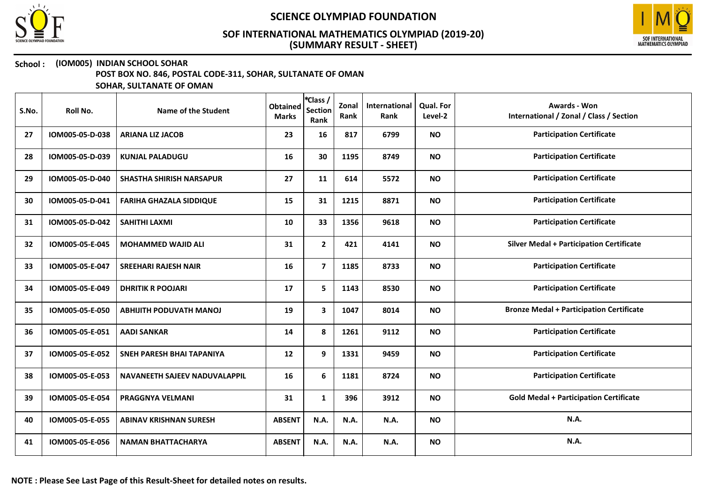



## School : (IOM005) INDIAN SCHOOL SOHAR

POST BOX NO. 846, POSTAL CODE-311, SOHAR, SULTANATE OF OMAN

| S.No. | Roll No.        | Name of the Student              | <b>Obtained</b><br><b>Marks</b> | *Class /<br><b>Section</b><br>Rank | Zonal<br>Rank | International<br>Rank | <b>Qual. For</b><br>Level-2 | <b>Awards - Won</b><br>International / Zonal / Class / Section |
|-------|-----------------|----------------------------------|---------------------------------|------------------------------------|---------------|-----------------------|-----------------------------|----------------------------------------------------------------|
| 27    | IOM005-05-D-038 | <b>ARIANA LIZ JACOB</b>          | 23                              | 16                                 | 817           | 6799                  | <b>NO</b>                   | <b>Participation Certificate</b>                               |
| 28    | IOM005-05-D-039 | <b>KUNJAL PALADUGU</b>           | 16                              | 30                                 | 1195          | 8749                  | <b>NO</b>                   | <b>Participation Certificate</b>                               |
| 29    | IOM005-05-D-040 | <b>SHASTHA SHIRISH NARSAPUR</b>  | 27                              | 11                                 | 614           | 5572                  | <b>NO</b>                   | <b>Participation Certificate</b>                               |
| 30    | IOM005-05-D-041 | <b>FARIHA GHAZALA SIDDIQUE</b>   | 15                              | 31                                 | 1215          | 8871                  | <b>NO</b>                   | <b>Participation Certificate</b>                               |
| 31    | IOM005-05-D-042 | <b>SAHITHI LAXMI</b>             | 10                              | 33                                 | 1356          | 9618                  | <b>NO</b>                   | <b>Participation Certificate</b>                               |
| 32    | IOM005-05-E-045 | <b>MOHAMMED WAJID ALI</b>        | 31                              | $\mathbf{2}$                       | 421           | 4141                  | <b>NO</b>                   | <b>Silver Medal + Participation Certificate</b>                |
| 33    | IOM005-05-E-047 | <b>SREEHARI RAJESH NAIR</b>      | 16                              | $\overline{7}$                     | 1185          | 8733                  | <b>NO</b>                   | <b>Participation Certificate</b>                               |
| 34    | IOM005-05-E-049 | <b>DHRITIK R POOJARI</b>         | 17                              | 5                                  | 1143          | 8530                  | <b>NO</b>                   | <b>Participation Certificate</b>                               |
| 35    | IOM005-05-E-050 | <b>ABHIJITH PODUVATH MANOJ</b>   | 19                              | 3                                  | 1047          | 8014                  | <b>NO</b>                   | <b>Bronze Medal + Participation Certificate</b>                |
| 36    | IOM005-05-E-051 | <b>AADI SANKAR</b>               | 14                              | 8                                  | 1261          | 9112                  | <b>NO</b>                   | <b>Participation Certificate</b>                               |
| 37    | IOM005-05-E-052 | <b>SNEH PARESH BHAI TAPANIYA</b> | 12                              | 9                                  | 1331          | 9459                  | <b>NO</b>                   | <b>Participation Certificate</b>                               |
| 38    | IOM005-05-E-053 | NAVANEETH SAJEEV NADUVALAPPIL    | 16                              | 6                                  | 1181          | 8724                  | <b>NO</b>                   | <b>Participation Certificate</b>                               |
| 39    | IOM005-05-E-054 | PRAGGNYA VELMANI                 | 31                              | $\mathbf{1}$                       | 396           | 3912                  | <b>NO</b>                   | <b>Gold Medal + Participation Certificate</b>                  |
| 40    | IOM005-05-E-055 | <b>ABINAV KRISHNAN SURESH</b>    | <b>ABSENT</b>                   | N.A.                               | <b>N.A.</b>   | N.A.                  | <b>NO</b>                   | N.A.                                                           |
| 41    | IOM005-05-E-056 | <b>NAMAN BHATTACHARYA</b>        | <b>ABSENT</b>                   | N.A.                               | N.A.          | N.A.                  | <b>NO</b>                   | N.A.                                                           |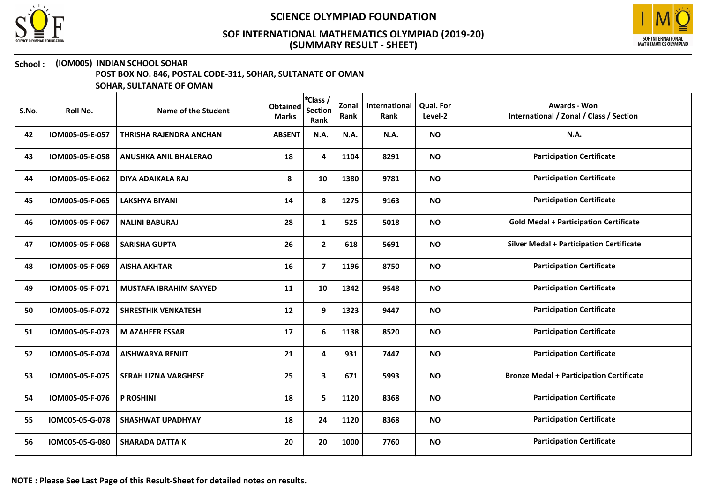



### School : (IOM005) INDIAN SCHOOL SOHAR

POST BOX NO. 846, POSTAL CODE-311, SOHAR, SULTANATE OF OMAN

| S.No. | Roll No.        | Name of the Student            | <b>Obtained</b><br><b>Marks</b> | *Class /<br><b>Section</b><br>Rank | Zonal<br>Rank | International<br>Rank | <b>Qual. For</b><br>Level-2 | <b>Awards - Won</b><br>International / Zonal / Class / Section |
|-------|-----------------|--------------------------------|---------------------------------|------------------------------------|---------------|-----------------------|-----------------------------|----------------------------------------------------------------|
| 42    | IOM005-05-E-057 | <b>THRISHA RAJENDRA ANCHAN</b> | <b>ABSENT</b>                   | N.A.                               | N.A.          | N.A.                  | <b>NO</b>                   | <b>N.A.</b>                                                    |
| 43    | IOM005-05-E-058 | <b>ANUSHKA ANIL BHALERAO</b>   | 18                              | 4                                  | 1104          | 8291                  | <b>NO</b>                   | <b>Participation Certificate</b>                               |
| 44    | IOM005-05-E-062 | <b>DIYA ADAIKALA RAJ</b>       | 8                               | 10                                 | 1380          | 9781                  | <b>NO</b>                   | <b>Participation Certificate</b>                               |
| 45    | IOM005-05-F-065 | <b>LAKSHYA BIYANI</b>          | 14                              | 8                                  | 1275          | 9163                  | <b>NO</b>                   | <b>Participation Certificate</b>                               |
| 46    | IOM005-05-F-067 | <b>NALINI BABURAJ</b>          | 28                              | $\mathbf{1}$                       | 525           | 5018                  | <b>NO</b>                   | <b>Gold Medal + Participation Certificate</b>                  |
| 47    | IOM005-05-F-068 | <b>SARISHA GUPTA</b>           | 26                              | $\mathbf{2}$                       | 618           | 5691                  | <b>NO</b>                   | <b>Silver Medal + Participation Certificate</b>                |
| 48    | IOM005-05-F-069 | <b>AISHA AKHTAR</b>            | 16                              | $\overline{7}$                     | 1196          | 8750                  | <b>NO</b>                   | <b>Participation Certificate</b>                               |
| 49    | IOM005-05-F-071 | <b>MUSTAFA IBRAHIM SAYYED</b>  | 11                              | 10                                 | 1342          | 9548                  | <b>NO</b>                   | <b>Participation Certificate</b>                               |
| 50    | IOM005-05-F-072 | <b>SHRESTHIK VENKATESH</b>     | 12                              | 9                                  | 1323          | 9447                  | <b>NO</b>                   | <b>Participation Certificate</b>                               |
| 51    | IOM005-05-F-073 | <b>M AZAHEER ESSAR</b>         | 17                              | 6                                  | 1138          | 8520                  | <b>NO</b>                   | <b>Participation Certificate</b>                               |
| 52    | IOM005-05-F-074 | <b>AISHWARYA RENJIT</b>        | 21                              | 4                                  | 931           | 7447                  | <b>NO</b>                   | <b>Participation Certificate</b>                               |
| 53    | IOM005-05-F-075 | <b>SERAH LIZNA VARGHESE</b>    | 25                              | 3                                  | 671           | 5993                  | <b>NO</b>                   | <b>Bronze Medal + Participation Certificate</b>                |
| 54    | IOM005-05-F-076 | P ROSHINI                      | 18                              | 5                                  | 1120          | 8368                  | <b>NO</b>                   | <b>Participation Certificate</b>                               |
| 55    | IOM005-05-G-078 | <b>SHASHWAT UPADHYAY</b>       | 18                              | 24                                 | 1120          | 8368                  | <b>NO</b>                   | <b>Participation Certificate</b>                               |
| 56    | IOM005-05-G-080 | <b>SHARADA DATTA K</b>         | 20                              | 20                                 | 1000          | 7760                  | <b>NO</b>                   | <b>Participation Certificate</b>                               |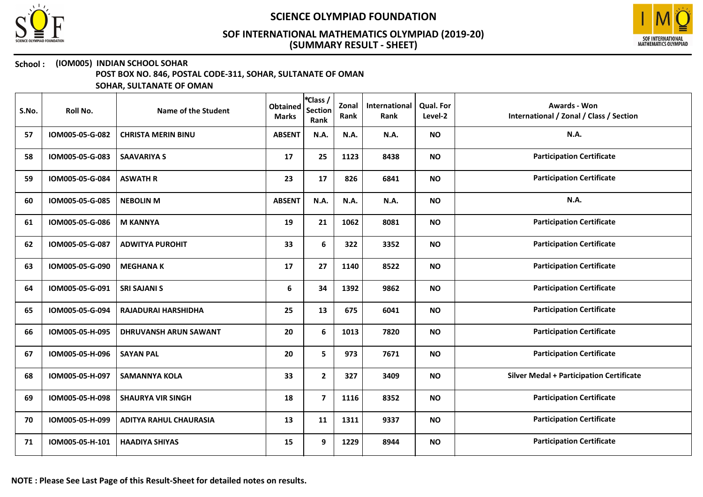



### School : (IOM005) INDIAN SCHOOL SOHAR

POST BOX NO. 846, POSTAL CODE-311, SOHAR, SULTANATE OF OMAN

| S.No. | Roll No.        | Name of the Student           | <b>Obtained</b><br><b>Marks</b> | *Class /<br><b>Section</b><br>Rank | Zonal<br>Rank | International<br>Rank | Qual. For<br>Level-2 | Awards - Won<br>International / Zonal / Class / Section |
|-------|-----------------|-------------------------------|---------------------------------|------------------------------------|---------------|-----------------------|----------------------|---------------------------------------------------------|
| 57    | IOM005-05-G-082 | <b>CHRISTA MERIN BINU</b>     | <b>ABSENT</b>                   | N.A.                               | N.A.          | N.A.                  | <b>NO</b>            | N.A.                                                    |
| 58    | IOM005-05-G-083 | <b>SAAVARIYA S</b>            | 17                              | 25                                 | 1123          | 8438                  | <b>NO</b>            | <b>Participation Certificate</b>                        |
| 59    | IOM005-05-G-084 | <b>ASWATH R</b>               | 23                              | 17                                 | 826           | 6841                  | <b>NO</b>            | <b>Participation Certificate</b>                        |
| 60    | IOM005-05-G-085 | <b>NEBOLIN M</b>              | <b>ABSENT</b>                   | N.A.                               | N.A.          | N.A.                  | <b>NO</b>            | N.A.                                                    |
| 61    | IOM005-05-G-086 | <b>M KANNYA</b>               | 19                              | 21                                 | 1062          | 8081                  | <b>NO</b>            | <b>Participation Certificate</b>                        |
| 62    | IOM005-05-G-087 | <b>ADWITYA PUROHIT</b>        | 33                              | 6                                  | 322           | 3352                  | <b>NO</b>            | <b>Participation Certificate</b>                        |
| 63    | IOM005-05-G-090 | <b>MEGHANA K</b>              | 17                              | 27                                 | 1140          | 8522                  | <b>NO</b>            | <b>Participation Certificate</b>                        |
| 64    | IOM005-05-G-091 | <b>SRI SAJANI S</b>           | 6                               | 34                                 | 1392          | 9862                  | <b>NO</b>            | <b>Participation Certificate</b>                        |
| 65    | IOM005-05-G-094 | <b>RAJADURAI HARSHIDHA</b>    | 25                              | 13                                 | 675           | 6041                  | <b>NO</b>            | <b>Participation Certificate</b>                        |
| 66    | IOM005-05-H-095 | DHRUVANSH ARUN SAWANT         | 20                              | 6                                  | 1013          | 7820                  | <b>NO</b>            | <b>Participation Certificate</b>                        |
| 67    | IOM005-05-H-096 | <b>SAYAN PAL</b>              | 20                              | 5                                  | 973           | 7671                  | <b>NO</b>            | <b>Participation Certificate</b>                        |
| 68    | IOM005-05-H-097 | <b>SAMANNYA KOLA</b>          | 33                              | $\mathbf{2}$                       | 327           | 3409                  | <b>NO</b>            | <b>Silver Medal + Participation Certificate</b>         |
| 69    | IOM005-05-H-098 | <b>SHAURYA VIR SINGH</b>      | 18                              | $\overline{7}$                     | 1116          | 8352                  | <b>NO</b>            | <b>Participation Certificate</b>                        |
| 70    | IOM005-05-H-099 | <b>ADITYA RAHUL CHAURASIA</b> | 13                              | 11                                 | 1311          | 9337                  | <b>NO</b>            | <b>Participation Certificate</b>                        |
| 71    | IOM005-05-H-101 | <b>HAADIYA SHIYAS</b>         | 15                              | 9                                  | 1229          | 8944                  | <b>NO</b>            | <b>Participation Certificate</b>                        |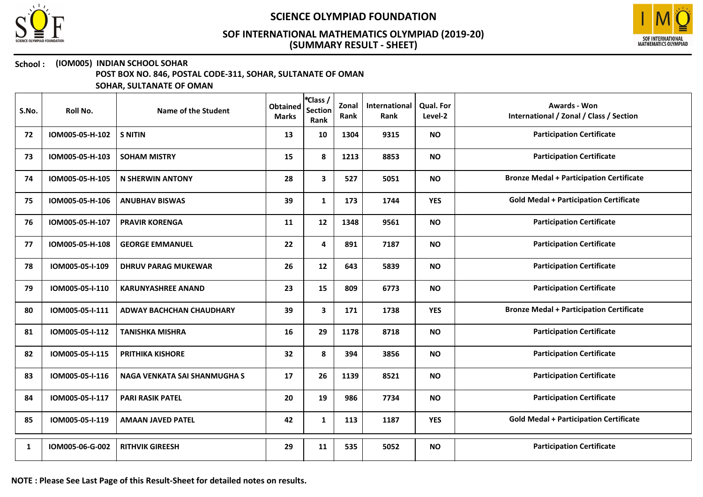



### School : (IOM005) INDIAN SCHOOL SOHAR

POST BOX NO. 846, POSTAL CODE-311, SOHAR, SULTANATE OF OMAN

| S.No. | Roll No.        | Name of the Student          | <b>Obtained</b><br><b>Marks</b> | *Class /<br><b>Section</b><br>Rank | Zonal<br>Rank | International<br>Rank | <b>Qual. For</b><br>Level-2 | <b>Awards - Won</b><br>International / Zonal / Class / Section |
|-------|-----------------|------------------------------|---------------------------------|------------------------------------|---------------|-----------------------|-----------------------------|----------------------------------------------------------------|
| 72    | IOM005-05-H-102 | <b>S NITIN</b>               | 13                              | 10                                 | 1304          | 9315                  | <b>NO</b>                   | <b>Participation Certificate</b>                               |
| 73    | IOM005-05-H-103 | <b>SOHAM MISTRY</b>          | 15                              | 8                                  | 1213          | 8853                  | <b>NO</b>                   | <b>Participation Certificate</b>                               |
| 74    | IOM005-05-H-105 | <b>N SHERWIN ANTONY</b>      | 28                              | 3                                  | 527           | 5051                  | <b>NO</b>                   | <b>Bronze Medal + Participation Certificate</b>                |
| 75    | IOM005-05-H-106 | <b>ANUBHAV BISWAS</b>        | 39                              | $\mathbf{1}$                       | 173           | 1744                  | <b>YES</b>                  | <b>Gold Medal + Participation Certificate</b>                  |
| 76    | IOM005-05-H-107 | <b>PRAVIR KORENGA</b>        | 11                              | 12                                 | 1348          | 9561                  | <b>NO</b>                   | <b>Participation Certificate</b>                               |
| 77    | IOM005-05-H-108 | <b>GEORGE EMMANUEL</b>       | 22                              | 4                                  | 891           | 7187                  | <b>NO</b>                   | <b>Participation Certificate</b>                               |
| 78    | IOM005-05-I-109 | <b>DHRUV PARAG MUKEWAR</b>   | 26                              | 12                                 | 643           | 5839                  | <b>NO</b>                   | <b>Participation Certificate</b>                               |
| 79    | IOM005-05-I-110 | <b>KARUNYASHREE ANAND</b>    | 23                              | 15                                 | 809           | 6773                  | <b>NO</b>                   | <b>Participation Certificate</b>                               |
| 80    | IOM005-05-I-111 | ADWAY BACHCHAN CHAUDHARY     | 39                              | 3                                  | 171           | 1738                  | <b>YES</b>                  | <b>Bronze Medal + Participation Certificate</b>                |
| 81    | IOM005-05-I-112 | <b>TANISHKA MISHRA</b>       | 16                              | 29                                 | 1178          | 8718                  | <b>NO</b>                   | <b>Participation Certificate</b>                               |
| 82    | IOM005-05-I-115 | <b>PRITHIKA KISHORE</b>      | 32                              | 8                                  | 394           | 3856                  | <b>NO</b>                   | <b>Participation Certificate</b>                               |
| 83    | IOM005-05-I-116 | NAGA VENKATA SAI SHANMUGHA S | 17                              | 26                                 | 1139          | 8521                  | <b>NO</b>                   | <b>Participation Certificate</b>                               |
| 84    | IOM005-05-I-117 | <b>PARI RASIK PATEL</b>      | 20                              | 19                                 | 986           | 7734                  | <b>NO</b>                   | <b>Participation Certificate</b>                               |
| 85    | IOM005-05-I-119 | <b>AMAAN JAVED PATEL</b>     | 42                              | $\mathbf{1}$                       | 113           | 1187                  | <b>YES</b>                  | <b>Gold Medal + Participation Certificate</b>                  |
| 1     | IOM005-06-G-002 | <b>RITHVIK GIREESH</b>       | 29                              | 11                                 | 535           | 5052                  | <b>NO</b>                   | <b>Participation Certificate</b>                               |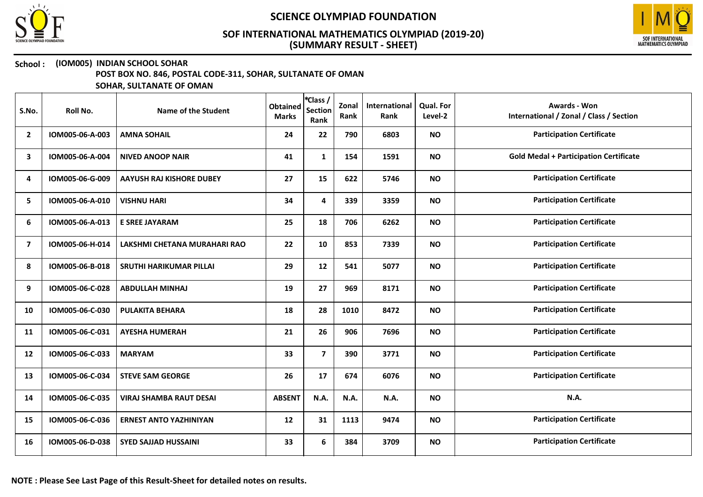



### School : (IOM005) INDIAN SCHOOL SOHAR

POST BOX NO. 846, POSTAL CODE-311, SOHAR, SULTANATE OF OMAN

| S.No.                   | Roll No.        | Name of the Student             | <b>Obtained</b><br><b>Marks</b> | *Class /<br><b>Section</b><br>Rank | Zonal<br>Rank | International<br>Rank | <b>Qual. For</b><br>Level-2 | <b>Awards - Won</b><br>International / Zonal / Class / Section |
|-------------------------|-----------------|---------------------------------|---------------------------------|------------------------------------|---------------|-----------------------|-----------------------------|----------------------------------------------------------------|
| $\mathbf{2}$            | IOM005-06-A-003 | <b>AMNA SOHAIL</b>              | 24                              | 22                                 | 790           | 6803                  | <b>NO</b>                   | <b>Participation Certificate</b>                               |
| 3                       | IOM005-06-A-004 | <b>NIVED ANOOP NAIR</b>         | 41                              | $\mathbf{1}$                       | 154           | 1591                  | <b>NO</b>                   | <b>Gold Medal + Participation Certificate</b>                  |
| 4                       | IOM005-06-G-009 | <b>AAYUSH RAJ KISHORE DUBEY</b> | 27                              | 15                                 | 622           | 5746                  | <b>NO</b>                   | <b>Participation Certificate</b>                               |
| 5                       | IOM005-06-A-010 | <b>VISHNU HARI</b>              | 34                              | 4                                  | 339           | 3359                  | <b>NO</b>                   | <b>Participation Certificate</b>                               |
| 6                       | IOM005-06-A-013 | <b>E SREE JAYARAM</b>           | 25                              | 18                                 | 706           | 6262                  | <b>NO</b>                   | <b>Participation Certificate</b>                               |
| $\overline{\mathbf{z}}$ | IOM005-06-H-014 | LAKSHMI CHETANA MURAHARI RAO    | 22                              | 10                                 | 853           | 7339                  | <b>NO</b>                   | <b>Participation Certificate</b>                               |
| 8                       | IOM005-06-B-018 | <b>SRUTHI HARIKUMAR PILLAI</b>  | 29                              | 12                                 | 541           | 5077                  | <b>NO</b>                   | <b>Participation Certificate</b>                               |
| 9                       | IOM005-06-C-028 | <b>ABDULLAH MINHAJ</b>          | 19                              | 27                                 | 969           | 8171                  | <b>NO</b>                   | <b>Participation Certificate</b>                               |
| 10                      | IOM005-06-C-030 | <b>PULAKITA BEHARA</b>          | 18                              | 28                                 | 1010          | 8472                  | <b>NO</b>                   | <b>Participation Certificate</b>                               |
| 11                      | IOM005-06-C-031 | <b>AYESHA HUMERAH</b>           | 21                              | 26                                 | 906           | 7696                  | <b>NO</b>                   | <b>Participation Certificate</b>                               |
| 12                      | IOM005-06-C-033 | <b>MARYAM</b>                   | 33                              | $\overline{\mathbf{z}}$            | 390           | 3771                  | <b>NO</b>                   | <b>Participation Certificate</b>                               |
| 13                      | IOM005-06-C-034 | <b>STEVE SAM GEORGE</b>         | 26                              | 17                                 | 674           | 6076                  | <b>NO</b>                   | <b>Participation Certificate</b>                               |
| 14                      | IOM005-06-C-035 | <b>VIRAJ SHAMBA RAUT DESAI</b>  | <b>ABSENT</b>                   | N.A.                               | N.A.          | N.A.                  | <b>NO</b>                   | N.A.                                                           |
| 15                      | IOM005-06-C-036 | <b>ERNEST ANTO YAZHINIYAN</b>   | 12                              | 31                                 | 1113          | 9474                  | <b>NO</b>                   | <b>Participation Certificate</b>                               |
| 16                      | IOM005-06-D-038 | <b>SYED SAJJAD HUSSAINI</b>     | 33                              | 6                                  | 384           | 3709                  | <b>NO</b>                   | <b>Participation Certificate</b>                               |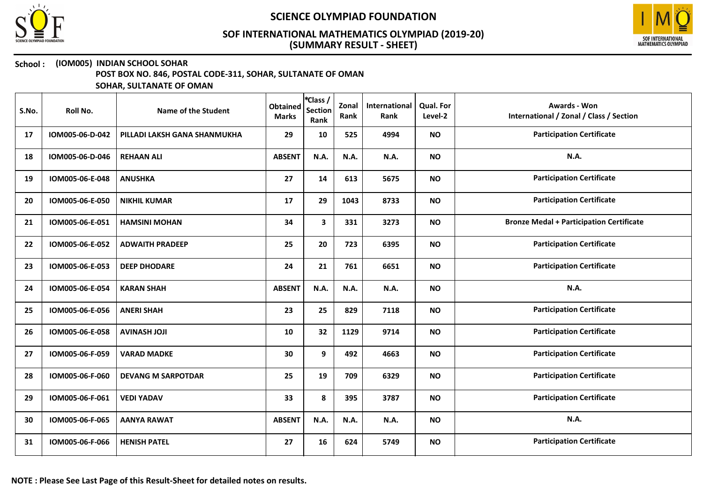



### School : (IOM005) INDIAN SCHOOL SOHAR

POST BOX NO. 846, POSTAL CODE-311, SOHAR, SULTANATE OF OMAN

| S.No. | Roll No.        | Name of the Student          | <b>Obtained</b><br><b>Marks</b> | *Class /<br><b>Section</b><br>Rank | Zonal<br>Rank | International<br>Rank | Qual. For<br>Level-2 | <b>Awards - Won</b><br>International / Zonal / Class / Section |
|-------|-----------------|------------------------------|---------------------------------|------------------------------------|---------------|-----------------------|----------------------|----------------------------------------------------------------|
| 17    | IOM005-06-D-042 | PILLADI LAKSH GANA SHANMUKHA | 29                              | 10                                 | 525           | 4994                  | <b>NO</b>            | <b>Participation Certificate</b>                               |
| 18    | IOM005-06-D-046 | <b>REHAAN ALI</b>            | <b>ABSENT</b>                   | N.A.                               | N.A.          | N.A.                  | <b>NO</b>            | N.A.                                                           |
| 19    | IOM005-06-E-048 | <b>ANUSHKA</b>               | 27                              | 14                                 | 613           | 5675                  | <b>NO</b>            | <b>Participation Certificate</b>                               |
| 20    | IOM005-06-E-050 | <b>NIKHIL KUMAR</b>          | 17                              | 29                                 | 1043          | 8733                  | <b>NO</b>            | <b>Participation Certificate</b>                               |
| 21    | IOM005-06-E-051 | <b>HAMSINI MOHAN</b>         | 34                              | $\mathbf{3}$                       | 331           | 3273                  | <b>NO</b>            | <b>Bronze Medal + Participation Certificate</b>                |
| 22    | IOM005-06-E-052 | <b>ADWAITH PRADEEP</b>       | 25                              | 20                                 | 723           | 6395                  | <b>NO</b>            | <b>Participation Certificate</b>                               |
| 23    | IOM005-06-E-053 | <b>DEEP DHODARE</b>          | 24                              | 21                                 | 761           | 6651                  | <b>NO</b>            | <b>Participation Certificate</b>                               |
| 24    | IOM005-06-E-054 | <b>KARAN SHAH</b>            | <b>ABSENT</b>                   | N.A.                               | N.A.          | <b>N.A.</b>           | <b>NO</b>            | N.A.                                                           |
| 25    | IOM005-06-E-056 | <b>ANERI SHAH</b>            | 23                              | 25                                 | 829           | 7118                  | <b>NO</b>            | <b>Participation Certificate</b>                               |
| 26    | IOM005-06-E-058 | <b>AVINASH JOJI</b>          | 10                              | 32                                 | 1129          | 9714                  | <b>NO</b>            | <b>Participation Certificate</b>                               |
| 27    | IOM005-06-F-059 | <b>VARAD MADKE</b>           | 30                              | 9                                  | 492           | 4663                  | <b>NO</b>            | <b>Participation Certificate</b>                               |
| 28    | IOM005-06-F-060 | <b>DEVANG M SARPOTDAR</b>    | 25                              | 19                                 | 709           | 6329                  | <b>NO</b>            | <b>Participation Certificate</b>                               |
| 29    | IOM005-06-F-061 | <b>VEDI YADAV</b>            | 33                              | 8                                  | 395           | 3787                  | <b>NO</b>            | <b>Participation Certificate</b>                               |
| 30    | IOM005-06-F-065 | <b>AANYA RAWAT</b>           | <b>ABSENT</b>                   | N.A.                               | N.A.          | N.A.                  | <b>NO</b>            | <b>N.A.</b>                                                    |
| 31    | IOM005-06-F-066 | <b>HENISH PATEL</b>          | 27                              | 16                                 | 624           | 5749                  | <b>NO</b>            | <b>Participation Certificate</b>                               |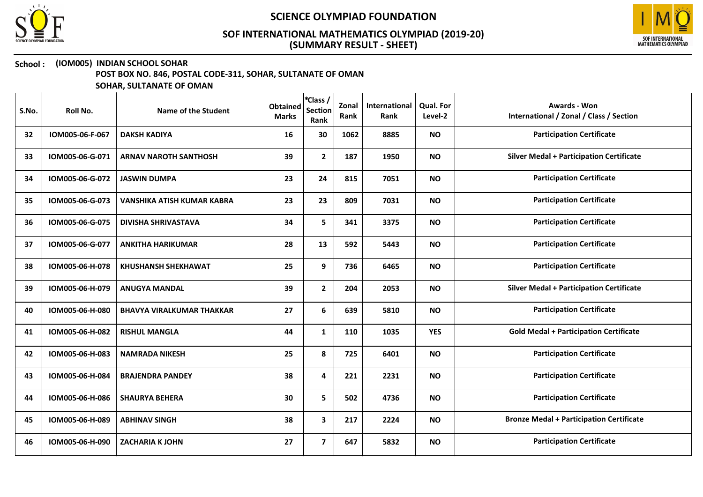



# School : (IOM005) INDIAN SCHOOL SOHAR

POST BOX NO. 846, POSTAL CODE-311, SOHAR, SULTANATE OF OMAN

| S.No. | Roll No.        | Name of the Student               | <b>Obtained</b><br><b>Marks</b> | *Class /<br><b>Section</b><br>Rank | Zonal<br>Rank | International<br>Rank | Qual. For<br>Level-2 | Awards - Won<br>International / Zonal / Class / Section |
|-------|-----------------|-----------------------------------|---------------------------------|------------------------------------|---------------|-----------------------|----------------------|---------------------------------------------------------|
| 32    | IOM005-06-F-067 | <b>DAKSH KADIYA</b>               | 16                              | 30                                 | 1062          | 8885                  | <b>NO</b>            | <b>Participation Certificate</b>                        |
| 33    | IOM005-06-G-071 | <b>ARNAV NAROTH SANTHOSH</b>      | 39                              | $\mathbf{2}$                       | 187           | 1950                  | <b>NO</b>            | <b>Silver Medal + Participation Certificate</b>         |
| 34    | IOM005-06-G-072 | <b>JASWIN DUMPA</b>               | 23                              | 24                                 | 815           | 7051                  | <b>NO</b>            | <b>Participation Certificate</b>                        |
| 35    | IOM005-06-G-073 | <b>VANSHIKA ATISH KUMAR KABRA</b> | 23                              | 23                                 | 809           | 7031                  | <b>NO</b>            | <b>Participation Certificate</b>                        |
| 36    | IOM005-06-G-075 | <b>DIVISHA SHRIVASTAVA</b>        | 34                              | 5                                  | 341           | 3375                  | <b>NO</b>            | <b>Participation Certificate</b>                        |
| 37    | IOM005-06-G-077 | <b>ANKITHA HARIKUMAR</b>          | 28                              | 13                                 | 592           | 5443                  | <b>NO</b>            | <b>Participation Certificate</b>                        |
| 38    | IOM005-06-H-078 | <b>KHUSHANSH SHEKHAWAT</b>        | 25                              | 9                                  | 736           | 6465                  | <b>NO</b>            | <b>Participation Certificate</b>                        |
| 39    | IOM005-06-H-079 | <b>ANUGYA MANDAL</b>              | 39                              | $\mathbf{2}$                       | 204           | 2053                  | <b>NO</b>            | <b>Silver Medal + Participation Certificate</b>         |
| 40    | IOM005-06-H-080 | <b>BHAVYA VIRALKUMAR THAKKAR</b>  | 27                              | 6                                  | 639           | 5810                  | <b>NO</b>            | <b>Participation Certificate</b>                        |
| 41    | IOM005-06-H-082 | <b>RISHUL MANGLA</b>              | 44                              | $\mathbf{1}$                       | 110           | 1035                  | <b>YES</b>           | <b>Gold Medal + Participation Certificate</b>           |
| 42    | IOM005-06-H-083 | <b>NAMRADA NIKESH</b>             | 25                              | 8                                  | 725           | 6401                  | <b>NO</b>            | <b>Participation Certificate</b>                        |
| 43    | IOM005-06-H-084 | <b>BRAJENDRA PANDEY</b>           | 38                              | 4                                  | 221           | 2231                  | <b>NO</b>            | <b>Participation Certificate</b>                        |
| 44    | IOM005-06-H-086 | <b>SHAURYA BEHERA</b>             | 30                              | 5                                  | 502           | 4736                  | <b>NO</b>            | <b>Participation Certificate</b>                        |
| 45    | IOM005-06-H-089 | <b>ABHINAV SINGH</b>              | 38                              | 3                                  | 217           | 2224                  | <b>NO</b>            | <b>Bronze Medal + Participation Certificate</b>         |
| 46    | IOM005-06-H-090 | <b>ZACHARIA K JOHN</b>            | 27                              | $\overline{\mathbf{z}}$            | 647           | 5832                  | <b>NO</b>            | <b>Participation Certificate</b>                        |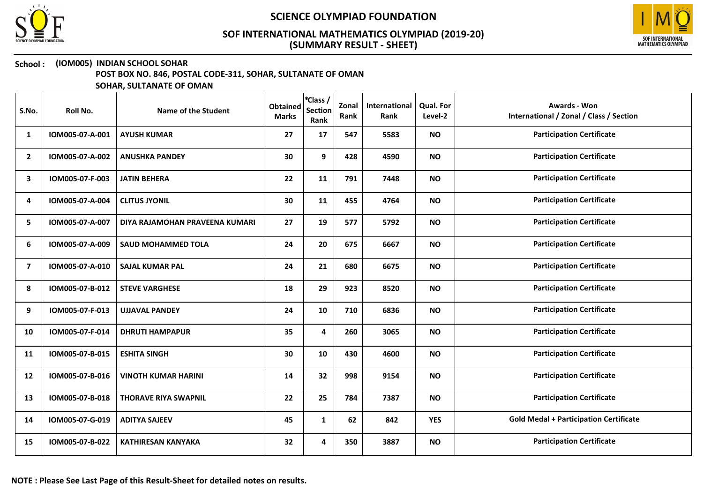



### School : (IOM005) INDIAN SCHOOL SOHAR

POST BOX NO. 846, POSTAL CODE-311, SOHAR, SULTANATE OF OMAN

| S.No.          | Roll No.        | Name of the Student            | <b>Obtained</b><br><b>Marks</b> | *Class /<br><b>Section</b><br>Rank | Zonal<br>Rank | International<br>Rank | Qual. For<br>Level-2 | <b>Awards - Won</b><br>International / Zonal / Class / Section |
|----------------|-----------------|--------------------------------|---------------------------------|------------------------------------|---------------|-----------------------|----------------------|----------------------------------------------------------------|
| 1              | IOM005-07-A-001 | <b>AYUSH KUMAR</b>             | 27                              | 17                                 | 547           | 5583                  | <b>NO</b>            | <b>Participation Certificate</b>                               |
| $\overline{2}$ | IOM005-07-A-002 | <b>ANUSHKA PANDEY</b>          | 30                              | 9                                  | 428           | 4590                  | <b>NO</b>            | <b>Participation Certificate</b>                               |
| 3              | IOM005-07-F-003 | <b>JATIN BEHERA</b>            | 22                              | 11                                 | 791           | 7448                  | <b>NO</b>            | <b>Participation Certificate</b>                               |
| 4              | IOM005-07-A-004 | <b>CLITUS JYONIL</b>           | 30                              | 11                                 | 455           | 4764                  | <b>NO</b>            | <b>Participation Certificate</b>                               |
| 5              | IOM005-07-A-007 | DIYA RAJAMOHAN PRAVEENA KUMARI | 27                              | 19                                 | 577           | 5792                  | <b>NO</b>            | <b>Participation Certificate</b>                               |
| 6              | IOM005-07-A-009 | <b>SAUD MOHAMMED TOLA</b>      | 24                              | 20                                 | 675           | 6667                  | <b>NO</b>            | <b>Participation Certificate</b>                               |
| 7              | IOM005-07-A-010 | <b>SAJAL KUMAR PAL</b>         | 24                              | 21                                 | 680           | 6675                  | <b>NO</b>            | <b>Participation Certificate</b>                               |
| 8              | IOM005-07-B-012 | <b>STEVE VARGHESE</b>          | 18                              | 29                                 | 923           | 8520                  | <b>NO</b>            | <b>Participation Certificate</b>                               |
| 9              | IOM005-07-F-013 | <b>UJJAVAL PANDEY</b>          | 24                              | 10                                 | 710           | 6836                  | <b>NO</b>            | <b>Participation Certificate</b>                               |
| 10             | IOM005-07-F-014 | <b>DHRUTI HAMPAPUR</b>         | 35                              | 4                                  | 260           | 3065                  | <b>NO</b>            | <b>Participation Certificate</b>                               |
| 11             | IOM005-07-B-015 | <b>ESHITA SINGH</b>            | 30                              | 10                                 | 430           | 4600                  | <b>NO</b>            | <b>Participation Certificate</b>                               |
| 12             | IOM005-07-B-016 | <b>VINOTH KUMAR HARINI</b>     | 14                              | 32                                 | 998           | 9154                  | <b>NO</b>            | <b>Participation Certificate</b>                               |
| 13             | IOM005-07-B-018 | <b>THORAVE RIYA SWAPNIL</b>    | 22                              | 25                                 | 784           | 7387                  | <b>NO</b>            | <b>Participation Certificate</b>                               |
| 14             | IOM005-07-G-019 | <b>ADITYA SAJEEV</b>           | 45                              | $\mathbf{1}$                       | 62            | 842                   | <b>YES</b>           | <b>Gold Medal + Participation Certificate</b>                  |
| 15             | IOM005-07-B-022 | <b>KATHIRESAN KANYAKA</b>      | 32                              | 4                                  | 350           | 3887                  | <b>NO</b>            | <b>Participation Certificate</b>                               |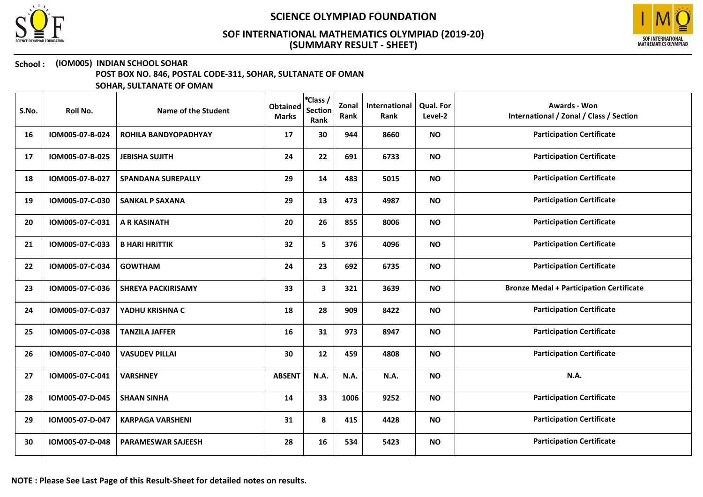



# School : (IOM005) INDIAN SCHOOL SOHAR

POST BOX NO. 846, POSTAL CODE-311, SOHAR, SULTANATE OF OMAN

| S.No. | Roll No.        | Name of the Student         | <b>Obtained</b><br><b>Marks</b> | *Class /<br><b>Section</b><br>Rank | Zonal<br>Rank | International<br>Rank | Qual. For<br>Level-2 | <b>Awards - Won</b><br>International / Zonal / Class / Section |
|-------|-----------------|-----------------------------|---------------------------------|------------------------------------|---------------|-----------------------|----------------------|----------------------------------------------------------------|
| 16    | IOM005-07-B-024 | <b>ROHILA BANDYOPADHYAY</b> | 17                              | 30                                 | 944           | 8660                  | <b>NO</b>            | <b>Participation Certificate</b>                               |
| 17    | IOM005-07-B-025 | <b>JEBISHA SUJITH</b>       | 24                              | 22                                 | 691           | 6733                  | <b>NO</b>            | <b>Participation Certificate</b>                               |
| 18    | IOM005-07-B-027 | <b>SPANDANA SUREPALLY</b>   | 29                              | 14                                 | 483           | 5015                  | <b>NO</b>            | <b>Participation Certificate</b>                               |
| 19    | IOM005-07-C-030 | <b>SANKAL P SAXANA</b>      | 29                              | 13                                 | 473           | 4987                  | <b>NO</b>            | <b>Participation Certificate</b>                               |
| 20    | IOM005-07-C-031 | <b>A R KASINATH</b>         | 20                              | 26                                 | 855           | 8006                  | <b>NO</b>            | <b>Participation Certificate</b>                               |
| 21    | IOM005-07-C-033 | <b>B HARI HRITTIK</b>       | 32                              | 5                                  | 376           | 4096                  | <b>NO</b>            | <b>Participation Certificate</b>                               |
| 22    | IOM005-07-C-034 | <b>GOWTHAM</b>              | 24                              | 23                                 | 692           | 6735                  | <b>NO</b>            | <b>Participation Certificate</b>                               |
| 23    | IOM005-07-C-036 | <b>SHREYA PACKIRISAMY</b>   | 33                              | $\mathbf{3}$                       | 321           | 3639                  | <b>NO</b>            | <b>Bronze Medal + Participation Certificate</b>                |
| 24    | IOM005-07-C-037 | YADHU KRISHNA C             | 18                              | 28                                 | 909           | 8422                  | <b>NO</b>            | <b>Participation Certificate</b>                               |
| 25    | IOM005-07-C-038 | <b>TANZILA JAFFER</b>       | 16                              | 31                                 | 973           | 8947                  | <b>NO</b>            | <b>Participation Certificate</b>                               |
| 26    | IOM005-07-C-040 | <b>VASUDEV PILLAI</b>       | 30                              | 12                                 | 459           | 4808                  | <b>NO</b>            | <b>Participation Certificate</b>                               |
| 27    | IOM005-07-C-041 | <b>VARSHNEY</b>             | <b>ABSENT</b>                   | N.A.                               | N.A.          | N.A.                  | <b>NO</b>            | N.A.                                                           |
| 28    | IOM005-07-D-045 | <b>SHAAN SINHA</b>          | 14                              | 33                                 | 1006          | 9252                  | <b>NO</b>            | <b>Participation Certificate</b>                               |
| 29    | IOM005-07-D-047 | <b>KARPAGA VARSHENI</b>     | 31                              | 8                                  | 415           | 4428                  | <b>NO</b>            | <b>Participation Certificate</b>                               |
| 30    | IOM005-07-D-048 | <b>PARAMESWAR SAJEESH</b>   | 28                              | 16                                 | 534           | 5423                  | <b>NO</b>            | <b>Participation Certificate</b>                               |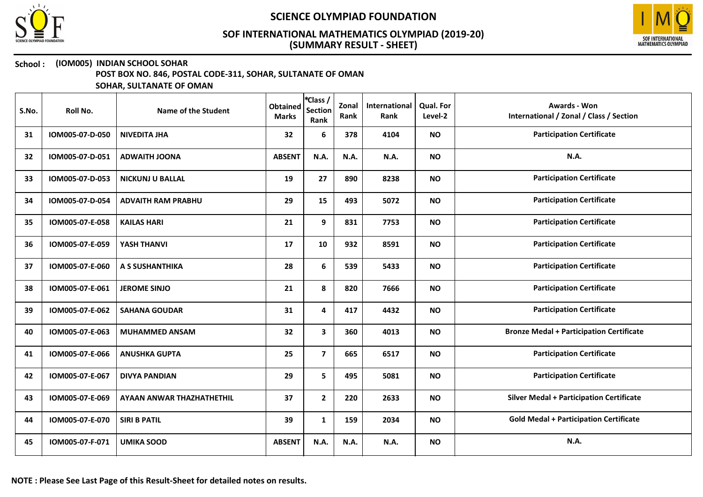



### School : (IOM005) INDIAN SCHOOL SOHAR

POST BOX NO. 846, POSTAL CODE-311, SOHAR, SULTANATE OF OMAN

| S.No. | Roll No.        | Name of the Student       | <b>Obtained</b><br><b>Marks</b> | *Class /<br><b>Section</b><br>Rank | Zonal<br>Rank | International<br>Rank | Qual. For<br>Level-2 | <b>Awards - Won</b><br>International / Zonal / Class / Section |
|-------|-----------------|---------------------------|---------------------------------|------------------------------------|---------------|-----------------------|----------------------|----------------------------------------------------------------|
| 31    | IOM005-07-D-050 | <b>NIVEDITA JHA</b>       | 32                              | 6                                  | 378           | 4104                  | <b>NO</b>            | <b>Participation Certificate</b>                               |
| 32    | IOM005-07-D-051 | <b>ADWAITH JOONA</b>      | <b>ABSENT</b>                   | N.A.                               | N.A.          | N.A.                  | <b>NO</b>            | N.A.                                                           |
| 33    | IOM005-07-D-053 | <b>NICKUNJ U BALLAL</b>   | 19                              | 27                                 | 890           | 8238                  | <b>NO</b>            | <b>Participation Certificate</b>                               |
| 34    | IOM005-07-D-054 | <b>ADVAITH RAM PRABHU</b> | 29                              | 15                                 | 493           | 5072                  | <b>NO</b>            | <b>Participation Certificate</b>                               |
| 35    | IOM005-07-E-058 | <b>KAILAS HARI</b>        | 21                              | 9                                  | 831           | 7753                  | <b>NO</b>            | <b>Participation Certificate</b>                               |
| 36    | IOM005-07-E-059 | YASH THANVI               | 17                              | 10                                 | 932           | 8591                  | <b>NO</b>            | <b>Participation Certificate</b>                               |
| 37    | IOM005-07-E-060 | A S SUSHANTHIKA           | 28                              | 6                                  | 539           | 5433                  | <b>NO</b>            | <b>Participation Certificate</b>                               |
| 38    | IOM005-07-E-061 | <b>JEROME SINJO</b>       | 21                              | 8                                  | 820           | 7666                  | <b>NO</b>            | <b>Participation Certificate</b>                               |
| 39    | IOM005-07-E-062 | <b>SAHANA GOUDAR</b>      | 31                              | 4                                  | 417           | 4432                  | <b>NO</b>            | <b>Participation Certificate</b>                               |
| 40    | IOM005-07-E-063 | <b>MUHAMMED ANSAM</b>     | 32                              | $\mathbf{3}$                       | 360           | 4013                  | <b>NO</b>            | <b>Bronze Medal + Participation Certificate</b>                |
| 41    | IOM005-07-E-066 | <b>ANUSHKA GUPTA</b>      | 25                              | $\overline{7}$                     | 665           | 6517                  | <b>NO</b>            | <b>Participation Certificate</b>                               |
| 42    | IOM005-07-E-067 | <b>DIVYA PANDIAN</b>      | 29                              | 5                                  | 495           | 5081                  | <b>NO</b>            | <b>Participation Certificate</b>                               |
| 43    | IOM005-07-E-069 | AYAAN ANWAR THAZHATHETHIL | 37                              | $\mathbf{2}$                       | 220           | 2633                  | <b>NO</b>            | <b>Silver Medal + Participation Certificate</b>                |
| 44    | IOM005-07-E-070 | <b>SIRI B PATIL</b>       | 39                              | $\mathbf{1}$                       | 159           | 2034                  | <b>NO</b>            | <b>Gold Medal + Participation Certificate</b>                  |
| 45    | IOM005-07-F-071 | <b>UMIKA SOOD</b>         | <b>ABSENT</b>                   | N.A.                               | N.A.          | N.A.                  | <b>NO</b>            | N.A.                                                           |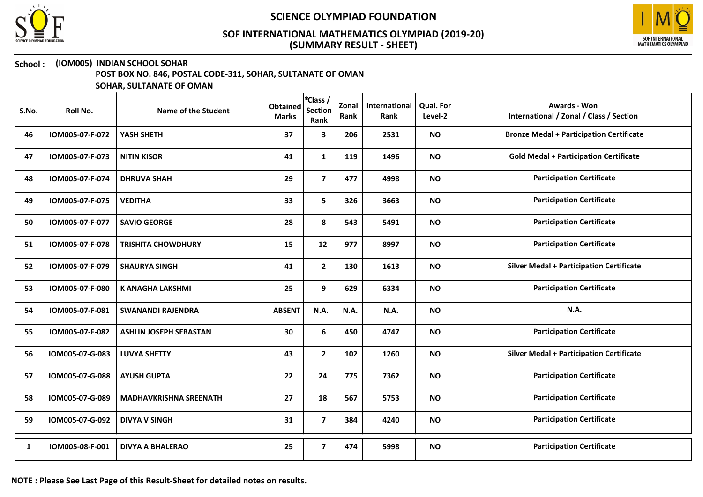



### School : (IOM005) INDIAN SCHOOL SOHAR

POST BOX NO. 846, POSTAL CODE-311, SOHAR, SULTANATE OF OMAN

| S.No. | <b>Roll No.</b> | <b>Name of the Student</b>    | <b>Obtained</b><br><b>Marks</b> | EClass /<br><b>Section</b><br>Rank | Zonal<br>Rank | International<br>Rank | Qual. For<br>Level-2 | <b>Awards - Won</b><br>International / Zonal / Class / Section |
|-------|-----------------|-------------------------------|---------------------------------|------------------------------------|---------------|-----------------------|----------------------|----------------------------------------------------------------|
| 46    | IOM005-07-F-072 | YASH SHETH                    | 37                              | $\mathbf{3}$                       | 206           | 2531                  | <b>NO</b>            | <b>Bronze Medal + Participation Certificate</b>                |
| 47    | IOM005-07-F-073 | <b>NITIN KISOR</b>            | 41                              | $\mathbf{1}$                       | 119           | 1496                  | <b>NO</b>            | <b>Gold Medal + Participation Certificate</b>                  |
| 48    | IOM005-07-F-074 | <b>DHRUVA SHAH</b>            | 29                              | $\overline{7}$                     | 477           | 4998                  | <b>NO</b>            | <b>Participation Certificate</b>                               |
| 49    | IOM005-07-F-075 | <b>VEDITHA</b>                | 33                              | 5                                  | 326           | 3663                  | <b>NO</b>            | <b>Participation Certificate</b>                               |
| 50    | IOM005-07-F-077 | <b>SAVIO GEORGE</b>           | 28                              | 8                                  | 543           | 5491                  | <b>NO</b>            | <b>Participation Certificate</b>                               |
| 51    | IOM005-07-F-078 | <b>TRISHITA CHOWDHURY</b>     | 15                              | 12                                 | 977           | 8997                  | <b>NO</b>            | <b>Participation Certificate</b>                               |
| 52    | IOM005-07-F-079 | <b>SHAURYA SINGH</b>          | 41                              | $\mathbf{2}$                       | 130           | 1613                  | <b>NO</b>            | <b>Silver Medal + Participation Certificate</b>                |
| 53    | IOM005-07-F-080 | <b>K ANAGHA LAKSHMI</b>       | 25                              | 9                                  | 629           | 6334                  | <b>NO</b>            | <b>Participation Certificate</b>                               |
| 54    | IOM005-07-F-081 | <b>SWANANDI RAJENDRA</b>      | <b>ABSENT</b>                   | N.A.                               | N.A.          | N.A.                  | <b>NO</b>            | N.A.                                                           |
| 55    | IOM005-07-F-082 | <b>ASHLIN JOSEPH SEBASTAN</b> | 30                              | 6                                  | 450           | 4747                  | <b>NO</b>            | <b>Participation Certificate</b>                               |
| 56    | IOM005-07-G-083 | <b>LUVYA SHETTY</b>           | 43                              | $\mathbf{2}$                       | 102           | 1260                  | <b>NO</b>            | <b>Silver Medal + Participation Certificate</b>                |
| 57    | IOM005-07-G-088 | <b>AYUSH GUPTA</b>            | 22                              | 24                                 | 775           | 7362                  | <b>NO</b>            | <b>Participation Certificate</b>                               |
| 58    | IOM005-07-G-089 | <b>MADHAVKRISHNA SREENATH</b> | 27                              | 18                                 | 567           | 5753                  | <b>NO</b>            | <b>Participation Certificate</b>                               |
| 59    | IOM005-07-G-092 | <b>DIVYA V SINGH</b>          | 31                              | $\overline{\mathbf{z}}$            | 384           | 4240                  | <b>NO</b>            | <b>Participation Certificate</b>                               |
| 1     | IOM005-08-F-001 | <b>DIVYA A BHALERAO</b>       | 25                              | $\overline{7}$                     | 474           | 5998                  | <b>NO</b>            | <b>Participation Certificate</b>                               |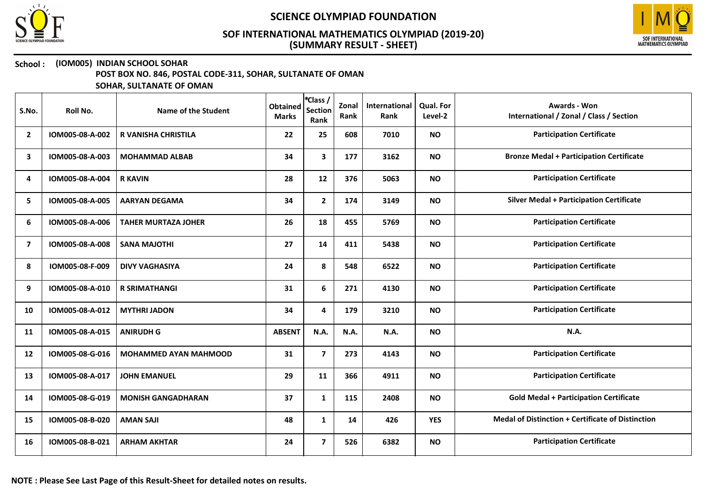



### School : (IOM005) INDIAN SCHOOL SOHAR

POST BOX NO. 846, POSTAL CODE-311, SOHAR, SULTANATE OF OMAN

| S.No.                   | Roll No.        | Name of the Student          | <b>Obtained</b><br><b>Marks</b> | *Class /<br><b>Section</b><br>Rank | Zonal<br>Rank | International<br>Rank | Qual. For<br>Level-2 | <b>Awards - Won</b><br>International / Zonal / Class / Section |
|-------------------------|-----------------|------------------------------|---------------------------------|------------------------------------|---------------|-----------------------|----------------------|----------------------------------------------------------------|
| $\overline{2}$          | IOM005-08-A-002 | <b>R VANISHA CHRISTILA</b>   | 22                              | 25                                 | 608           | 7010                  | <b>NO</b>            | <b>Participation Certificate</b>                               |
| 3                       | IOM005-08-A-003 | <b>MOHAMMAD ALBAB</b>        | 34                              | $\mathbf{3}$                       | 177           | 3162                  | <b>NO</b>            | <b>Bronze Medal + Participation Certificate</b>                |
| 4                       | IOM005-08-A-004 | <b>R KAVIN</b>               | 28                              | 12                                 | 376           | 5063                  | <b>NO</b>            | <b>Participation Certificate</b>                               |
| 5                       | IOM005-08-A-005 | <b>AARYAN DEGAMA</b>         | 34                              | $\mathbf{2}$                       | 174           | 3149                  | <b>NO</b>            | <b>Silver Medal + Participation Certificate</b>                |
| 6                       | IOM005-08-A-006 | <b>TAHER MURTAZA JOHER</b>   | 26                              | 18                                 | 455           | 5769                  | <b>NO</b>            | <b>Participation Certificate</b>                               |
| $\overline{\mathbf{z}}$ | IOM005-08-A-008 | <b>SANA MAJOTHI</b>          | 27                              | 14                                 | 411           | 5438                  | <b>NO</b>            | <b>Participation Certificate</b>                               |
| 8                       | IOM005-08-F-009 | <b>DIVY VAGHASIYA</b>        | 24                              | 8                                  | 548           | 6522                  | <b>NO</b>            | <b>Participation Certificate</b>                               |
| 9                       | IOM005-08-A-010 | <b>R SRIMATHANGI</b>         | 31                              | 6                                  | 271           | 4130                  | <b>NO</b>            | <b>Participation Certificate</b>                               |
| 10                      | IOM005-08-A-012 | <b>MYTHRI JADON</b>          | 34                              | 4                                  | 179           | 3210                  | <b>NO</b>            | <b>Participation Certificate</b>                               |
| 11                      | IOM005-08-A-015 | <b>ANIRUDH G</b>             | <b>ABSENT</b>                   | N.A.                               | N.A.          | <b>N.A.</b>           | <b>NO</b>            | N.A.                                                           |
| 12                      | IOM005-08-G-016 | <b>MOHAMMED AYAN MAHMOOD</b> | 31                              | $\overline{\mathbf{z}}$            | 273           | 4143                  | <b>NO</b>            | <b>Participation Certificate</b>                               |
| 13                      | IOM005-08-A-017 | <b>JOHN EMANUEL</b>          | 29                              | 11                                 | 366           | 4911                  | <b>NO</b>            | <b>Participation Certificate</b>                               |
| 14                      | IOM005-08-G-019 | <b>MONISH GANGADHARAN</b>    | 37                              | $\mathbf{1}$                       | 115           | 2408                  | <b>NO</b>            | <b>Gold Medal + Participation Certificate</b>                  |
| 15                      | IOM005-08-B-020 | <b>AMAN SAJI</b>             | 48                              | $\mathbf{1}$                       | 14            | 426                   | <b>YES</b>           | <b>Medal of Distinction + Certificate of Distinction</b>       |
| 16                      | IOM005-08-B-021 | <b>ARHAM AKHTAR</b>          | 24                              | $\overline{\mathbf{z}}$            | 526           | 6382                  | <b>NO</b>            | <b>Participation Certificate</b>                               |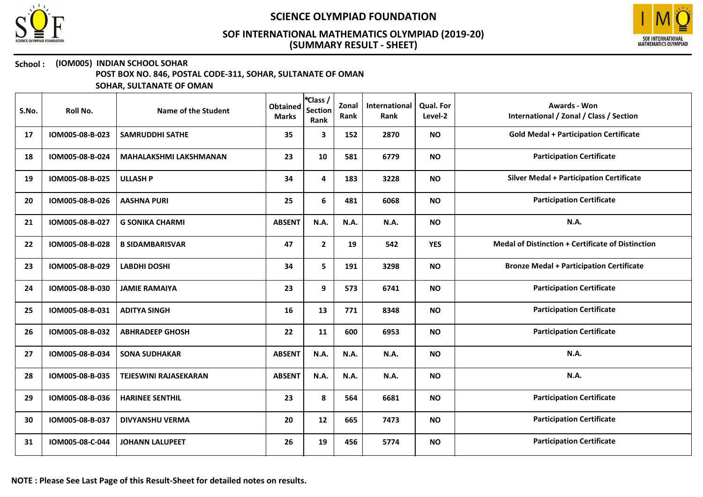



### School : (IOM005) INDIAN SCHOOL SOHAR

POST BOX NO. 846, POSTAL CODE-311, SOHAR, SULTANATE OF OMAN

| S.No. | Roll No.        | Name of the Student           | <b>Obtained</b><br><b>Marks</b> | *Class /<br><b>Section</b><br>Rank | Zonal<br>Rank | International<br>Rank | <b>Qual. For</b><br>Level-2 | <b>Awards - Won</b><br>International / Zonal / Class / Section |
|-------|-----------------|-------------------------------|---------------------------------|------------------------------------|---------------|-----------------------|-----------------------------|----------------------------------------------------------------|
| 17    | IOM005-08-B-023 | <b>SAMRUDDHI SATHE</b>        | 35                              | 3                                  | 152           | 2870                  | <b>NO</b>                   | <b>Gold Medal + Participation Certificate</b>                  |
| 18    | IOM005-08-B-024 | <b>MAHALAKSHMI LAKSHMANAN</b> | 23                              | 10                                 | 581           | 6779                  | <b>NO</b>                   | <b>Participation Certificate</b>                               |
| 19    | IOM005-08-B-025 | <b>ULLASH P</b>               | 34                              | 4                                  | 183           | 3228                  | <b>NO</b>                   | <b>Silver Medal + Participation Certificate</b>                |
| 20    | IOM005-08-B-026 | <b>AASHNA PURI</b>            | 25                              | 6                                  | 481           | 6068                  | <b>NO</b>                   | <b>Participation Certificate</b>                               |
| 21    | IOM005-08-B-027 | <b>G SONIKA CHARMI</b>        | <b>ABSENT</b>                   | N.A.                               | N.A.          | N.A.                  | <b>NO</b>                   | N.A.                                                           |
| 22    | IOM005-08-B-028 | <b>B SIDAMBARISVAR</b>        | 47                              | $\mathbf{2}$                       | 19            | 542                   | <b>YES</b>                  | <b>Medal of Distinction + Certificate of Distinction</b>       |
| 23    | IOM005-08-B-029 | <b>LABDHI DOSHI</b>           | 34                              | 5                                  | 191           | 3298                  | <b>NO</b>                   | <b>Bronze Medal + Participation Certificate</b>                |
| 24    | IOM005-08-B-030 | <b>JAMIE RAMAIYA</b>          | 23                              | 9                                  | 573           | 6741                  | <b>NO</b>                   | <b>Participation Certificate</b>                               |
| 25    | IOM005-08-B-031 | <b>ADITYA SINGH</b>           | 16                              | 13                                 | 771           | 8348                  | <b>NO</b>                   | <b>Participation Certificate</b>                               |
| 26    | IOM005-08-B-032 | <b>ABHRADEEP GHOSH</b>        | 22                              | 11                                 | 600           | 6953                  | <b>NO</b>                   | <b>Participation Certificate</b>                               |
| 27    | IOM005-08-B-034 | <b>SONA SUDHAKAR</b>          | <b>ABSENT</b>                   | N.A.                               | N.A.          | N.A.                  | <b>NO</b>                   | N.A.                                                           |
| 28    | IOM005-08-B-035 | <b>TEJESWINI RAJASEKARAN</b>  | <b>ABSENT</b>                   | <b>N.A.</b>                        | N.A.          | N.A.                  | <b>NO</b>                   | <b>N.A.</b>                                                    |
| 29    | IOM005-08-B-036 | <b>HARINEE SENTHIL</b>        | 23                              | 8                                  | 564           | 6681                  | <b>NO</b>                   | <b>Participation Certificate</b>                               |
| 30    | IOM005-08-B-037 | <b>DIVYANSHU VERMA</b>        | 20                              | 12                                 | 665           | 7473                  | <b>NO</b>                   | <b>Participation Certificate</b>                               |
| 31    | IOM005-08-C-044 | <b>JOHANN LALUPEET</b>        | 26                              | 19                                 | 456           | 5774                  | <b>NO</b>                   | <b>Participation Certificate</b>                               |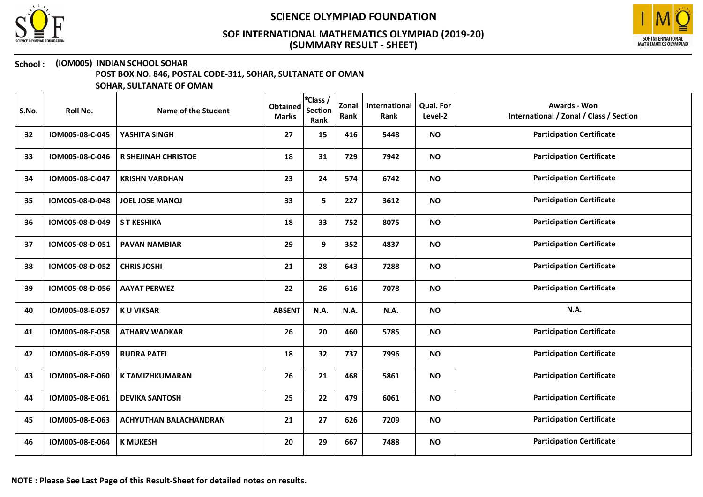



## School : (IOM005) INDIAN SCHOOL SOHAR

POST BOX NO. 846, POSTAL CODE-311, SOHAR, SULTANATE OF OMAN

| S.No. | Roll No.        | Name of the Student           | <b>Obtained</b><br><b>Marks</b> | *Class /<br><b>Section</b><br>Rank | Zonal<br>Rank | International<br>Rank | <b>Qual. For</b><br>Level-2 | Awards - Won<br>International / Zonal / Class / Section |
|-------|-----------------|-------------------------------|---------------------------------|------------------------------------|---------------|-----------------------|-----------------------------|---------------------------------------------------------|
| 32    | IOM005-08-C-045 | YASHITA SINGH                 | 27                              | 15                                 | 416           | 5448                  | <b>NO</b>                   | <b>Participation Certificate</b>                        |
| 33    | IOM005-08-C-046 | R SHEJINAH CHRISTOE           | 18                              | 31                                 | 729           | 7942                  | <b>NO</b>                   | <b>Participation Certificate</b>                        |
| 34    | IOM005-08-C-047 | <b>KRISHN VARDHAN</b>         | 23                              | 24                                 | 574           | 6742                  | <b>NO</b>                   | <b>Participation Certificate</b>                        |
| 35    | IOM005-08-D-048 | <b>JOEL JOSE MANOJ</b>        | 33                              | 5                                  | 227           | 3612                  | <b>NO</b>                   | <b>Participation Certificate</b>                        |
| 36    | IOM005-08-D-049 | <b>S T KESHIKA</b>            | 18                              | 33                                 | 752           | 8075                  | <b>NO</b>                   | <b>Participation Certificate</b>                        |
| 37    | IOM005-08-D-051 | <b>PAVAN NAMBIAR</b>          | 29                              | 9                                  | 352           | 4837                  | <b>NO</b>                   | <b>Participation Certificate</b>                        |
| 38    | IOM005-08-D-052 | <b>CHRIS JOSHI</b>            | 21                              | 28                                 | 643           | 7288                  | <b>NO</b>                   | <b>Participation Certificate</b>                        |
| 39    | IOM005-08-D-056 | <b>AAYAT PERWEZ</b>           | 22                              | 26                                 | 616           | 7078                  | <b>NO</b>                   | <b>Participation Certificate</b>                        |
| 40    | IOM005-08-E-057 | <b>KU VIKSAR</b>              | <b>ABSENT</b>                   | N.A.                               | N.A.          | N.A.                  | <b>NO</b>                   | N.A.                                                    |
| 41    | IOM005-08-E-058 | <b>ATHARV WADKAR</b>          | 26                              | 20                                 | 460           | 5785                  | <b>NO</b>                   | <b>Participation Certificate</b>                        |
| 42    | IOM005-08-E-059 | <b>RUDRA PATEL</b>            | 18                              | 32                                 | 737           | 7996                  | <b>NO</b>                   | <b>Participation Certificate</b>                        |
| 43    | IOM005-08-E-060 | <b>K TAMIZHKUMARAN</b>        | 26                              | 21                                 | 468           | 5861                  | <b>NO</b>                   | <b>Participation Certificate</b>                        |
| 44    | IOM005-08-E-061 | <b>DEVIKA SANTOSH</b>         | 25                              | 22                                 | 479           | 6061                  | <b>NO</b>                   | <b>Participation Certificate</b>                        |
| 45    | IOM005-08-E-063 | <b>ACHYUTHAN BALACHANDRAN</b> | 21                              | 27                                 | 626           | 7209                  | <b>NO</b>                   | <b>Participation Certificate</b>                        |
| 46    | IOM005-08-E-064 | <b>K MUKESH</b>               | 20                              | 29                                 | 667           | 7488                  | <b>NO</b>                   | <b>Participation Certificate</b>                        |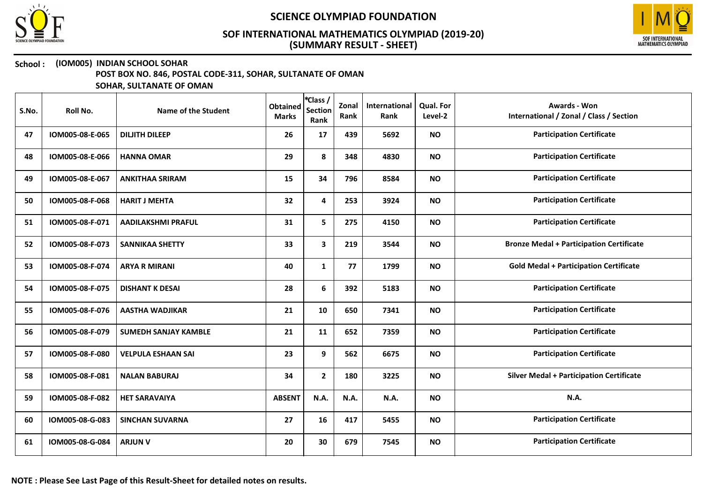



### School : (IOM005) INDIAN SCHOOL SOHAR

POST BOX NO. 846, POSTAL CODE-311, SOHAR, SULTANATE OF OMAN

| S.No. | Roll No.        | Name of the Student         | <b>Obtained</b><br><b>Marks</b> | *Class /<br><b>Section</b><br>Rank | Zonal<br>Rank | International<br>Rank | <b>Qual. For</b><br>Level-2 | Awards - Won<br>International / Zonal / Class / Section |
|-------|-----------------|-----------------------------|---------------------------------|------------------------------------|---------------|-----------------------|-----------------------------|---------------------------------------------------------|
| 47    | IOM005-08-E-065 | <b>DILJITH DILEEP</b>       | 26                              | 17                                 | 439           | 5692                  | <b>NO</b>                   | <b>Participation Certificate</b>                        |
| 48    | IOM005-08-E-066 | <b>HANNA OMAR</b>           | 29                              | 8                                  | 348           | 4830                  | <b>NO</b>                   | <b>Participation Certificate</b>                        |
| 49    | IOM005-08-E-067 | <b>ANKITHAA SRIRAM</b>      | 15                              | 34                                 | 796           | 8584                  | <b>NO</b>                   | <b>Participation Certificate</b>                        |
| 50    | IOM005-08-F-068 | <b>HARIT J MEHTA</b>        | 32                              | 4                                  | 253           | 3924                  | <b>NO</b>                   | <b>Participation Certificate</b>                        |
| 51    | IOM005-08-F-071 | <b>AADILAKSHMI PRAFUL</b>   | 31                              | 5                                  | 275           | 4150                  | <b>NO</b>                   | <b>Participation Certificate</b>                        |
| 52    | IOM005-08-F-073 | <b>SANNIKAA SHETTY</b>      | 33                              | 3                                  | 219           | 3544                  | <b>NO</b>                   | <b>Bronze Medal + Participation Certificate</b>         |
| 53    | IOM005-08-F-074 | <b>ARYA R MIRANI</b>        | 40                              | $\mathbf{1}$                       | 77            | 1799                  | <b>NO</b>                   | <b>Gold Medal + Participation Certificate</b>           |
| 54    | IOM005-08-F-075 | <b>DISHANT K DESAI</b>      | 28                              | 6                                  | 392           | 5183                  | <b>NO</b>                   | <b>Participation Certificate</b>                        |
| 55    | IOM005-08-F-076 | <b>AASTHA WADJIKAR</b>      | 21                              | 10                                 | 650           | 7341                  | <b>NO</b>                   | <b>Participation Certificate</b>                        |
| 56    | IOM005-08-F-079 | <b>SUMEDH SANJAY KAMBLE</b> | 21                              | 11                                 | 652           | 7359                  | <b>NO</b>                   | <b>Participation Certificate</b>                        |
| 57    | IOM005-08-F-080 | <b>VELPULA ESHAAN SAI</b>   | 23                              | 9                                  | 562           | 6675                  | <b>NO</b>                   | <b>Participation Certificate</b>                        |
| 58    | IOM005-08-F-081 | <b>NALAN BABURAJ</b>        | 34                              | $\overline{2}$                     | 180           | 3225                  | <b>NO</b>                   | <b>Silver Medal + Participation Certificate</b>         |
| 59    | IOM005-08-F-082 | <b>HET SARAVAIYA</b>        | <b>ABSENT</b>                   | N.A.                               | N.A.          | N.A.                  | <b>NO</b>                   | N.A.                                                    |
| 60    | IOM005-08-G-083 | <b>SINCHAN SUVARNA</b>      | 27                              | 16                                 | 417           | 5455                  | <b>NO</b>                   | <b>Participation Certificate</b>                        |
| 61    | IOM005-08-G-084 | <b>ARJUN V</b>              | 20                              | 30                                 | 679           | 7545                  | <b>NO</b>                   | <b>Participation Certificate</b>                        |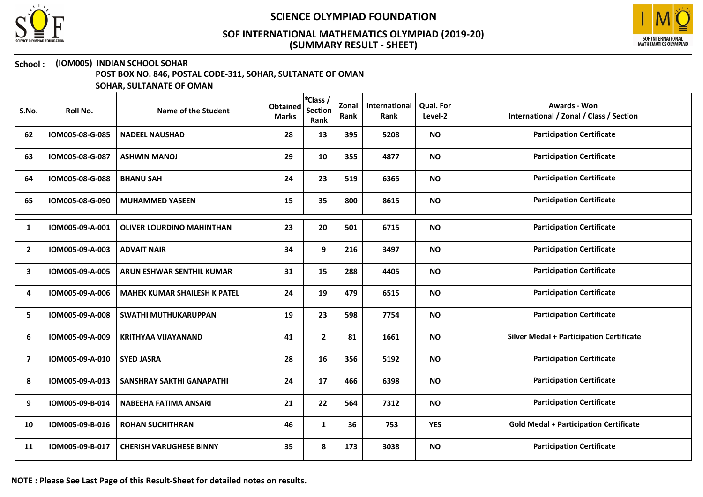



## School : (IOM005) INDIAN SCHOOL SOHAR

POST BOX NO. 846, POSTAL CODE-311, SOHAR, SULTANATE OF OMAN

| S.No.        | Roll No.        | Name of the Student                 | <b>Obtained</b><br><b>Marks</b> | *Class /<br><b>Section</b><br>Rank | Zonal<br>Rank | International<br>Rank | Qual. For<br>Level-2 | Awards - Won<br>International / Zonal / Class / Section |
|--------------|-----------------|-------------------------------------|---------------------------------|------------------------------------|---------------|-----------------------|----------------------|---------------------------------------------------------|
| 62           | IOM005-08-G-085 | <b>NADEEL NAUSHAD</b>               | 28                              | 13                                 | 395           | 5208                  | <b>NO</b>            | <b>Participation Certificate</b>                        |
| 63           | IOM005-08-G-087 | <b>ASHWIN MANOJ</b>                 | 29                              | 10                                 | 355           | 4877                  | <b>NO</b>            | <b>Participation Certificate</b>                        |
| 64           | IOM005-08-G-088 | <b>BHANU SAH</b>                    | 24                              | 23                                 | 519           | 6365                  | <b>NO</b>            | <b>Participation Certificate</b>                        |
| 65           | IOM005-08-G-090 | <b>MUHAMMED YASEEN</b>              | 15                              | 35                                 | 800           | 8615                  | <b>NO</b>            | <b>Participation Certificate</b>                        |
| 1            | IOM005-09-A-001 | <b>OLIVER LOURDINO MAHINTHAN</b>    | 23                              | 20                                 | 501           | 6715                  | <b>NO</b>            | <b>Participation Certificate</b>                        |
| $\mathbf{2}$ | IOM005-09-A-003 | <b>ADVAIT NAIR</b>                  | 34                              | 9                                  | 216           | 3497                  | <b>NO</b>            | <b>Participation Certificate</b>                        |
| 3            | IOM005-09-A-005 | ARUN ESHWAR SENTHIL KUMAR           | 31                              | 15                                 | 288           | 4405                  | <b>NO</b>            | <b>Participation Certificate</b>                        |
| 4            | IOM005-09-A-006 | <b>MAHEK KUMAR SHAILESH K PATEL</b> | 24                              | 19                                 | 479           | 6515                  | <b>NO</b>            | <b>Participation Certificate</b>                        |
| 5            | IOM005-09-A-008 | SWATHI MUTHUKARUPPAN                | 19                              | 23                                 | 598           | 7754                  | <b>NO</b>            | <b>Participation Certificate</b>                        |
| 6            | IOM005-09-A-009 | <b>KRITHYAA VIJAYANAND</b>          | 41                              | $\mathbf{2}$                       | 81            | 1661                  | <b>NO</b>            | <b>Silver Medal + Participation Certificate</b>         |
| 7            | IOM005-09-A-010 | <b>SYED JASRA</b>                   | 28                              | 16                                 | 356           | 5192                  | <b>NO</b>            | <b>Participation Certificate</b>                        |
| 8            | IOM005-09-A-013 | <b>SANSHRAY SAKTHI GANAPATHI</b>    | 24                              | 17                                 | 466           | 6398                  | <b>NO</b>            | <b>Participation Certificate</b>                        |
| 9            | IOM005-09-B-014 | <b>NABEEHA FATIMA ANSARI</b>        | 21                              | 22                                 | 564           | 7312                  | <b>NO</b>            | <b>Participation Certificate</b>                        |
| 10           | IOM005-09-B-016 | <b>ROHAN SUCHITHRAN</b>             | 46                              | $\mathbf{1}$                       | 36            | 753                   | <b>YES</b>           | <b>Gold Medal + Participation Certificate</b>           |
| 11           | IOM005-09-B-017 | <b>CHERISH VARUGHESE BINNY</b>      | 35                              | 8                                  | 173           | 3038                  | <b>NO</b>            | <b>Participation Certificate</b>                        |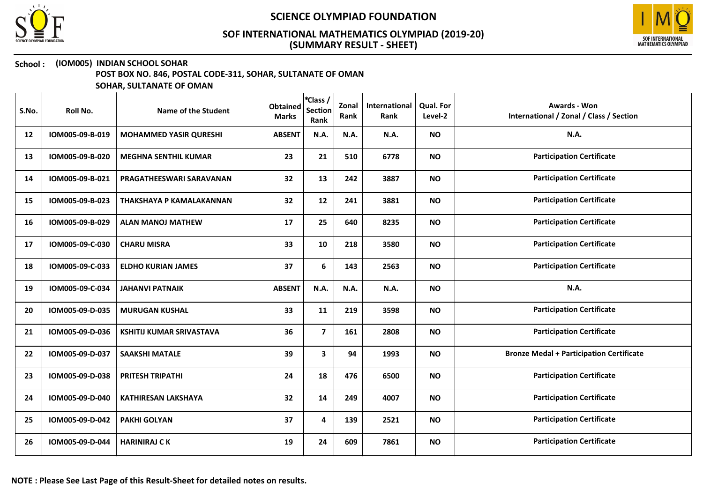



### School : (IOM005) INDIAN SCHOOL SOHAR

POST BOX NO. 846, POSTAL CODE-311, SOHAR, SULTANATE OF OMAN

| S.No. | Roll No.        | Name of the Student             | <b>Obtained</b><br><b>Marks</b> | *Class /<br><b>Section</b><br>Rank | Zonal<br>Rank | International<br>Rank | Qual. For<br>Level-2 | <b>Awards - Won</b><br>International / Zonal / Class / Section |
|-------|-----------------|---------------------------------|---------------------------------|------------------------------------|---------------|-----------------------|----------------------|----------------------------------------------------------------|
| 12    | IOM005-09-B-019 | <b>MOHAMMED YASIR QURESHI</b>   | <b>ABSENT</b>                   | N.A.                               | N.A.          | <b>N.A.</b>           | <b>NO</b>            | N.A.                                                           |
| 13    | IOM005-09-B-020 | <b>MEGHNA SENTHIL KUMAR</b>     | 23                              | 21                                 | 510           | 6778                  | <b>NO</b>            | <b>Participation Certificate</b>                               |
| 14    | IOM005-09-B-021 | <b>PRAGATHEESWARI SARAVANAN</b> | 32                              | 13                                 | 242           | 3887                  | <b>NO</b>            | <b>Participation Certificate</b>                               |
| 15    | IOM005-09-B-023 | THAKSHAYA P KAMALAKANNAN        | 32                              | 12                                 | 241           | 3881                  | <b>NO</b>            | <b>Participation Certificate</b>                               |
| 16    | IOM005-09-B-029 | <b>ALAN MANOJ MATHEW</b>        | 17                              | 25                                 | 640           | 8235                  | <b>NO</b>            | <b>Participation Certificate</b>                               |
| 17    | IOM005-09-C-030 | <b>CHARU MISRA</b>              | 33                              | 10                                 | 218           | 3580                  | <b>NO</b>            | <b>Participation Certificate</b>                               |
| 18    | IOM005-09-C-033 | <b>ELDHO KURIAN JAMES</b>       | 37                              | 6                                  | 143           | 2563                  | <b>NO</b>            | <b>Participation Certificate</b>                               |
| 19    | IOM005-09-C-034 | <b>JAHANVI PATNAIK</b>          | <b>ABSENT</b>                   | N.A.                               | N.A.          | N.A.                  | <b>NO</b>            | <b>N.A.</b>                                                    |
| 20    | IOM005-09-D-035 | <b>MURUGAN KUSHAL</b>           | 33                              | 11                                 | 219           | 3598                  | <b>NO</b>            | <b>Participation Certificate</b>                               |
| 21    | IOM005-09-D-036 | <b>KSHITIJ KUMAR SRIVASTAVA</b> | 36                              | $\overline{\mathbf{z}}$            | 161           | 2808                  | <b>NO</b>            | <b>Participation Certificate</b>                               |
| 22    | IOM005-09-D-037 | <b>SAAKSHI MATALE</b>           | 39                              | 3                                  | 94            | 1993                  | <b>NO</b>            | <b>Bronze Medal + Participation Certificate</b>                |
| 23    | IOM005-09-D-038 | <b>PRITESH TRIPATHI</b>         | 24                              | 18                                 | 476           | 6500                  | <b>NO</b>            | <b>Participation Certificate</b>                               |
| 24    | IOM005-09-D-040 | <b>KATHIRESAN LAKSHAYA</b>      | 32                              | 14                                 | 249           | 4007                  | <b>NO</b>            | <b>Participation Certificate</b>                               |
| 25    | IOM005-09-D-042 | <b>PAKHI GOLYAN</b>             | 37                              | 4                                  | 139           | 2521                  | <b>NO</b>            | <b>Participation Certificate</b>                               |
| 26    | IOM005-09-D-044 | <b>HARINIRAJ CK</b>             | 19                              | 24                                 | 609           | 7861                  | <b>NO</b>            | <b>Participation Certificate</b>                               |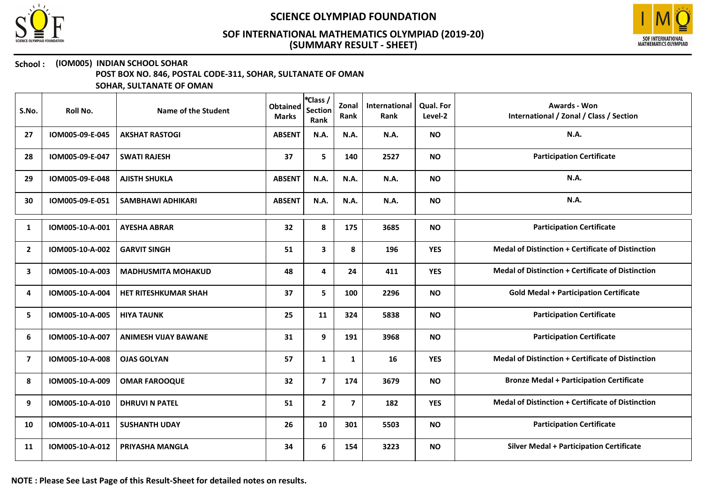



### School : (IOM005) INDIAN SCHOOL SOHAR

POST BOX NO. 846, POSTAL CODE-311, SOHAR, SULTANATE OF OMAN

SOHAR, SULTANATE OF OMAN

| S.No.                   | Roll No.        | Name of the Student         | <b>Obtained</b><br><b>Marks</b> | *Class /<br><b>Section</b><br>Rank | Zonal<br>Rank  | International<br>Rank | <b>Qual. For</b><br>Level-2 | <b>Awards - Won</b><br>International / Zonal / Class / Section |
|-------------------------|-----------------|-----------------------------|---------------------------------|------------------------------------|----------------|-----------------------|-----------------------------|----------------------------------------------------------------|
| 27                      | IOM005-09-E-045 | <b>AKSHAT RASTOGI</b>       | <b>ABSENT</b>                   | N.A.                               | N.A.           | N.A.                  | <b>NO</b>                   | N.A.                                                           |
| 28                      | IOM005-09-E-047 | <b>SWATI RAJESH</b>         | 37                              | 5                                  | 140            | 2527                  | <b>NO</b>                   | <b>Participation Certificate</b>                               |
| 29                      | IOM005-09-E-048 | <b>AJISTH SHUKLA</b>        | <b>ABSENT</b>                   | N.A.                               | N.A.           | N.A.                  | <b>NO</b>                   | N.A.                                                           |
| 30                      | IOM005-09-E-051 | <b>SAMBHAWI ADHIKARI</b>    | <b>ABSENT</b>                   | N.A.                               | N.A.           | N.A.                  | <b>NO</b>                   | N.A.                                                           |
| 1                       | IOM005-10-A-001 | <b>AYESHA ABRAR</b>         | 32                              | 8                                  | 175            | 3685                  | <b>NO</b>                   | <b>Participation Certificate</b>                               |
| $\overline{2}$          | IOM005-10-A-002 | <b>GARVIT SINGH</b>         | 51                              | $\mathbf{3}$                       | 8              | 196                   | <b>YES</b>                  | <b>Medal of Distinction + Certificate of Distinction</b>       |
| 3                       | IOM005-10-A-003 | <b>MADHUSMITA MOHAKUD</b>   | 48                              | 4                                  | 24             | 411                   | <b>YES</b>                  | <b>Medal of Distinction + Certificate of Distinction</b>       |
| 4                       | IOM005-10-A-004 | <b>HET RITESHKUMAR SHAH</b> | 37                              | 5                                  | 100            | 2296                  | <b>NO</b>                   | <b>Gold Medal + Participation Certificate</b>                  |
| 5                       | IOM005-10-A-005 | <b>HIYA TAUNK</b>           | 25                              | 11                                 | 324            | 5838                  | <b>NO</b>                   | <b>Participation Certificate</b>                               |
| 6                       | IOM005-10-A-007 | <b>ANIMESH VIJAY BAWANE</b> | 31                              | 9                                  | 191            | 3968                  | <b>NO</b>                   | <b>Participation Certificate</b>                               |
| $\overline{\mathbf{z}}$ | IOM005-10-A-008 | <b>OJAS GOLYAN</b>          | 57                              | 1                                  | 1              | 16                    | <b>YES</b>                  | <b>Medal of Distinction + Certificate of Distinction</b>       |
| 8                       | IOM005-10-A-009 | <b>OMAR FAROOQUE</b>        | 32                              | $\overline{\mathbf{z}}$            | 174            | 3679                  | <b>NO</b>                   | <b>Bronze Medal + Participation Certificate</b>                |
| 9                       | IOM005-10-A-010 | <b>DHRUVI N PATEL</b>       | 51                              | $\overline{2}$                     | $\overline{7}$ | 182                   | <b>YES</b>                  | <b>Medal of Distinction + Certificate of Distinction</b>       |
| 10                      | IOM005-10-A-011 | <b>SUSHANTH UDAY</b>        | 26                              | 10                                 | 301            | 5503                  | <b>NO</b>                   | <b>Participation Certificate</b>                               |
| 11                      | IOM005-10-A-012 | <b>PRIYASHA MANGLA</b>      | 34                              | 6                                  | 154            | 3223                  | <b>NO</b>                   | <b>Silver Medal + Participation Certificate</b>                |

NOTE : Please See Last Page of this Result-Sheet for detailed notes on results.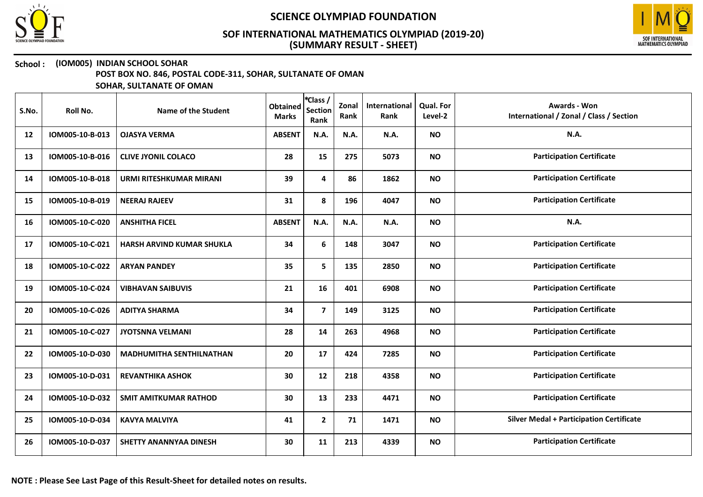



## School : (IOM005) INDIAN SCHOOL SOHAR

POST BOX NO. 846, POSTAL CODE-311, SOHAR, SULTANATE OF OMAN

| S.No. | Roll No.        | Name of the Student              | <b>Obtained</b><br><b>Marks</b> | *Class /<br><b>Section</b><br>Rank | Zonal<br>Rank | International<br>Rank | <b>Qual. For</b><br>Level-2 | <b>Awards - Won</b><br>International / Zonal / Class / Section |
|-------|-----------------|----------------------------------|---------------------------------|------------------------------------|---------------|-----------------------|-----------------------------|----------------------------------------------------------------|
| 12    | IOM005-10-B-013 | <b>OJASYA VERMA</b>              | <b>ABSENT</b>                   | N.A.                               | N.A.          | N.A.                  | <b>NO</b>                   | N.A.                                                           |
| 13    | IOM005-10-B-016 | <b>CLIVE JYONIL COLACO</b>       | 28                              | 15                                 | 275           | 5073                  | <b>NO</b>                   | <b>Participation Certificate</b>                               |
| 14    | IOM005-10-B-018 | URMI RITESHKUMAR MIRANI          | 39                              | 4                                  | 86            | 1862                  | <b>NO</b>                   | <b>Participation Certificate</b>                               |
| 15    | IOM005-10-B-019 | <b>NEERAJ RAJEEV</b>             | 31                              | 8                                  | 196           | 4047                  | <b>NO</b>                   | <b>Participation Certificate</b>                               |
| 16    | IOM005-10-C-020 | <b>ANSHITHA FICEL</b>            | <b>ABSENT</b>                   | N.A.                               | <b>N.A.</b>   | N.A.                  | <b>NO</b>                   | N.A.                                                           |
| 17    | IOM005-10-C-021 | <b>HARSH ARVIND KUMAR SHUKLA</b> | 34                              | 6                                  | 148           | 3047                  | <b>NO</b>                   | <b>Participation Certificate</b>                               |
| 18    | IOM005-10-C-022 | <b>ARYAN PANDEY</b>              | 35                              | 5                                  | 135           | 2850                  | <b>NO</b>                   | <b>Participation Certificate</b>                               |
| 19    | IOM005-10-C-024 | <b>VIBHAVAN SAIBUVIS</b>         | 21                              | 16                                 | 401           | 6908                  | <b>NO</b>                   | <b>Participation Certificate</b>                               |
| 20    | IOM005-10-C-026 | <b>ADITYA SHARMA</b>             | 34                              | $\overline{7}$                     | 149           | 3125                  | <b>NO</b>                   | <b>Participation Certificate</b>                               |
| 21    | IOM005-10-C-027 | <b>JYOTSNNA VELMANI</b>          | 28                              | 14                                 | 263           | 4968                  | <b>NO</b>                   | <b>Participation Certificate</b>                               |
| 22    | IOM005-10-D-030 | <b>MADHUMITHA SENTHILNATHAN</b>  | 20                              | 17                                 | 424           | 7285                  | <b>NO</b>                   | <b>Participation Certificate</b>                               |
| 23    | IOM005-10-D-031 | <b>REVANTHIKA ASHOK</b>          | 30                              | 12                                 | 218           | 4358                  | <b>NO</b>                   | <b>Participation Certificate</b>                               |
| 24    | IOM005-10-D-032 | <b>SMIT AMITKUMAR RATHOD</b>     | 30                              | 13                                 | 233           | 4471                  | <b>NO</b>                   | <b>Participation Certificate</b>                               |
| 25    | IOM005-10-D-034 | <b>KAVYA MALVIYA</b>             | 41                              | $\overline{2}$                     | 71            | 1471                  | <b>NO</b>                   | <b>Silver Medal + Participation Certificate</b>                |
| 26    | IOM005-10-D-037 | SHETTY ANANNYAA DINESH           | 30                              | 11                                 | 213           | 4339                  | <b>NO</b>                   | <b>Participation Certificate</b>                               |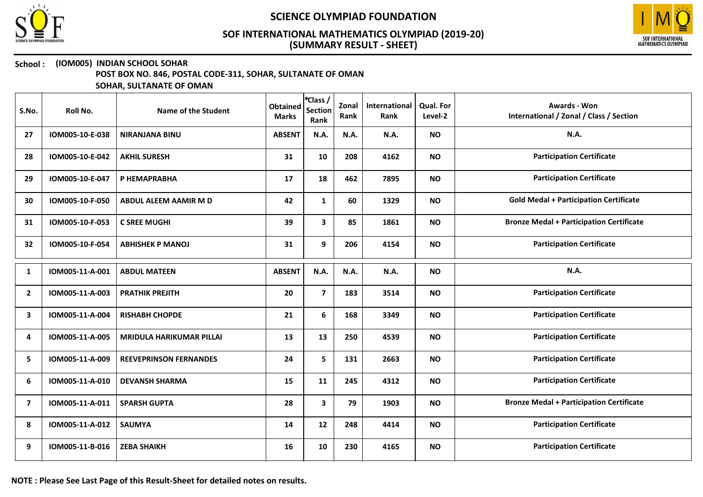



### School : (IOM005) INDIAN SCHOOL SOHAR

POST BOX NO. 846, POSTAL CODE-311, SOHAR, SULTANATE OF OMAN

SOHAR, SULTANATE OF OMAN

| S.No.          | Roll No.        | Name of the Student             | <b>Obtained</b><br><b>Marks</b> | *Class /<br><b>Section</b><br>Rank | Zonal<br>Rank | International<br>Rank | <b>Qual. For</b><br>Level-2 | <b>Awards - Won</b><br>International / Zonal / Class / Section |
|----------------|-----------------|---------------------------------|---------------------------------|------------------------------------|---------------|-----------------------|-----------------------------|----------------------------------------------------------------|
| 27             | IOM005-10-E-038 | <b>NIRANJANA BINU</b>           | <b>ABSENT</b>                   | N.A.                               | N.A.          | N.A.                  | <b>NO</b>                   | <b>N.A.</b>                                                    |
| 28             | IOM005-10-E-042 | <b>AKHIL SURESH</b>             | 31                              | 10                                 | 208           | 4162                  | <b>NO</b>                   | <b>Participation Certificate</b>                               |
| 29             | IOM005-10-E-047 | P HEMAPRABHA                    | 17                              | 18                                 | 462           | 7895                  | <b>NO</b>                   | <b>Participation Certificate</b>                               |
| 30             | IOM005-10-F-050 | ABDUL ALEEM AAMIR M D           | 42                              | $\mathbf{1}$                       | 60            | 1329                  | <b>NO</b>                   | <b>Gold Medal + Participation Certificate</b>                  |
| 31             | IOM005-10-F-053 | <b>C SREE MUGHI</b>             | 39                              | 3                                  | 85            | 1861                  | <b>NO</b>                   | <b>Bronze Medal + Participation Certificate</b>                |
| 32             | IOM005-10-F-054 | <b>ABHISHEK P MANOJ</b>         | 31                              | 9                                  | 206           | 4154                  | <b>NO</b>                   | <b>Participation Certificate</b>                               |
| 1              | IOM005-11-A-001 | <b>ABDUL MATEEN</b>             | <b>ABSENT</b>                   | <b>N.A.</b>                        | <b>N.A.</b>   | N.A.                  | <b>NO</b>                   | N.A.                                                           |
| $\overline{2}$ | IOM005-11-A-003 | <b>PRATHIK PREJITH</b>          | 20                              | $\overline{\mathbf{z}}$            | 183           | 3514                  | <b>NO</b>                   | <b>Participation Certificate</b>                               |
| 3              | IOM005-11-A-004 | <b>RISHABH CHOPDE</b>           | 21                              | 6                                  | 168           | 3349                  | <b>NO</b>                   | <b>Participation Certificate</b>                               |
| 4              | IOM005-11-A-005 | <b>MRIDULA HARIKUMAR PILLAI</b> | 13                              | 13                                 | 250           | 4539                  | <b>NO</b>                   | <b>Participation Certificate</b>                               |
| 5              | IOM005-11-A-009 | <b>REEVEPRINSON FERNANDES</b>   | 24                              | 5                                  | 131           | 2663                  | <b>NO</b>                   | <b>Participation Certificate</b>                               |
| 6              | IOM005-11-A-010 | <b>DEVANSH SHARMA</b>           | 15                              | 11                                 | 245           | 4312                  | <b>NO</b>                   | <b>Participation Certificate</b>                               |
| $\overline{7}$ | IOM005-11-A-011 | <b>SPARSH GUPTA</b>             | 28                              | $\mathbf{3}$                       | 79            | 1903                  | <b>NO</b>                   | <b>Bronze Medal + Participation Certificate</b>                |
| 8              | IOM005-11-A-012 | <b>SAUMYA</b>                   | 14                              | 12                                 | 248           | 4414                  | <b>NO</b>                   | <b>Participation Certificate</b>                               |
| 9              | IOM005-11-B-016 | <b>ZEBA SHAIKH</b>              | 16                              | 10                                 | 230           | 4165                  | <b>NO</b>                   | <b>Participation Certificate</b>                               |

NOTE : Please See Last Page of this Result-Sheet for detailed notes on results.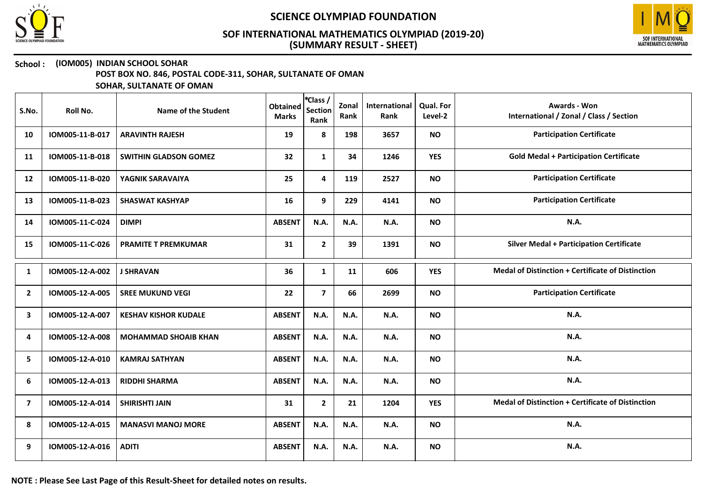



### School : (IOM005) INDIAN SCHOOL SOHAR

POST BOX NO. 846, POSTAL CODE-311, SOHAR, SULTANATE OF OMAN

| S.No.          | Roll No.        | Name of the Student          | <b>Obtained</b><br><b>Marks</b> | *Class /<br>Section<br>Rank | Zonal<br>Rank | International<br>Rank | Qual. For<br>Level-2 | Awards - Won<br>International / Zonal / Class / Section  |
|----------------|-----------------|------------------------------|---------------------------------|-----------------------------|---------------|-----------------------|----------------------|----------------------------------------------------------|
| 10             | IOM005-11-B-017 | <b>ARAVINTH RAJESH</b>       | 19                              | 8                           | 198           | 3657                  | <b>NO</b>            | <b>Participation Certificate</b>                         |
| 11             | IOM005-11-B-018 | <b>SWITHIN GLADSON GOMEZ</b> | 32                              | $\mathbf{1}$                | 34            | 1246                  | <b>YES</b>           | <b>Gold Medal + Participation Certificate</b>            |
| 12             | IOM005-11-B-020 | YAGNIK SARAVAIYA             | 25                              | 4                           | 119           | 2527                  | <b>NO</b>            | <b>Participation Certificate</b>                         |
| 13             | IOM005-11-B-023 | <b>SHASWAT KASHYAP</b>       | 16                              | 9                           | 229           | 4141                  | <b>NO</b>            | <b>Participation Certificate</b>                         |
| 14             | IOM005-11-C-024 | <b>DIMPI</b>                 | <b>ABSENT</b>                   | N.A.                        | N.A.          | N.A.                  | <b>NO</b>            | N.A.                                                     |
| 15             | IOM005-11-C-026 | <b>PRAMITE T PREMKUMAR</b>   | 31                              | $\mathbf{2}$                | 39            | 1391                  | <b>NO</b>            | <b>Silver Medal + Participation Certificate</b>          |
| 1              | IOM005-12-A-002 | <b>J SHRAVAN</b>             | 36                              | $\mathbf{1}$                | 11            | 606                   | <b>YES</b>           | <b>Medal of Distinction + Certificate of Distinction</b> |
| $\overline{2}$ | IOM005-12-A-005 | <b>SREE MUKUND VEGI</b>      | 22                              | $\overline{7}$              | 66            | 2699                  | <b>NO</b>            | <b>Participation Certificate</b>                         |
| 3              | IOM005-12-A-007 | <b>KESHAV KISHOR KUDALE</b>  | <b>ABSENT</b>                   | N.A.                        | N.A.          | N.A.                  | <b>NO</b>            | N.A.                                                     |
| 4              | IOM005-12-A-008 | <b>MOHAMMAD SHOAIB KHAN</b>  | <b>ABSENT</b>                   | N.A.                        | N.A.          | N.A.                  | <b>NO</b>            | N.A.                                                     |
| 5              | IOM005-12-A-010 | <b>KAMRAJ SATHYAN</b>        | <b>ABSENT</b>                   | N.A.                        | N.A.          | N.A.                  | <b>NO</b>            | N.A.                                                     |
| 6              | IOM005-12-A-013 | <b>RIDDHI SHARMA</b>         | <b>ABSENT</b>                   | N.A.                        | N.A.          | N.A.                  | <b>NO</b>            | N.A.                                                     |
| 7              | IOM005-12-A-014 | <b>SHIRISHTI JAIN</b>        | 31                              | $\mathbf{2}$                | 21            | 1204                  | <b>YES</b>           | <b>Medal of Distinction + Certificate of Distinction</b> |
| 8              | IOM005-12-A-015 | <b>MANASVI MANOJ MORE</b>    | <b>ABSENT</b>                   | N.A.                        | N.A.          | N.A.                  | <b>NO</b>            | N.A.                                                     |
| 9              | IOM005-12-A-016 | <b>ADITI</b>                 | <b>ABSENT</b>                   | N.A.                        | N.A.          | N.A.                  | <b>NO</b>            | <b>N.A.</b>                                              |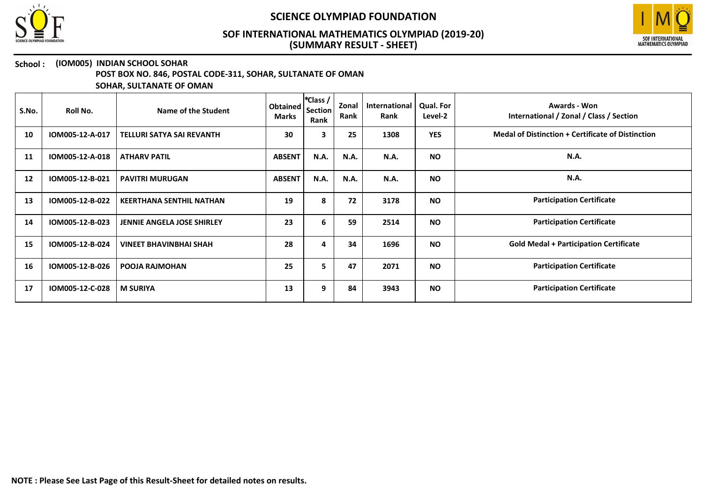



## School : (IOM005) INDIAN SCHOOL SOHAR

POST BOX NO. 846, POSTAL CODE-311, SOHAR, SULTANATE OF OMAN

| S.No. | Roll No.        | Name of the Student               | Obtained<br><b>Marks</b> | *Class /<br><b>Section</b><br>Rank | Zonal<br>Rank | <b>International</b><br>Rank | <b>Qual. For</b><br>Level-2 | Awards - Won<br>International / Zonal / Class / Section  |
|-------|-----------------|-----------------------------------|--------------------------|------------------------------------|---------------|------------------------------|-----------------------------|----------------------------------------------------------|
| 10    | IOM005-12-A-017 | <b>TELLURI SATYA SAI REVANTH</b>  | 30                       | $\overline{\mathbf{3}}$            | 25            | 1308                         | <b>YES</b>                  | <b>Medal of Distinction + Certificate of Distinction</b> |
| 11    | IOM005-12-A-018 | <b>ATHARV PATIL</b>               | <b>ABSENT</b>            | <b>N.A.</b>                        | <b>N.A.</b>   | N.A.                         | <b>NO</b>                   | N.A.                                                     |
| 12    | IOM005-12-B-021 | <b>PAVITRI MURUGAN</b>            | <b>ABSENT</b>            | <b>N.A.</b>                        | <b>N.A.</b>   | N.A.                         | <b>NO</b>                   | <b>N.A.</b>                                              |
| 13    | IOM005-12-B-022 | <b>KEERTHANA SENTHIL NATHAN</b>   | 19                       | 8                                  | 72            | 3178                         | <b>NO</b>                   | <b>Participation Certificate</b>                         |
| 14    | IOM005-12-B-023 | <b>JENNIE ANGELA JOSE SHIRLEY</b> | 23                       | 6                                  | 59            | 2514                         | <b>NO</b>                   | <b>Participation Certificate</b>                         |
| 15    | IOM005-12-B-024 | <b>VINEET BHAVINBHAI SHAH</b>     | 28                       | 4                                  | 34            | 1696                         | <b>NO</b>                   | <b>Gold Medal + Participation Certificate</b>            |
| 16    | IOM005-12-B-026 | <b>POOJA RAJMOHAN</b>             | 25                       | 5                                  | 47            | 2071                         | <b>NO</b>                   | <b>Participation Certificate</b>                         |
| 17    | IOM005-12-C-028 | <b>M SURIYA</b>                   | 13                       | 9                                  | 84            | 3943                         | <b>NO</b>                   | <b>Participation Certificate</b>                         |